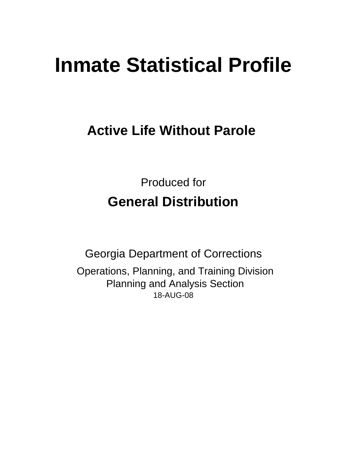# **Inmate Statistical Profile**

# **Active Life Without Parole**

Produced for **General Distribution**

18-AUG-08 Georgia Department of Corrections Operations, Planning, and Training Division Planning and Analysis Section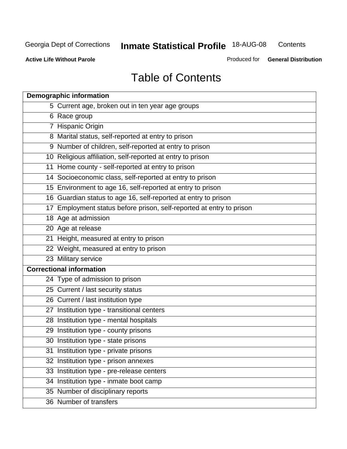**Contents** 

**Active Life Without Parole** 

Produced for **General Distribution**

# Table of Contents

| <b>Demographic information</b>                                       |
|----------------------------------------------------------------------|
| 5 Current age, broken out in ten year age groups                     |
| 6 Race group                                                         |
| 7 Hispanic Origin                                                    |
| 8 Marital status, self-reported at entry to prison                   |
| 9 Number of children, self-reported at entry to prison               |
| 10 Religious affiliation, self-reported at entry to prison           |
| 11 Home county - self-reported at entry to prison                    |
| 14 Socioeconomic class, self-reported at entry to prison             |
| 15 Environment to age 16, self-reported at entry to prison           |
| 16 Guardian status to age 16, self-reported at entry to prison       |
| 17 Employment status before prison, self-reported at entry to prison |
| 18 Age at admission                                                  |
| 20 Age at release                                                    |
| 21 Height, measured at entry to prison                               |
| 22 Weight, measured at entry to prison                               |
| 23 Military service                                                  |
| <b>Correctional information</b>                                      |
| 24 Type of admission to prison                                       |
| 25 Current / last security status                                    |
| 26 Current / last institution type                                   |
| 27 Institution type - transitional centers                           |
| 28 Institution type - mental hospitals                               |
| 29 Institution type - county prisons                                 |
| 30 Institution type - state prisons                                  |
| 31 Institution type - private prisons                                |
| 32 Institution type - prison annexes                                 |
| 33 Institution type - pre-release centers                            |
| 34 Institution type - inmate boot camp                               |
| 35 Number of disciplinary reports                                    |
| 36 Number of transfers                                               |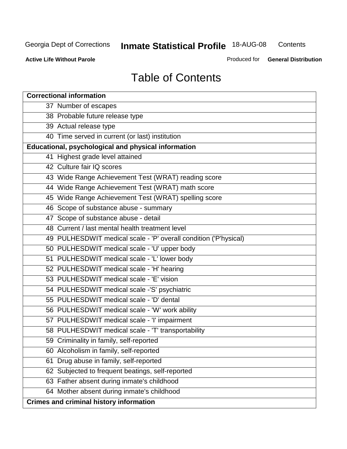**Contents** 

**Active Life Without Parole** 

Produced for **General Distribution**

# Table of Contents

| <b>Correctional information</b>                                  |
|------------------------------------------------------------------|
| 37 Number of escapes                                             |
| 38 Probable future release type                                  |
| 39 Actual release type                                           |
| 40 Time served in current (or last) institution                  |
| Educational, psychological and physical information              |
| 41 Highest grade level attained                                  |
| 42 Culture fair IQ scores                                        |
| 43 Wide Range Achievement Test (WRAT) reading score              |
| 44 Wide Range Achievement Test (WRAT) math score                 |
| 45 Wide Range Achievement Test (WRAT) spelling score             |
| 46 Scope of substance abuse - summary                            |
| 47 Scope of substance abuse - detail                             |
| 48 Current / last mental health treatment level                  |
| 49 PULHESDWIT medical scale - 'P' overall condition ('P'hysical) |
| 50 PULHESDWIT medical scale - 'U' upper body                     |
| 51 PULHESDWIT medical scale - 'L' lower body                     |
| 52 PULHESDWIT medical scale - 'H' hearing                        |
| 53 PULHESDWIT medical scale - 'E' vision                         |
| 54 PULHESDWIT medical scale -'S' psychiatric                     |
| 55 PULHESDWIT medical scale - 'D' dental                         |
| 56 PULHESDWIT medical scale - 'W' work ability                   |
| 57 PULHESDWIT medical scale - 'I' impairment                     |
| 58 PULHESDWIT medical scale - 'T' transportability               |
| 59 Criminality in family, self-reported                          |
| 60 Alcoholism in family, self-reported                           |
| Drug abuse in family, self-reported<br>61                        |
| 62 Subjected to frequent beatings, self-reported                 |
| 63 Father absent during inmate's childhood                       |
| 64 Mother absent during inmate's childhood                       |
| <b>Crimes and criminal history information</b>                   |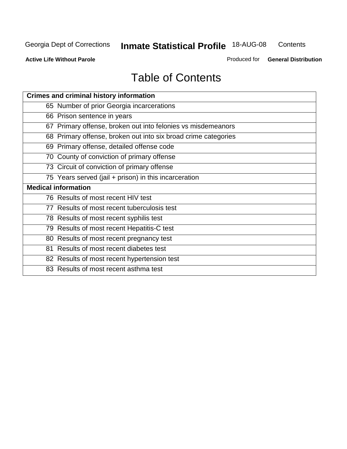**Contents** 

**Active Life Without Parole** 

Produced for **General Distribution**

# Table of Contents

| <b>Crimes and criminal history information</b>                 |
|----------------------------------------------------------------|
| 65 Number of prior Georgia incarcerations                      |
| 66 Prison sentence in years                                    |
| 67 Primary offense, broken out into felonies vs misdemeanors   |
| 68 Primary offense, broken out into six broad crime categories |
| 69 Primary offense, detailed offense code                      |
| 70 County of conviction of primary offense                     |
| 73 Circuit of conviction of primary offense                    |
| 75 Years served (jail + prison) in this incarceration          |
| <b>Medical information</b>                                     |
|                                                                |
| 76 Results of most recent HIV test                             |
| 77 Results of most recent tuberculosis test                    |
| 78 Results of most recent syphilis test                        |
| 79 Results of most recent Hepatitis-C test                     |
| 80 Results of most recent pregnancy test                       |
| 81 Results of most recent diabetes test                        |
| 82 Results of most recent hypertension test                    |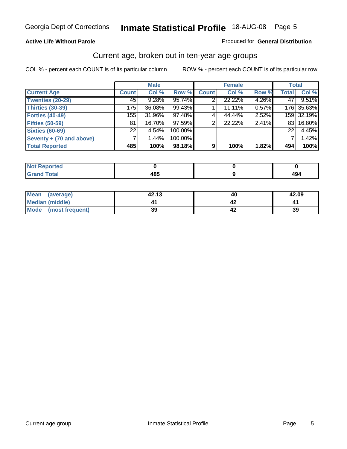#### **Active Life Without Parole**

#### Produced for **General Distribution**

### Current age, broken out in ten-year age groups

|                          |              | <b>Male</b> |         |              | <b>Female</b> |       | <b>Total</b> |            |
|--------------------------|--------------|-------------|---------|--------------|---------------|-------|--------------|------------|
| <b>Current Age</b>       | <b>Count</b> | Col %       | Row %   | <b>Count</b> | Col %         | Row % | <b>Total</b> | Col %      |
| <b>Twenties (20-29)</b>  | 45           | $9.28\%$    | 95.74%  |              | 22.22%        | 4.26% | 47           | 9.51%      |
| <b>Thirties (30-39)</b>  | 175          | 36.08%      | 99.43%  |              | 11.11%        | 0.57% |              | 176 35.63% |
| <b>Forties (40-49)</b>   | 155          | 31.96%      | 97.48%  | 4            | 44.44%        | 2.52% |              | 159 32.19% |
| <b>Fifties (50-59)</b>   | 81           | 16.70%      | 97.59%  | 2            | 22.22%        | 2.41% | 831          | 16.80%     |
| <b>Sixties (60-69)</b>   | 221          | 4.54%       | 100.00% |              |               |       | 22           | 4.45%      |
| Seventy + (70 and above) |              | 1.44%       | 100.00% |              |               |       |              | 1.42%      |
| <b>Total Reported</b>    | 485          | 100%        | 98.18%  | 9            | 100%          | 1.82% | 494          | 100%       |

| <b>Not Reported</b> |     |     |
|---------------------|-----|-----|
| <b>Total</b>        | AOP | "   |
| $\mathbf{v}$ and    | ю.  | 474 |

| Mean<br>(average)    | 42.13 | 40 | 42.09 |
|----------------------|-------|----|-------|
| Median (middle)      |       |    |       |
| Mode (most frequent) | 39    |    | 39    |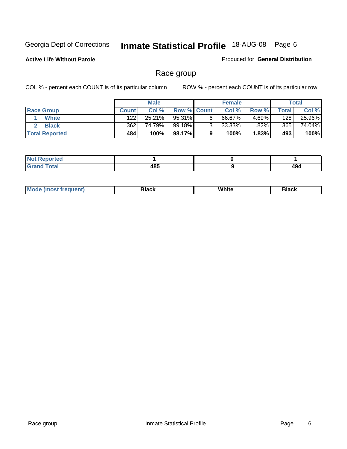**Active Life Without Parole** 

Produced for **General Distribution**

### Race group

|                       |              | <b>Male</b> |             |   | <b>Female</b> |          |       | <b>Total</b> |
|-----------------------|--------------|-------------|-------------|---|---------------|----------|-------|--------------|
| <b>Race Group</b>     | <b>Count</b> | Col %       | Row % Count |   | Col %         | Row %    | Total | Col %        |
| <b>White</b>          | 122          | 25.21%      | 95.31%      | 6 | 66.67%        | 4.69%    | 128   | 25.96%       |
| <b>Black</b>          | 362          | 74.79%      | 99.18%      | ⌒ | 33.33%        | $.82\%$  | 365   | 74.04%       |
| <b>Total Reported</b> | 484          | 100%        | 98.17%      |   | 100%          | $1.83\%$ | 493   | 100%         |

| eported<br>.<br>$\cdots$ |      |      |
|--------------------------|------|------|
| fota'                    | 10 E | 10 / |
| _____                    | မ၀၁  | ᅮ    |

| $^1$ Mo. | Rlack | White | 3lack |
|----------|-------|-------|-------|
| .        |       |       |       |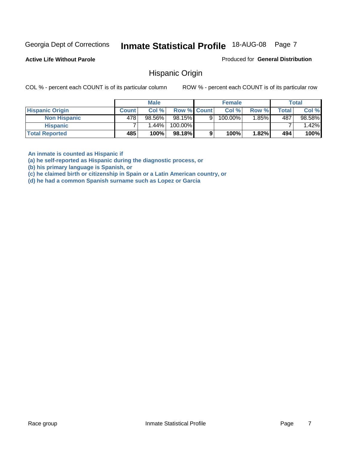**Active Life Without Parole** 

Produced for **General Distribution**

### Hispanic Origin

COL % - percent each COUNT is of its particular column ROW % - percent each COUNT is of its particular row

|                        |              | <b>Male</b> |                    |   | <b>Female</b>         |       |              | <b>Total</b> |
|------------------------|--------------|-------------|--------------------|---|-----------------------|-------|--------------|--------------|
| <b>Hispanic Origin</b> | <b>Count</b> | Col %       | <b>Row % Count</b> |   | Col %                 | Row % | <b>Total</b> | Col %        |
| <b>Non Hispanic</b>    | 478'         | 98.56%      | 98.15%             | 9 | $100.\overline{00\%}$ | .85%  | 487          | 98.58%       |
| <b>Hispanic</b>        |              | ا 1.44%     | 100.00%            |   |                       |       |              | $1.42\%$     |
| <b>Total Reported</b>  | 485          | 100%        | 98.18%             |   | 100%                  | 1.82% | 494          | 100%         |

**An inmate is counted as Hispanic if** 

**(a) he self-reported as Hispanic during the diagnostic process, or** 

**(b) his primary language is Spanish, or** 

**(c) he claimed birth or citizenship in Spain or a Latin American country, or** 

**(d) he had a common Spanish surname such as Lopez or Garcia**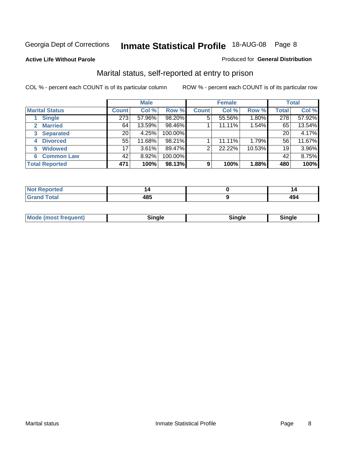#### **Active Life Without Parole**

#### Produced for **General Distribution**

### Marital status, self-reported at entry to prison

|                        | <b>Male</b>      |        |         | <b>Female</b>  |        |        | <b>Total</b> |        |
|------------------------|------------------|--------|---------|----------------|--------|--------|--------------|--------|
| <b>Marital Status</b>  | <b>Count</b>     | Col %  | Row %   | <b>Count</b>   | Col %  | Row %  | <b>Total</b> | Col %  |
| <b>Single</b>          | $\overline{273}$ | 57.96% | 98.20%  | $\overline{5}$ | 55.56% | 1.80%  | 278          | 57.92% |
| <b>Married</b><br>2.   | 64               | 13.59% | 98.46%  |                | 11.11% | 1.54%  | 65           | 13.54% |
| <b>Separated</b><br>3  | 20               | 4.25%  | 100.00% |                |        |        | 20           | 4.17%  |
| <b>Divorced</b><br>4   | 55               | 11.68% | 98.21%  |                | 11.11% | 1.79%  | 56           | 11.67% |
| <b>Widowed</b><br>5    | 17               | 3.61%  | 89.47%  | $\overline{2}$ | 22.22% | 10.53% | 19           | 3.96%  |
| <b>Common Law</b><br>6 | 42               | 8.92%  | 100.00% |                |        |        | 42           | 8.75%  |
| <b>Total Reported</b>  | 471              | 100%   | 98.13%  | 9              | 100%   | 1.88%  | 480          | 100%   |

| $\sqrt{2}$<br>ru.<br>__ | r |
|-------------------------|---|

| <b>Mode (most frequent)</b><br>Sinale<br>™ale |
|-----------------------------------------------|
|-----------------------------------------------|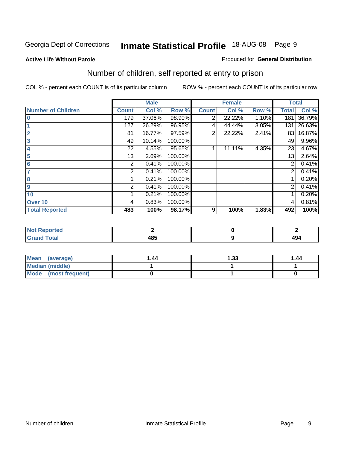#### **Active Life Without Parole**

#### Produced for **General Distribution**

### Number of children, self reported at entry to prison

|                           |              | <b>Male</b> |         |              | <b>Female</b> |       | <b>Total</b> |        |
|---------------------------|--------------|-------------|---------|--------------|---------------|-------|--------------|--------|
| <b>Number of Children</b> | <b>Count</b> | Col %       | Row %   | <b>Count</b> | Col %         | Row % | <b>Total</b> | Col %  |
| $\bf{0}$                  | 179          | 37.06%      | 98.90%  | 2            | 22.22%        | 1.10% | 181          | 36.79% |
|                           | 127          | 26.29%      | 96.95%  | 4            | 44.44%        | 3.05% | 131          | 26.63% |
| $\overline{2}$            | 81           | 16.77%      | 97.59%  | 2            | 22.22%        | 2.41% | 83           | 16.87% |
| 3                         | 49           | 10.14%      | 100.00% |              |               |       | 49           | 9.96%  |
| 4                         | 22           | 4.55%       | 95.65%  |              | 11.11%        | 4.35% | 23           | 4.67%  |
| 5                         | 13           | 2.69%       | 100.00% |              |               |       | 13           | 2.64%  |
| $6\phantom{a}$            | 2            | 0.41%       | 100.00% |              |               |       | 2            | 0.41%  |
|                           | 2            | 0.41%       | 100.00% |              |               |       | 2            | 0.41%  |
| 8                         |              | 0.21%       | 100.00% |              |               |       |              | 0.20%  |
| 9                         | 2            | 0.41%       | 100.00% |              |               |       | 2            | 0.41%  |
| 10                        |              | 0.21%       | 100.00% |              |               |       |              | 0.20%  |
| Over 10                   | 4            | 0.83%       | 100.00% |              |               |       | 4            | 0.81%  |
| <b>Total Reported</b>     | 483          | 100%        | 98.17%  | 9            | 100%          | 1.83% | 492          | 100%   |

| eportea<br>.                    |      |             |
|---------------------------------|------|-------------|
| <b>otal</b><br>$\mathbf{v}$ and | 10 E | 10 A<br>494 |

| <b>Mean</b><br>(average) | 1.44 | 1.33 | 1.44 |
|--------------------------|------|------|------|
| <b>Median (middle)</b>   |      |      |      |
| Mode (most frequent)     |      |      |      |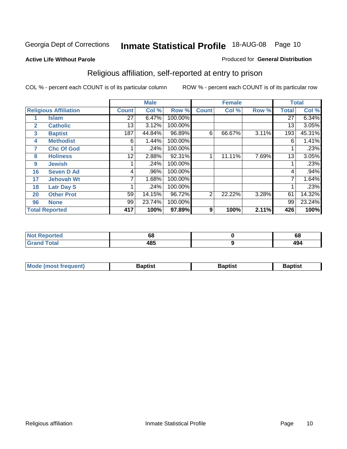#### **Active Life Without Parole**

#### Produced for **General Distribution**

### Religious affiliation, self-reported at entry to prison

|              |                              |              | <b>Male</b> |         |              | <b>Female</b> |       |              | <b>Total</b> |
|--------------|------------------------------|--------------|-------------|---------|--------------|---------------|-------|--------------|--------------|
|              | <b>Religious Affiliation</b> | <b>Count</b> | Col %       | Row %   | <b>Count</b> | Col %         | Row % | <b>Total</b> | Col %        |
|              | <b>Islam</b>                 | 27           | 6.47%       | 100.00% |              |               |       | 27           | 6.34%        |
| $\mathbf{2}$ | <b>Catholic</b>              | 13           | 3.12%       | 100.00% |              |               |       | 13           | 3.05%        |
| 3            | <b>Baptist</b>               | 187          | 44.84%      | 96.89%  | 6            | 66.67%        | 3.11% | 193          | 45.31%       |
| 4            | <b>Methodist</b>             | 6            | 1.44%       | 100.00% |              |               |       | 6            | 1.41%        |
| 7            | <b>Chc Of God</b>            |              | .24%        | 100.00% |              |               |       |              | .23%         |
| 8            | <b>Holiness</b>              | 12           | 2.88%       | 92.31%  |              | 11.11%        | 7.69% | 13           | 3.05%        |
| 9            | <b>Jewish</b>                |              | .24%        | 100.00% |              |               |       |              | .23%         |
| 16           | <b>Seven D Ad</b>            | 4            | .96%        | 100.00% |              |               |       | 4            | $.94\%$      |
| 17           | <b>Jehovah Wt</b>            |              | 1.68%       | 100.00% |              |               |       |              | 1.64%        |
| 18           | <b>Latr Day S</b>            |              | .24%        | 100.00% |              |               |       |              | .23%         |
| 20           | <b>Other Prot</b>            | 59           | 14.15%      | 96.72%  | 2            | 22.22%        | 3.28% | 61           | 14.32%       |
| 96           | <b>None</b>                  | 99           | 23.74%      | 100.00% |              |               |       | 99           | 23.24%       |
|              | <b>Total Reported</b>        | 417          | 100%        | 97.89%  | 9            | 100%          | 2.11% | 426          | 100%         |

| <b>rted</b> | oa          | vo           |
|-------------|-------------|--------------|
| 'otal       | 10 E<br>90. | 1 N A<br>TJ- |

| <b>Mode (most frequent)</b> | <b>Baptist</b> | <b>Baptist</b> | <b>Baptist</b> |
|-----------------------------|----------------|----------------|----------------|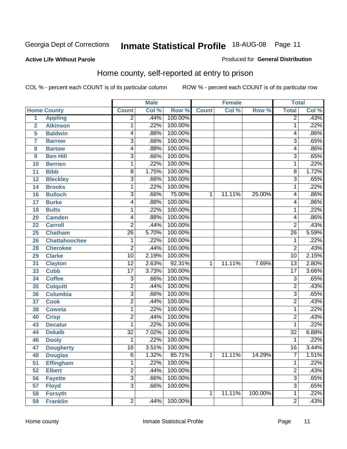#### **Active Life Without Parole**

#### Produced for **General Distribution**

### Home county, self-reported at entry to prison

|                |                      |                         | <b>Male</b> |         |              | <b>Female</b> |         | <b>Total</b>    |       |
|----------------|----------------------|-------------------------|-------------|---------|--------------|---------------|---------|-----------------|-------|
|                | <b>Home County</b>   | <b>Count</b>            | Col %       | Row %   | <b>Count</b> | Col %         | Row %   | <b>Total</b>    | Col % |
| 1              | <b>Appling</b>       | $\overline{2}$          | .44%        | 100.00% |              |               |         | $\overline{2}$  | .43%  |
| $\overline{2}$ | <b>Atkinson</b>      | 1                       | .22%        | 100.00% |              |               |         | 1               | .22%  |
| 5              | <b>Baldwin</b>       | 4                       | .88%        | 100.00% |              |               |         | 4               | .86%  |
| 7              | <b>Barrow</b>        | $\overline{3}$          | .66%        | 100.00% |              |               |         | 3               | .65%  |
| 8              | <b>Bartow</b>        | 4                       | .88%        | 100.00% |              |               |         | 4               | .86%  |
| 9              | <b>Ben Hill</b>      | $\overline{3}$          | .66%        | 100.00% |              |               |         | $\overline{3}$  | .65%  |
| 10             | <b>Berrien</b>       | 1                       | .22%        | 100.00% |              |               |         | 1               | .22%  |
| 11             | <b>Bibb</b>          | 8                       | 1.75%       | 100.00% |              |               |         | 8               | 1.72% |
| 12             | <b>Bleckley</b>      | $\overline{3}$          | .66%        | 100.00% |              |               |         | 3               | .65%  |
| 14             | <b>Brooks</b>        | 1                       | .22%        | 100.00% |              |               |         | 1               | .22%  |
| 16             | <b>Bulloch</b>       | 3                       | .66%        | 75.00%  | 1            | 11.11%        | 25.00%  | 4               | .86%  |
| 17             | <b>Burke</b>         | 4                       | .88%        | 100.00% |              |               |         | 4               | .86%  |
| 18             | <b>Butts</b>         | 1                       | .22%        | 100.00% |              |               |         | 1               | .22%  |
| 20             | <b>Camden</b>        | 4                       | .88%        | 100.00% |              |               |         | 4               | .86%  |
| 22             | <b>Carroll</b>       | $\overline{2}$          | .44%        | 100.00% |              |               |         | $\overline{2}$  | .43%  |
| 25             | <b>Chatham</b>       | 26                      | 5.70%       | 100.00% |              |               |         | $\overline{26}$ | 5.59% |
| 26             | <b>Chattahoochee</b> | $\mathbf 1$             | .22%        | 100.00% |              |               |         | 1               | .22%  |
| 28             | <b>Cherokee</b>      | $\overline{\mathbf{c}}$ | .44%        | 100.00% |              |               |         | $\overline{2}$  | .43%  |
| 29             | <b>Clarke</b>        | $\overline{10}$         | 2.19%       | 100.00% |              |               |         | $\overline{10}$ | 2.15% |
| 31             | <b>Clayton</b>       | $\overline{12}$         | 2.63%       | 92.31%  | 1            | 11.11%        | 7.69%   | 13              | 2.80% |
| 33             | <b>Cobb</b>          | $\overline{17}$         | 3.73%       | 100.00% |              |               |         | $\overline{17}$ | 3.66% |
| 34             | <b>Coffee</b>        | $\overline{3}$          | .66%        | 100.00% |              |               |         | 3               | .65%  |
| 35             | <b>Colquitt</b>      | $\overline{2}$          | .44%        | 100.00% |              |               |         | $\overline{2}$  | .43%  |
| 36             | <b>Columbia</b>      | $\overline{3}$          | .66%        | 100.00% |              |               |         | 3               | .65%  |
| 37             | <b>Cook</b>          | $\overline{\mathbf{c}}$ | .44%        | 100.00% |              |               |         | $\overline{2}$  | .43%  |
| 38             | <b>Coweta</b>        | 1                       | .22%        | 100.00% |              |               |         | 1               | .22%  |
| 40             | <b>Crisp</b>         | $\overline{\mathbf{c}}$ | .44%        | 100.00% |              |               |         | 2               | .43%  |
| 43             | <b>Decatur</b>       | 1                       | .22%        | 100.00% |              |               |         | 1               | .22%  |
| 44             | <b>Dekalb</b>        | $\overline{32}$         | 7.02%       | 100.00% |              |               |         | $\overline{32}$ | 6.88% |
| 46             | <b>Dooly</b>         | 1                       | .22%        | 100.00% |              |               |         | 1               | .22%  |
| 47             | <b>Dougherty</b>     | $\overline{16}$         | 3.51%       | 100.00% |              |               |         | $\overline{16}$ | 3.44% |
| 48             | <b>Douglas</b>       | 6                       | 1.32%       | 85.71%  | 1            | 11.11%        | 14.29%  | ſ               | 1.51% |
| 51             | <b>Effingham</b>     | 1                       | .22%        | 100.00% |              |               |         | 1               | .22%  |
| 52             | <b>Elbert</b>        | $\overline{2}$          | .44%        | 100.00% |              |               |         | $\overline{2}$  | .43%  |
| 56             | <b>Fayette</b>       | $\overline{3}$          | .66%        | 100.00% |              |               |         | $\overline{3}$  | .65%  |
| 57             | <b>Floyd</b>         | $\overline{3}$          | .66%        | 100.00% |              |               |         | $\overline{3}$  | .65%  |
| 58             | <b>Forsyth</b>       |                         |             |         | 1            | 11.11%        | 100.00% | 1               | .22%  |
| 59             | <b>Franklin</b>      | $\overline{2}$          | .44%        | 100.00% |              |               |         | $\overline{2}$  | .43%  |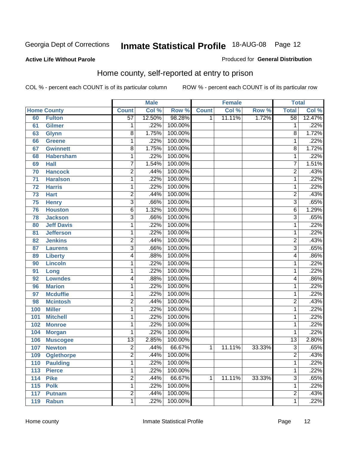#### **Active Life Without Parole**

#### Produced for **General Distribution**

### Home county, self-reported at entry to prison

|     |                    |                 | <b>Male</b> |         |              | <b>Female</b> |        | <b>Total</b>    |        |
|-----|--------------------|-----------------|-------------|---------|--------------|---------------|--------|-----------------|--------|
|     | <b>Home County</b> | <b>Count</b>    | Col %       | Row %   | <b>Count</b> | Col %         | Row %  | <b>Total</b>    | Col %  |
| 60  | <b>Fulton</b>      | $\overline{57}$ | 12.50%      | 98.28%  | 1            | 11.11%        | 1.72%  | $\overline{58}$ | 12.47% |
| 61  | <b>Gilmer</b>      | 1               | .22%        | 100.00% |              |               |        | 1               | .22%   |
| 63  | <b>Glynn</b>       | 8               | 1.75%       | 100.00% |              |               |        | 8               | 1.72%  |
| 66  | <b>Greene</b>      | 1               | .22%        | 100.00% |              |               |        | 1               | .22%   |
| 67  | <b>Gwinnett</b>    | $\overline{8}$  | 1.75%       | 100.00% |              |               |        | 8               | 1.72%  |
| 68  | <b>Habersham</b>   | 1               | .22%        | 100.00% |              |               |        | 1               | .22%   |
| 69  | <b>Hall</b>        | 7               | 1.54%       | 100.00% |              |               |        | 7               | 1.51%  |
| 70  | <b>Hancock</b>     | $\overline{2}$  | .44%        | 100.00% |              |               |        | $\overline{2}$  | .43%   |
| 71  | <b>Haralson</b>    | 1               | .22%        | 100.00% |              |               |        | 1               | .22%   |
| 72  | <b>Harris</b>      | 1               | .22%        | 100.00% |              |               |        | 1               | .22%   |
| 73  | <b>Hart</b>        | 2               | .44%        | 100.00% |              |               |        | $\overline{c}$  | .43%   |
| 75  | <b>Henry</b>       | $\overline{3}$  | .66%        | 100.00% |              |               |        | $\overline{3}$  | .65%   |
| 76  | <b>Houston</b>     | 6               | 1.32%       | 100.00% |              |               |        | 6               | 1.29%  |
| 78  | <b>Jackson</b>     | $\overline{3}$  | .66%        | 100.00% |              |               |        | $\overline{3}$  | .65%   |
| 80  | <b>Jeff Davis</b>  | 1               | .22%        | 100.00% |              |               |        | 1               | .22%   |
| 81  | <b>Jefferson</b>   | 1               | .22%        | 100.00% |              |               |        | 1               | .22%   |
| 82  | <b>Jenkins</b>     | 2               | .44%        | 100.00% |              |               |        | 2               | .43%   |
| 87  | <b>Laurens</b>     | $\overline{3}$  | .66%        | 100.00% |              |               |        | $\overline{3}$  | .65%   |
| 89  | <b>Liberty</b>     | 4               | .88%        | 100.00% |              |               |        | 4               | .86%   |
| 90  | <b>Lincoln</b>     | 1               | .22%        | 100.00% |              |               |        | 1               | .22%   |
| 91  | Long               | $\mathbf{1}$    | .22%        | 100.00% |              |               |        | 1               | .22%   |
| 92  | <b>Lowndes</b>     | 4               | .88%        | 100.00% |              |               |        | 4               | .86%   |
| 96  | <b>Marion</b>      | 1               | .22%        | 100.00% |              |               |        | 1               | .22%   |
| 97  | <b>Mcduffie</b>    | 1               | .22%        | 100.00% |              |               |        | 1               | .22%   |
| 98  | <b>Mcintosh</b>    | $\overline{2}$  | .44%        | 100.00% |              |               |        | $\overline{c}$  | .43%   |
| 100 | <b>Miller</b>      | 1               | .22%        | 100.00% |              |               |        | 1               | .22%   |
| 101 | <b>Mitchell</b>    | 1               | .22%        | 100.00% |              |               |        | 1               | .22%   |
| 102 | <b>Monroe</b>      | 1               | .22%        | 100.00% |              |               |        | 1               | .22%   |
| 104 | <b>Morgan</b>      | 1               | .22%        | 100.00% |              |               |        | 1               | .22%   |
| 106 | <b>Muscogee</b>    | $\overline{13}$ | 2.85%       | 100.00% |              |               |        | $\overline{13}$ | 2.80%  |
| 107 | <b>Newton</b>      | $\overline{2}$  | .44%        | 66.67%  | $\mathbf 1$  | 11.11%        | 33.33% | $\overline{3}$  | .65%   |
| 109 | <b>Oglethorpe</b>  | 2               | .44%        | 100.00% |              |               |        | $\overline{c}$  | .43%   |
| 110 | <b>Paulding</b>    | $\mathbf{1}$    | .22%        | 100.00% |              |               |        | 1               | .22%   |
| 113 | <b>Pierce</b>      | 1               | .22%        | 100.00% |              |               |        | 1               | .22%   |
| 114 | <b>Pike</b>        | $\overline{2}$  | .44%        | 66.67%  | 1            | 11.11%        | 33.33% | $\overline{3}$  | .65%   |
| 115 | <b>Polk</b>        | 1               | .22%        | 100.00% |              |               |        | 1               | .22%   |
| 117 | <b>Putnam</b>      | $\overline{2}$  | .44%        | 100.00% |              |               |        | $\overline{2}$  | .43%   |
| 119 | <b>Rabun</b>       | 1               | .22%        | 100.00% |              |               |        | 1               | .22%   |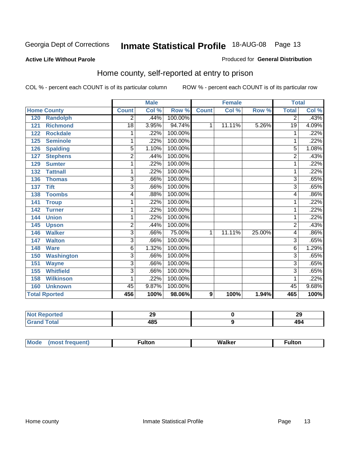#### **Active Life Without Parole**

#### Produced for **General Distribution**

### Home county, self-reported at entry to prison

|                      |                   |                | <b>Male</b> |         |              | <b>Female</b> |        | <b>Total</b>   |         |
|----------------------|-------------------|----------------|-------------|---------|--------------|---------------|--------|----------------|---------|
| <b>Home County</b>   |                   | <b>Count</b>   | Col %       | Row %   | <b>Count</b> | Col %         | Row %  | <b>Total</b>   | Col %   |
| 120                  | <b>Randolph</b>   | 2              | .44%        | 100.00% |              |               |        | 2              | .43%    |
| 121                  | <b>Richmond</b>   | 18             | 3.95%       | 94.74%  | 1            | 11.11%        | 5.26%  | 19             | 4.09%   |
| 122                  | <b>Rockdale</b>   | 1              | .22%        | 100.00% |              |               |        | 1              | .22%    |
| 125                  | <b>Seminole</b>   | 1              | .22%        | 100.00% |              |               |        | 1              | .22%    |
| 126                  | <b>Spalding</b>   | 5              | 1.10%       | 100.00% |              |               |        | 5              | 1.08%   |
| 127                  | <b>Stephens</b>   | 2              | .44%        | 100.00% |              |               |        | $\overline{c}$ | .43%    |
| 129                  | <b>Sumter</b>     | 1              | .22%        | 100.00% |              |               |        |                | .22%    |
| 132                  | <b>Tattnall</b>   | 1              | .22%        | 100.00% |              |               |        |                | .22%    |
| 136                  | <b>Thomas</b>     | 3              | .66%        | 100.00% |              |               |        | 3              | .65%    |
| 137                  | <b>Tift</b>       | $\overline{3}$ | .66%        | 100.00% |              |               |        | $\overline{3}$ | .65%    |
| 138                  | <b>Toombs</b>     | 4              | .88%        | 100.00% |              |               |        | 4              | .86%    |
| 141                  | <b>Troup</b>      | 1              | .22%        | 100.00% |              |               |        | 1              | .22%    |
| 142                  | <b>Turner</b>     | 1              | .22%        | 100.00% |              |               |        | 1              | .22%    |
| 144                  | <b>Union</b>      | 1              | .22%        | 100.00% |              |               |        |                | .22%    |
| 145                  | <b>Upson</b>      | $\overline{2}$ | .44%        | 100.00% |              |               |        | 2              | .43%    |
| 146                  | <b>Walker</b>     | 3              | .66%        | 75.00%  | 1            | 11.11%        | 25.00% | 4              | .86%    |
| 147                  | <b>Walton</b>     | 3              | .66%        | 100.00% |              |               |        | 3              | .65%    |
| 148                  | <b>Ware</b>       | 6              | 1.32%       | 100.00% |              |               |        | 6              | 1.29%   |
| 150                  | <b>Washington</b> | 3              | .66%        | 100.00% |              |               |        | 3              | .65%    |
| 151                  | <b>Wayne</b>      | 3              | .66%        | 100.00% |              |               |        | 3              | .65%    |
| 155                  | <b>Whitfield</b>  | $\overline{3}$ | .66%        | 100.00% |              |               |        | 3              | .65%    |
| 158                  | <b>Wilkinson</b>  | 1              | .22%        | 100.00% |              |               |        |                | $.22\%$ |
| 160                  | <b>Unknown</b>    | 45             | 9.87%       | 100.00% |              |               |        | 45             | 9.68%   |
| <b>Total Rported</b> |                   | 456            | 100%        | 98.06%  | 9            | 100%          | 1.94%  | 465            | 100%    |

| тео.        | $\sim$<br>LJ | 29  |
|-------------|--------------|-----|
| <b>otal</b> | 10 E         | ИΛ. |
| $\sim$ .    | roj          | 17  |

| Mode<br>(most frequent) | ·ulton | Walker | ∙ulton |
|-------------------------|--------|--------|--------|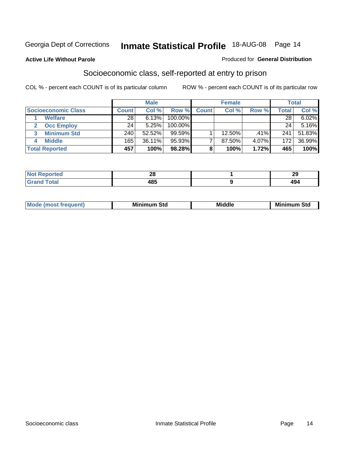**Active Life Without Parole** 

#### Produced for **General Distribution**

### Socioeconomic class, self-reported at entry to prison

|                            |              | <b>Male</b> |            |              | <b>Female</b> |       |              | <b>Total</b> |
|----------------------------|--------------|-------------|------------|--------------|---------------|-------|--------------|--------------|
| <b>Socioeconomic Class</b> | <b>Count</b> | Col %       | Row %      | <b>Count</b> | Col %         | Row % | <b>Total</b> | Col %        |
| <b>Welfare</b>             | 28           | 6.13%       | $100.00\%$ |              |               |       | 28           | 6.02%        |
| <b>Occ Employ</b>          | 24           | 5.25%       | $100.00\%$ |              |               |       | 24           | $5.16\%$     |
| <b>Minimum Std</b>         | 240          | 52.52%      | $99.59\%$  |              | 12.50%        | .41%  | 241          | 51.83%       |
| <b>Middle</b>              | 165          | 36.11%      | 95.93%     |              | 87.50%        | 4.07% | 172          | 36.99%       |
| <b>Total Reported</b>      | 457          | 100%        | 98.28%     |              | 100%          | 1.72% | 465          | 100%         |

| . a u                       | ົ    | - -        |
|-----------------------------|------|------------|
| $\mathcal{L} = \mathcal{L}$ | Zu   | $-\sqrt{}$ |
| $C = 4 - 7$                 | 10 E |            |
| -                           | 403  | .          |

| .<br>___ |
|----------|
|----------|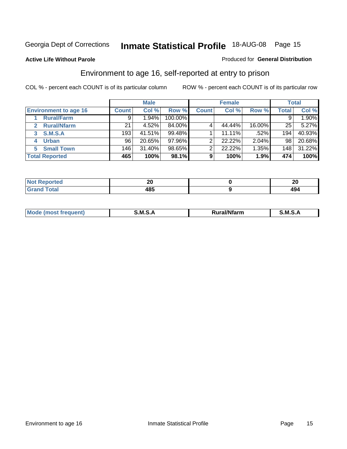#### **Active Life Without Parole**

#### Produced for **General Distribution**

### Environment to age 16, self-reported at entry to prison

|                              |              | <b>Male</b> |           |              | <b>Female</b> |        |              | <b>Total</b> |
|------------------------------|--------------|-------------|-----------|--------------|---------------|--------|--------------|--------------|
| <b>Environment to age 16</b> | <b>Count</b> | Col %       | Row %     | <b>Count</b> | Col %         | Row %  | <b>Total</b> | Col %        |
| <b>Rural/Farm</b>            | 9            | $1.94\%$    | 100.00%   |              |               |        |              | 1.90%        |
| <b>Rural/Nfarm</b><br>2      | 21           | 4.52%       | 84.00%    |              | 44.44%        | 16.00% | 25           | 5.27%        |
| <b>S.M.S.A</b><br>3          | 193          | 41.51%      | 99.48%    |              | 11.11%        | .52%l  | 194          | 40.93%       |
| <b>Urban</b><br>4            | 96           | 20.65%      | $97.96\%$ |              | 22.22%        | 2.04%  | 98           | 20.68%       |
| <b>Small Town</b>            | 146          | 31.40%      | 98.65%    | ⌒            | 22.22%        | 1.35%  | 148          | 31.22%       |
| <b>Total Reported</b>        | 465          | 100%        | 98.1%     | 9            | 100%          | 1.9%   | 474          | 100%         |

| <b>rted</b>           | ZU  | $\mathbf{a}$<br>ZU |
|-----------------------|-----|--------------------|
| <b>Total</b><br>Grand | 485 | 494                |

| Mo<br>זחנ | M<br>.<br>______ | $1.3.14 \times 10^{18}$<br>. Ifara<br>arm | -<br>M<br>______ |
|-----------|------------------|-------------------------------------------|------------------|
|           |                  |                                           |                  |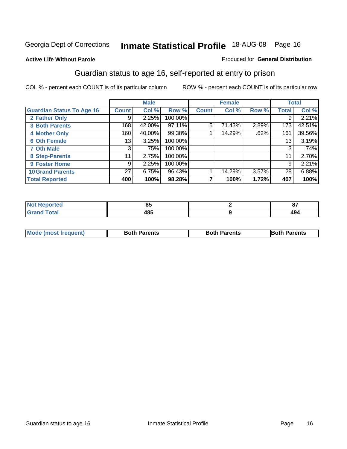#### **Active Life Without Parole**

#### Produced for **General Distribution**

### Guardian status to age 16, self-reported at entry to prison

|                                  |              | <b>Male</b> |         |              | <b>Female</b> |       |              | <b>Total</b> |
|----------------------------------|--------------|-------------|---------|--------------|---------------|-------|--------------|--------------|
| <b>Guardian Status To Age 16</b> | <b>Count</b> | Col %       | Row %   | <b>Count</b> | Col %         | Row % | <b>Total</b> | Col %        |
| 2 Father Only                    | 9            | 2.25%       | 100.00% |              |               |       | 9            | 2.21%        |
| <b>3 Both Parents</b>            | 168          | 42.00%      | 97.11%  | 5            | 71.43%        | 2.89% | 173          | 42.51%       |
| <b>4 Mother Only</b>             | 160          | 40.00%      | 99.38%  |              | 14.29%        | .62%  | 161          | 39.56%       |
| <b>6 Oth Female</b>              | 13           | 3.25%       | 100.00% |              |               |       | 13           | 3.19%        |
| <b>7 Oth Male</b>                | 3            | .75%        | 100.00% |              |               |       | 3            | .74%         |
| 8 Step-Parents                   | 11           | 2.75%       | 100.00% |              |               |       | 11           | 2.70%        |
| 9 Foster Home                    | 9            | 2.25%       | 100.00% |              |               |       | 9            | 2.21%        |
| <b>10 Grand Parents</b>          | 27           | 6.75%       | 96.43%  |              | 14.29%        | 3.57% | 28           | 6.88%        |
| <b>Total Reported</b>            | 400          | 100%        | 98.28%  | ⇁            | 100%          | 1.72% | 407          | 100%         |

| $-$<br>uu | - 05<br>o |
|-----------|-----------|
| .<br>__   | "<br>ᅮ    |

| Mode (most frequent) | <b>Both Parents</b> | <b>Both Parents</b> | <b>IBoth Parents</b> |
|----------------------|---------------------|---------------------|----------------------|
|                      |                     |                     |                      |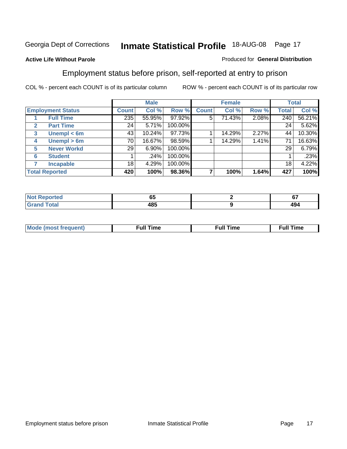#### **Active Life Without Parole**

#### Produced for **General Distribution**

### Employment status before prison, self-reported at entry to prison

|              |                          |              | <b>Male</b> |         |              | <b>Female</b> |       |       | <b>Total</b> |
|--------------|--------------------------|--------------|-------------|---------|--------------|---------------|-------|-------|--------------|
|              | <b>Employment Status</b> | <b>Count</b> | Col %       | Row %   | <b>Count</b> | Col %         | Row % | Total | Col %        |
|              | <b>Full Time</b>         | 235          | 55.95%      | 97.92%  | 5            | 71.43%        | 2.08% | 240   | 56.21%       |
| $\mathbf{2}$ | <b>Part Time</b>         | 24           | 5.71%       | 100.00% |              |               |       | 24    | 5.62%        |
| 3            | Unempl $<$ 6m            | 43           | 10.24%      | 97.73%  |              | 14.29%        | 2.27% | 44    | 10.30%       |
| 4            | Unempl > 6m              | 70           | 16.67%      | 98.59%  |              | 14.29%        | 1.41% | 71    | 16.63%       |
| 5            | <b>Never Workd</b>       | 29           | 6.90%       | 100.00% |              |               |       | 29    | 6.79%        |
| 6            | <b>Student</b>           |              | .24%        | 100.00% |              |               |       |       | .23%         |
|              | <b>Incapable</b>         | 18           | 4.29%       | 100.00% |              |               |       | 18    | 4.22%        |
|              | <b>Total Reported</b>    | 420          | 100%        | 98.36%  |              | 100%          | 1.64% | 427   | 100%         |

| тес.             | - -<br>uu | $\sim$<br>v. |
|------------------|-----------|--------------|
| Coto"<br>_______ | 485       | 494          |

| Mo | 'me<br>uн<br>the contract of the contract of the contract of the contract of the contract of the contract of the contract of | ïme<br>uı.<br>the contract of the contract of the contract of the contract of the contract of the contract of the contract of |
|----|------------------------------------------------------------------------------------------------------------------------------|-------------------------------------------------------------------------------------------------------------------------------|
|    |                                                                                                                              |                                                                                                                               |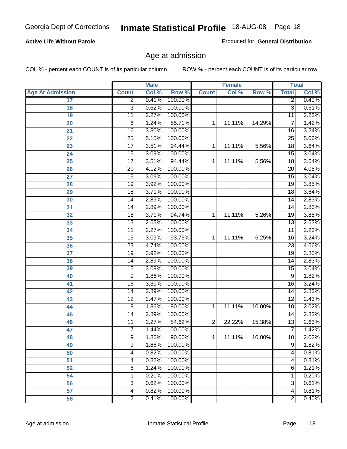#### **Active Life Without Parole**

Produced for **General Distribution**

### Age at admission

|                         |                 | <b>Male</b> |           |                | <b>Female</b> |        |                 | <b>Total</b> |
|-------------------------|-----------------|-------------|-----------|----------------|---------------|--------|-----------------|--------------|
| <b>Age At Admission</b> | <b>Count</b>    | Col %       | Row %     | <b>Count</b>   | Col %         | Row %  | <b>Total</b>    | Col %        |
| 17                      | $\overline{2}$  | 0.41%       | 100.00%   |                |               |        | 2               | 0.40%        |
| 18                      | $\overline{3}$  | 0.62%       | 100.00%   |                |               |        | $\overline{3}$  | 0.61%        |
| 19                      | $\overline{11}$ | 2.27%       | 100.00%   |                |               |        | $\overline{11}$ | 2.23%        |
| 20                      | 6               | 1.24%       | 85.71%    | 1              | 11.11%        | 14.29% | 7               | 1.42%        |
| 21                      | $\overline{16}$ | 3.30%       | 100.00%   |                |               |        | 16              | 3.24%        |
| 22                      | $\overline{25}$ | 5.15%       | 100.00%   |                |               |        | $\overline{25}$ | 5.06%        |
| 23                      | $\overline{17}$ | 3.51%       | 94.44%    | 1              | 11.11%        | 5.56%  | $\overline{18}$ | 3.64%        |
| 24                      | 15              | 3.09%       | 100.00%   |                |               |        | 15              | 3.04%        |
| 25                      | $\overline{17}$ | 3.51%       | 94.44%    | 1              | 11.11%        | 5.56%  | $\overline{18}$ | 3.64%        |
| 26                      | $\overline{20}$ | 4.12%       | 100.00%   |                |               |        | 20              | 4.05%        |
| 27                      | $\overline{15}$ | 3.09%       | 100.00%   |                |               |        | $\overline{15}$ | 3.04%        |
| 28                      | 19              | 3.92%       | 100.00%   |                |               |        | 19              | 3.85%        |
| 29                      | $\overline{18}$ | 3.71%       | 100.00%   |                |               |        | $\overline{18}$ | 3.64%        |
| 30                      | $\overline{14}$ | 2.89%       | 100.00%   |                |               |        | 14              | 2.83%        |
| 31                      | $\overline{14}$ | 2.89%       | 100.00%   |                |               |        | $\overline{14}$ | 2.83%        |
| 32                      | 18              | 3.71%       | 94.74%    | 1              | 11.11%        | 5.26%  | 19              | 3.85%        |
| 33                      | $\overline{13}$ | 2.68%       | 100.00%   |                |               |        | 13              | 2.63%        |
| 34                      | 11              | 2.27%       | 100.00%   |                |               |        | 11              | 2.23%        |
| 35                      | 15              | 3.09%       | 93.75%    | 1              | 11.11%        | 6.25%  | 16              | 3.24%        |
| 36                      | $\overline{23}$ | 4.74%       | 100.00%   |                |               |        | $\overline{23}$ | 4.66%        |
| 37                      | $\overline{19}$ | 3.92%       | 100.00%   |                |               |        | $\overline{19}$ | 3.85%        |
| 38                      | $\overline{14}$ | 2.89%       | 100.00%   |                |               |        | 14              | 2.83%        |
| 39                      | 15              | 3.09%       | 100.00%   |                |               |        | $\overline{15}$ | 3.04%        |
| 40                      | 9               | 1.86%       | 100.00%   |                |               |        | 9               | 1.82%        |
| 41                      | 16              | 3.30%       | 100.00%   |                |               |        | 16              | 3.24%        |
| 42                      | 14              | 2.89%       | 100.00%   |                |               |        | 14              | 2.83%        |
| 43                      | $\overline{12}$ | 2.47%       | 100.00%   |                |               |        | $\overline{12}$ | 2.43%        |
| 44                      | 9               | 1.86%       | 90.00%    | 1              | 11.11%        | 10.00% | 10              | 2.02%        |
| 45                      | 14              | 2.89%       | 100.00%   |                |               |        | 14              | 2.83%        |
| 46                      | $\overline{11}$ | 2.27%       | 84.62%    | $\overline{2}$ | 22.22%        | 15.38% | $\overline{13}$ | 2.63%        |
| 47                      | $\overline{7}$  | 1.44%       | 100.00%   |                |               |        | 7               | 1.42%        |
| 48                      | 9               | 1.86%       | $90.00\%$ | 1              | 11.11%        | 10.00% | 10              | 2.02%        |
| 49                      | $\overline{9}$  | 1.86%       | 100.00%   |                |               |        | $\overline{9}$  | 1.82%        |
| 50                      | 4               | 0.82%       | 100.00%   |                |               |        | 4               | 0.81%        |
| 51                      | 4               | 0.82%       | 100.00%   |                |               |        | 4               | 0.81%        |
| 52                      | 6               | 1.24%       | 100.00%   |                |               |        | 6               | 1.21%        |
| 54                      | 1               | 0.21%       | 100.00%   |                |               |        | 1               | 0.20%        |
| 56                      | 3               | 0.62%       | 100.00%   |                |               |        | $\overline{3}$  | 0.61%        |
| 57                      | 4               | 0.82%       | 100.00%   |                |               |        | $\overline{4}$  | 0.81%        |
| 58                      | $\overline{2}$  | 0.41%       | 100.00%   |                |               |        | $\overline{2}$  | 0.40%        |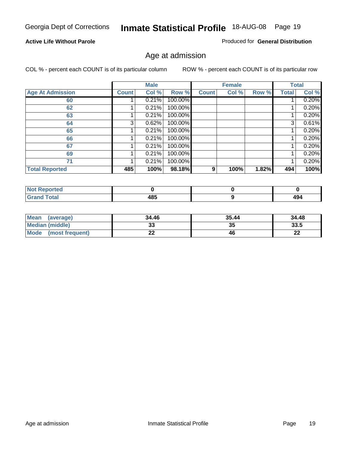#### **Active Life Without Parole**

Produced for **General Distribution**

### Age at admission

|                         |              | <b>Male</b> |         |              | <b>Female</b> |       |              | <b>Total</b> |
|-------------------------|--------------|-------------|---------|--------------|---------------|-------|--------------|--------------|
| <b>Age At Admission</b> | <b>Count</b> | Col %       | Row %   | <b>Count</b> | Col %         | Row % | <b>Total</b> | Col %        |
| 60                      |              | 0.21%       | 100.00% |              |               |       |              | 0.20%        |
| 62                      |              | 0.21%       | 100.00% |              |               |       |              | 0.20%        |
| 63                      |              | 0.21%       | 100.00% |              |               |       |              | 0.20%        |
| 64                      | 3            | 0.62%       | 100.00% |              |               |       | 3            | 0.61%        |
| 65                      |              | 0.21%       | 100.00% |              |               |       |              | 0.20%        |
| 66                      |              | 0.21%       | 100.00% |              |               |       |              | 0.20%        |
| 67                      |              | 0.21%       | 100.00% |              |               |       |              | 0.20%        |
| 69                      |              | 0.21%       | 100.00% |              |               |       |              | 0.20%        |
| 71                      |              | 0.21%       | 100.00% |              |               |       |              | 0.20%        |
| <b>Total Reported</b>   | 485          | 100%        | 98.18%  | 9            | 100%          | 1.82% | 494          | 100%         |

| <b>Not Reported</b> |     |     |
|---------------------|-----|-----|
| Total               | 485 | 494 |

| Mean (average)         | 34.46    | 35.44 | 34.48   |
|------------------------|----------|-------|---------|
| <b>Median (middle)</b> | აა       | 35    | 33.5    |
| Mode (most frequent)   | ^^<br>LL | 46    | ົ<br>44 |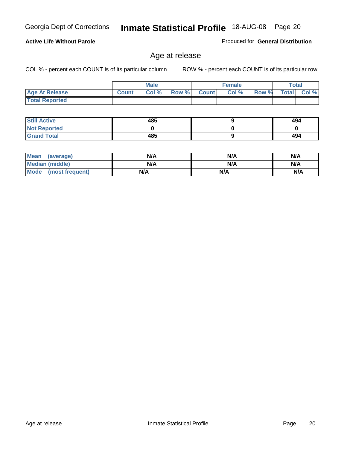#### **Active Life Without Parole**

Produced for **General Distribution**

### Age at release

|                       |              | <b>Male</b> |       |                | <b>Female</b> |       | <b>Total</b> |       |
|-----------------------|--------------|-------------|-------|----------------|---------------|-------|--------------|-------|
| <b>Age At Release</b> | <b>Count</b> | Col%        | Row % | <b>Count</b> Ⅰ | Col %         | Row % | <b>Total</b> | Col % |
| <b>Total Reported</b> |              |             |       |                |               |       |              |       |

| <b>Still Active</b> | 485 | 494 |
|---------------------|-----|-----|
| <b>Not Reported</b> |     |     |
| <b>Grand Total</b>  | 485 | 494 |

| Mean<br>(average)      | N/A | N/A | N/A |
|------------------------|-----|-----|-----|
| <b>Median (middle)</b> | N/A | N/A | N/A |
| Mode (most frequent)   | N/A | N/A | N/A |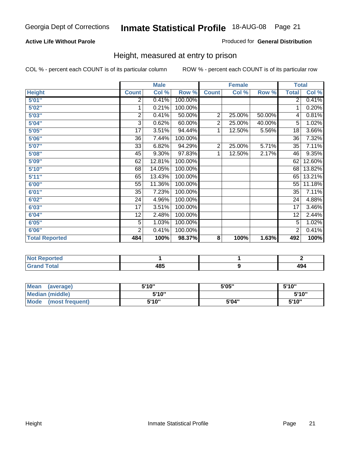#### **Active Life Without Parole**

#### Produced for **General Distribution**

### Height, measured at entry to prison

|                       |                | <b>Male</b> |         |                | <b>Female</b> |        |                 | <b>Total</b> |
|-----------------------|----------------|-------------|---------|----------------|---------------|--------|-----------------|--------------|
| <b>Height</b>         | <b>Count</b>   | Col %       | Row %   | <b>Count</b>   | Col %         | Row %  | <b>Total</b>    | Col %        |
| 5'01''                | 2              | 0.41%       | 100.00% |                |               |        | 2 <sup>1</sup>  | 0.41%        |
| 5'02"                 | 1              | 0.21%       | 100.00% |                |               |        | 1               | 0.20%        |
| 5'03"                 | 2              | 0.41%       | 50.00%  | $\overline{c}$ | 25.00%        | 50.00% | 4               | 0.81%        |
| 5'04"                 | 3              | 0.62%       | 60.00%  | 2              | 25.00%        | 40.00% | 5               | 1.02%        |
| 5'05"                 | 17             | 3.51%       | 94.44%  | 1              | 12.50%        | 5.56%  | 18              | 3.66%        |
| 5'06"                 | 36             | 7.44%       | 100.00% |                |               |        | $\overline{36}$ | 7.32%        |
| 5'07''                | 33             | 6.82%       | 94.29%  | 2              | 25.00%        | 5.71%  | 35              | 7.11%        |
| 5'08"                 | 45             | 9.30%       | 97.83%  | 1              | 12.50%        | 2.17%  | 46              | 9.35%        |
| 5'09''                | 62             | 12.81%      | 100.00% |                |               |        | 62              | 12.60%       |
| 5'10''                | 68             | 14.05%      | 100.00% |                |               |        | 68              | 13.82%       |
| 5'11''                | 65             | 13.43%      | 100.00% |                |               |        | 65              | 13.21%       |
| 6'00"                 | 55             | 11.36%      | 100.00% |                |               |        | 55              | 11.18%       |
| 6'01''                | 35             | 7.23%       | 100.00% |                |               |        | 35              | 7.11%        |
| 6'02"                 | 24             | 4.96%       | 100.00% |                |               |        | 24              | 4.88%        |
| 6'03"                 | 17             | 3.51%       | 100.00% |                |               |        | 17              | 3.46%        |
| 6'04"                 | 12             | 2.48%       | 100.00% |                |               |        | 12              | 2.44%        |
| 6'05"                 | 5              | 1.03%       | 100.00% |                |               |        | $\overline{5}$  | 1.02%        |
| 6'06"                 | $\overline{2}$ | 0.41%       | 100.00% |                |               |        | $\overline{2}$  | 0.41%        |
| <b>Total Reported</b> | 484            | 100%        | 98.37%  | 8              | 100%          | 1.63%  | 492             | 100%         |

| τeα<br>. |                   |     |
|----------|-------------------|-----|
| _____    | 10 E<br>40J<br>__ | יטו |

| <b>Mean</b><br>(average)       | 5'10" | 5'05" | 5'10" |
|--------------------------------|-------|-------|-------|
| Median (middle)                | 5'10" |       | 5'10" |
| <b>Mode</b><br>(most frequent) | 5'10" | 5'04" | 5'10" |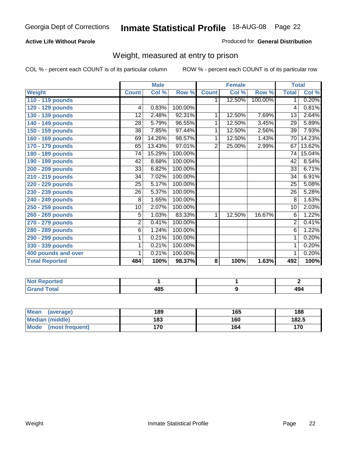#### **Active Life Without Parole**

#### Produced for **General Distribution**

### Weight, measured at entry to prison

|                       |                | <b>Male</b> |         |                | <b>Female</b> |         |                 | <b>Total</b> |
|-----------------------|----------------|-------------|---------|----------------|---------------|---------|-----------------|--------------|
| <b>Weight</b>         | <b>Count</b>   | Col %       | Row %   | <b>Count</b>   | Col %         | Row %   | <b>Total</b>    | Col %        |
| 110 - 119 pounds      |                |             |         | 1              | 12.50%        | 100.00% | $\overline{1}$  | 0.20%        |
| 120 - 129 pounds      | $\overline{4}$ | 0.83%       | 100.00% |                |               |         | 4               | 0.81%        |
| 130 - 139 pounds      | 12             | 2.48%       | 92.31%  | 1              | 12.50%        | 7.69%   | 13              | 2.64%        |
| 140 - 149 pounds      | 28             | 5.79%       | 96.55%  | 1              | 12.50%        | 3.45%   | 29              | 5.89%        |
| 150 - 159 pounds      | 38             | 7.85%       | 97.44%  | 1              | 12.50%        | 2.56%   | $\overline{39}$ | 7.93%        |
| 160 - 169 pounds      | 69             | 14.26%      | 98.57%  | 1              | 12.50%        | 1.43%   | 70              | 14.23%       |
| 170 - 179 pounds      | 65             | 13.43%      | 97.01%  | $\overline{2}$ | 25.00%        | 2.99%   | 67              | 13.62%       |
| 180 - 189 pounds      | 74             | 15.29%      | 100.00% |                |               |         | 74              | 15.04%       |
| 190 - 199 pounds      | 42             | 8.68%       | 100.00% |                |               |         | 42              | 8.54%        |
| 200 - 209 pounds      | 33             | 6.82%       | 100.00% |                |               |         | 33              | 6.71%        |
| 210 - 219 pounds      | 34             | 7.02%       | 100.00% |                |               |         | 34              | 6.91%        |
| 220 - 229 pounds      | 25             | 5.17%       | 100.00% |                |               |         | 25              | 5.08%        |
| 230 - 239 pounds      | 26             | 5.37%       | 100.00% |                |               |         | 26              | 5.28%        |
| 240 - 249 pounds      | 8              | 1.65%       | 100.00% |                |               |         | 8               | 1.63%        |
| 250 - 259 pounds      | 10             | 2.07%       | 100.00% |                |               |         | 10              | 2.03%        |
| 260 - 269 pounds      | 5              | 1.03%       | 83.33%  | $\mathbf{1}$   | 12.50%        | 16.67%  | 6               | 1.22%        |
| 270 - 279 pounds      | 2              | 0.41%       | 100.00% |                |               |         | $\overline{2}$  | 0.41%        |
| 280 - 289 pounds      | 6              | 1.24%       | 100.00% |                |               |         | 6               | 1.22%        |
| 290 - 299 pounds      | 1              | 0.21%       | 100.00% |                |               |         | 1               | 0.20%        |
| 330 - 339 pounds      | 1              | 0.21%       | 100.00% |                |               |         | 1               | 0.20%        |
| 400 pounds and over   | 1              | 0.21%       | 100.00% |                |               |         | $\mathbf{1}$    | 0.20%        |
| <b>Total Reported</b> | 484            | 100%        | 98.37%  | 8              | 100%          | 1.63%   | 492             | 100%         |

| N<br>.<br>. |      |      |
|-------------|------|------|
| nd Total    | 40 F | 494  |
| -           | $ -$ | ____ |

| <b>Mean</b><br>(average) | 189 | 165 | 188   |
|--------------------------|-----|-----|-------|
| Median (middle)          | 183 | 160 | 182.5 |
| Mode (most frequent)     | 170 | 164 | 170   |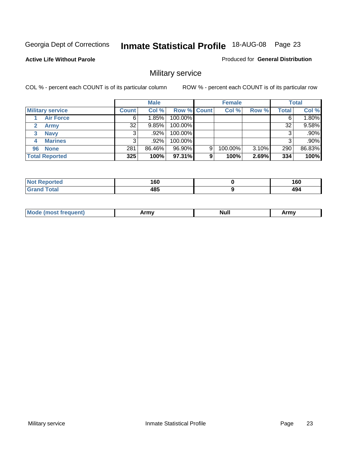**Active Life Without Parole** 

Produced for **General Distribution**

### Military service

|                         |              | <b>Male</b> |             |   | <b>Female</b> |       |       | <b>Total</b> |
|-------------------------|--------------|-------------|-------------|---|---------------|-------|-------|--------------|
| <b>Military service</b> | <b>Count</b> | Col %       | Row % Count |   | Col %         | Row % | Total | Col %        |
| <b>Air Force</b>        | 6.           | 1.85%       | 100.00%     |   |               |       |       | 1.80%        |
| <b>Army</b>             | 32           | 9.85%       | 100.00%     |   |               |       | 32    | 9.58%        |
| <b>Navy</b><br>3        |              | $.92\%$     | 100.00%     |   |               |       |       | $.90\%$      |
| <b>Marines</b><br>4     | 3            | $.92\%$     | 100.00%     |   |               |       |       | $.90\%$      |
| 96 None                 | 281          | 86.46%      | 96.90%      | 9 | 100.00%       | 3.10% | 290   | 86.83%       |
| <b>Total Reported</b>   | 325          | 100%        | 97.31%      | 9 | 100%          | 2.69% | 334   | 100%         |

| net"        | A CO<br>v.<br>__ | 160 |
|-------------|------------------|-----|
| $C = 4 - 7$ | 485              | 494 |

| M<br><b>INUIL</b><br>.<br>. |
|-----------------------------|
|-----------------------------|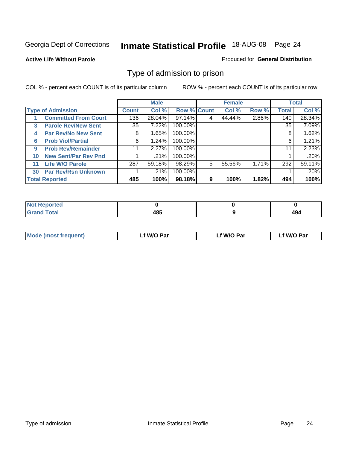#### **Active Life Without Parole**

#### Produced for **General Distribution**

### Type of admission to prison

|              |                             |              | <b>Male</b> |                    |   | <b>Female</b> |       |              | <b>Total</b> |
|--------------|-----------------------------|--------------|-------------|--------------------|---|---------------|-------|--------------|--------------|
|              | <b>Type of Admission</b>    | <b>Count</b> | Col %       | <b>Row % Count</b> |   | Col %         | Row % | <b>Total</b> | Col %        |
|              | <b>Committed From Court</b> | 136          | 28.04%      | $97.14\%$          |   | 44.44%        | 2.86% | 140          | 28.34%       |
| $\mathbf{3}$ | <b>Parole Rev/New Sent</b>  | 35           | 7.22%       | 100.00%            |   |               |       | 35           | 7.09%        |
| 4            | <b>Par Rev/No New Sent</b>  | 8            | 1.65%       | 100.00%            |   |               |       | 8            | 1.62%        |
| 6            | <b>Prob Viol/Partial</b>    | 6            | 1.24%       | 100.00%            |   |               |       | 6            | 1.21%        |
| 9            | <b>Prob Rev/Remainder</b>   | 11           | 2.27%       | 100.00%            |   |               |       | 11           | 2.23%        |
| 10           | <b>New Sent/Par Rev Pnd</b> |              | .21%        | 100.00%            |   |               |       |              | .20%         |
| 11           | <b>Life W/O Parole</b>      | 287          | 59.18%      | 98.29%             | 5 | 55.56%        | 1.71% | 292          | 59.11%       |
| 30           | <b>Par Rev/Rsn Unknown</b>  |              | .21%        | 100.00%            |   |               |       |              | .20%         |
|              | <b>Total Reported</b>       | 485          | 100%        | 98.18%             | 9 | 100%          | 1.82% | 494          | 100%         |

| <b>eported</b><br>NOT                           |      |           |
|-------------------------------------------------|------|-----------|
| <b>Total</b><br>Grs<br>$\sim$ . $\sim$ . $\sim$ | 10 E | AO<br>494 |

| <b>Mode (most frequent)</b> | <b>W/O Par</b> | <b>W/O Par</b> | W/O Par |
|-----------------------------|----------------|----------------|---------|
|                             |                |                |         |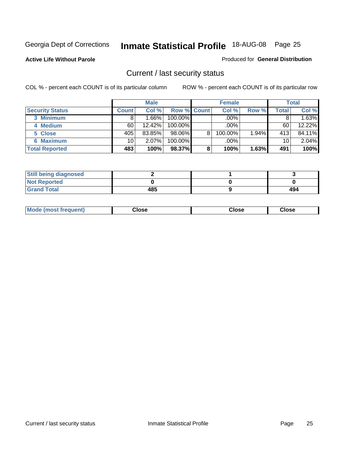**Active Life Without Parole** 

Produced for **General Distribution**

### Current / last security status

|                        |              | <b>Male</b> |                    |   | <b>Female</b> |       |       | <b>Total</b> |
|------------------------|--------------|-------------|--------------------|---|---------------|-------|-------|--------------|
| <b>Security Status</b> | <b>Count</b> | Col %       | <b>Row % Count</b> |   | Col %         | Row % | Total | Col %        |
| 3 Minimum              | 8            | 1.66%       | $100.00\%$         |   | .00%          |       |       | 1.63%        |
| 4 Medium               | 60           | 12.42%      | 100.00%            |   | .00%          |       | 60    | 12.22%       |
| 5 Close                | 405          | 83.85%      | 98.06%             | 8 | 100.00%       | 1.94% | 413   | 84.11%       |
| <b>6 Maximum</b>       | 10           | 2.07%       | 100.00%            |   | .00%          |       | 10    | 2.04%        |
| <b>Total Reported</b>  | 483'         | 100%        | 98.37%             | 8 | 100%          | 1.63% | 491   | 100%         |

| <b>Still being diagnosed</b> |     |     |
|------------------------------|-----|-----|
| <b>Not Reported</b>          |     |     |
| <b>Grand Total</b>           | 485 | 494 |

|  | Mo<br>frequent)<br>יצניות ו | Close<br>. | ાose<br>. | <b>OSE</b><br>. |
|--|-----------------------------|------------|-----------|-----------------|
|--|-----------------------------|------------|-----------|-----------------|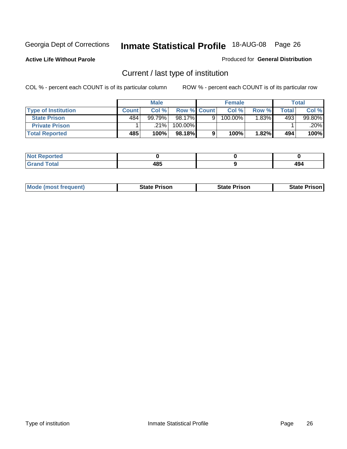**Active Life Without Parole** 

Produced for **General Distribution**

### Current / last type of institution

|                            |              | <b>Male</b> |             |   | <b>Female</b> |       |       | <b>Total</b> |
|----------------------------|--------------|-------------|-------------|---|---------------|-------|-------|--------------|
| <b>Type of Institution</b> | <b>Count</b> | Col%        | Row % Count |   | Col %         | Row % | Total | Col %        |
| <b>State Prison</b>        | 484          | $99.79\%$   | 98.17%      | Q | 100.00%       | .83%  | 493   | 99.80%       |
| <b>Private Prison</b>      |              | .21%        | 100.00%     |   |               |       |       | .20%         |
| <b>Total Reported</b>      | 485          | 100%        | 98.18%      |   | 100%          | 1.82% | 494   | 100%         |

| ted          |      |     |
|--------------|------|-----|
| <b>Total</b> | 10 E | 401 |
| ---          | 40J  | . . |

| <b>Mode (most frequent)</b> | <b>State Prison</b> | <b>State Prison</b> | <b>State Prison</b> |
|-----------------------------|---------------------|---------------------|---------------------|
|                             |                     |                     |                     |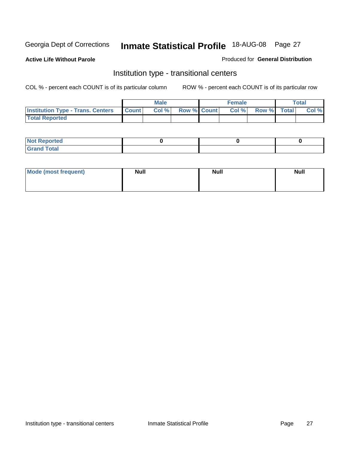**Active Life Without Parole** 

Produced for **General Distribution**

### Institution type - transitional centers

|                                          |              | <b>Male</b> |                    | <b>Female</b> |             | Total |
|------------------------------------------|--------------|-------------|--------------------|---------------|-------------|-------|
| <b>Institution Type - Trans. Centers</b> | <b>Count</b> | Col %       | <b>Row % Count</b> | Col %         | Row % Total | Col % |
| <b>Total Reported</b>                    |              |             |                    |               |             |       |

| rtea<br>20 NGL 2<br>  |  |  |
|-----------------------|--|--|
| into!<br>---<br>_____ |  |  |

| Mode (most frequent) | <b>Null</b> | <b>Null</b> | <b>Null</b> |
|----------------------|-------------|-------------|-------------|
|                      |             |             |             |
|                      |             |             |             |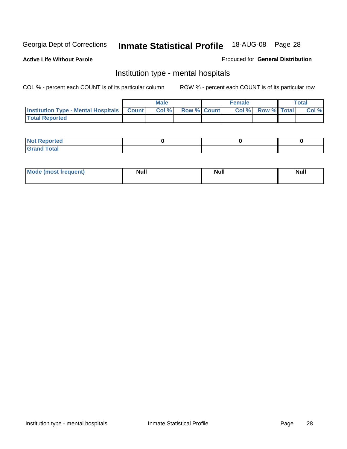**Active Life Without Parole** 

Produced for **General Distribution**

### Institution type - mental hospitals

|                                                  | <b>Male</b> |                    | <b>Female</b> |                   | <b>Total</b> |
|--------------------------------------------------|-------------|--------------------|---------------|-------------------|--------------|
| <b>Institution Type - Mental Hospitals Count</b> | Col%        | <b>Row % Count</b> |               | Col % Row % Total | Col %        |
| <b>Total Reported</b>                            |             |                    |               |                   |              |

| <b>Not Reported</b> |  |  |
|---------------------|--|--|
| <b>Fotal</b><br>Cro |  |  |

| Mode (most frequent) | <b>Null</b> | <b>Null</b> | <b>Null</b> |
|----------------------|-------------|-------------|-------------|
|                      |             |             |             |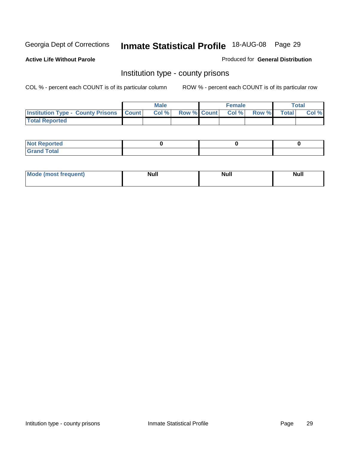**Active Life Without Parole** 

Produced for **General Distribution**

### Institution type - county prisons

|                                                    | <b>Male</b> |  | <b>Female</b>            |              |              | Total |
|----------------------------------------------------|-------------|--|--------------------------|--------------|--------------|-------|
| <b>Institution Type - County Prisons   Count  </b> | Col %       |  | <b>Row % Count Col %</b> | <b>Row %</b> | <b>Total</b> | Col % |
| <b>Total Reported</b>                              |             |  |                          |              |              |       |

| <b>Not Reported</b>        |  |  |
|----------------------------|--|--|
| <b>Total</b><br>.Grar<br>_ |  |  |

| <b>Mo</b><br>frequent) | NI. . II<br>1u 11 | <b>Moll</b> | <b>Null</b> |
|------------------------|-------------------|-------------|-------------|
|                        |                   |             |             |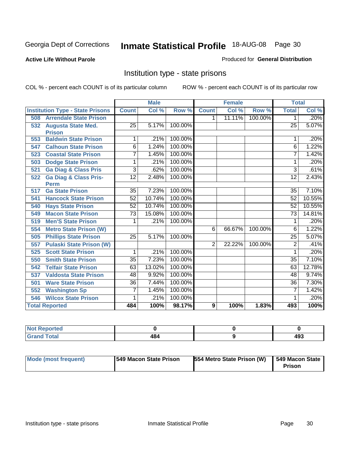#### **Active Life Without Parole**

#### Produced for **General Distribution**

### Institution type - state prisons

|     |                                         |                 | <b>Male</b> |         |                | <b>Female</b> |         | <b>Total</b>    |        |
|-----|-----------------------------------------|-----------------|-------------|---------|----------------|---------------|---------|-----------------|--------|
|     | <b>Institution Type - State Prisons</b> | <b>Count</b>    | Col %       | Row %   | <b>Count</b>   | Col %         | Row %   | <b>Total</b>    | Col %  |
| 508 | <b>Arrendale State Prison</b>           |                 |             |         | $\mathbf 1$    | 11.11%        | 100.00% | 1               | .20%   |
| 532 | <b>Augusta State Med.</b>               | $\overline{25}$ | 5.17%       | 100.00% |                |               |         | $\overline{25}$ | 5.07%  |
|     | <b>Prison</b>                           |                 |             |         |                |               |         |                 |        |
| 553 | <b>Baldwin State Prison</b>             | 1               | .21%        | 100.00% |                |               |         | 1               | .20%   |
| 547 | <b>Calhoun State Prison</b>             | $\overline{6}$  | 1.24%       | 100.00% |                |               |         | 6               | 1.22%  |
| 523 | <b>Coastal State Prison</b>             | 7               | 1.45%       | 100.00% |                |               |         | 7               | 1.42%  |
| 503 | <b>Dodge State Prison</b>               | 1               | .21%        | 100.00% |                |               |         | 1               | .20%   |
| 521 | <b>Ga Diag &amp; Class Pris</b>         | 3               | .62%        | 100.00% |                |               |         | 3               | .61%   |
| 522 | <b>Ga Diag &amp; Class Pris-</b>        | $\overline{12}$ | 2.48%       | 100.00% |                |               |         | 12              | 2.43%  |
|     | <b>Perm</b>                             |                 |             |         |                |               |         |                 |        |
| 517 | <b>Ga State Prison</b>                  | 35              | 7.23%       | 100.00% |                |               |         | 35              | 7.10%  |
| 541 | <b>Hancock State Prison</b>             | 52              | 10.74%      | 100.00% |                |               |         | $\overline{52}$ | 10.55% |
| 540 | <b>Hays State Prison</b>                | 52              | 10.74%      | 100.00% |                |               |         | 52              | 10.55% |
| 549 | <b>Macon State Prison</b>               | 73              | 15.08%      | 100.00% |                |               |         | 73              | 14.81% |
| 519 | <b>Men'S State Prison</b>               | 1               | .21%        | 100.00% |                |               |         | 1               | .20%   |
| 554 | <b>Metro State Prison (W)</b>           |                 |             |         | 6              | 66.67%        | 100.00% | $\overline{6}$  | 1.22%  |
| 505 | <b>Phillips State Prison</b>            | $\overline{25}$ | 5.17%       | 100.00% |                |               |         | $\overline{25}$ | 5.07%  |
| 557 | <b>Pulaski State Prison (W)</b>         |                 |             |         | $\overline{2}$ | 22.22%        | 100.00% | $\overline{2}$  | .41%   |
| 525 | <b>Scott State Prison</b>               | 1               | .21%        | 100.00% |                |               |         | 1               | .20%   |
| 550 | <b>Smith State Prison</b>               | $\overline{35}$ | 7.23%       | 100.00% |                |               |         | $\overline{35}$ | 7.10%  |
| 542 | <b>Telfair State Prison</b>             | 63              | 13.02%      | 100.00% |                |               |         | 63              | 12.78% |
| 537 | <b>Valdosta State Prison</b>            | 48              | 9.92%       | 100.00% |                |               |         | 48              | 9.74%  |
| 501 | <b>Ware State Prison</b>                | 36              | 7.44%       | 100.00% |                |               |         | $\overline{36}$ | 7.30%  |
| 552 | <b>Washington Sp</b>                    | 7               | 1.45%       | 100.00% |                |               |         | 7               | 1.42%  |
| 546 | <b>Wilcox State Prison</b>              | 1               | .21%        | 100.00% |                |               |         |                 | .20%   |
|     | <b>Total Reported</b>                   | 484             | 100%        | 98.17%  | $\overline{9}$ | 100%          | 1.83%   | 493             | 100%   |

| Not Reported |     |     |
|--------------|-----|-----|
| int          | 484 | ៱៱៰ |
| <b>TULAI</b> |     | 433 |

| Mode (most frequent) | <b>549 Macon State Prison</b> | 554 Metro State Prison (W) | 549 Macon State |
|----------------------|-------------------------------|----------------------------|-----------------|
|                      |                               |                            | <b>Prison</b>   |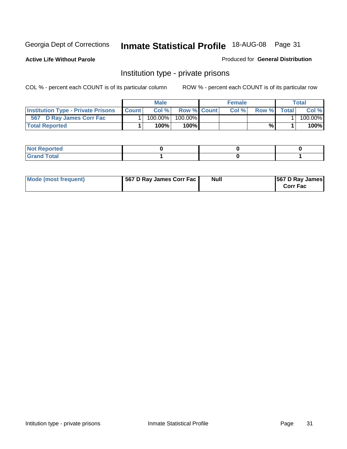**Active Life Without Parole** 

Produced for **General Distribution**

### Institution type - private prisons

|                                           |              | <b>Male</b> |               | <b>Female</b> |       |       | Total   |
|-------------------------------------------|--------------|-------------|---------------|---------------|-------|-------|---------|
| <b>Institution Type - Private Prisons</b> | <b>Count</b> | Col %       | Row % Count   | Col %         | Row % | Total | Col %   |
| 567 D Ray James Corr Fac                  |              | $100.00\%$  | 100.00%       |               |       |       | 100.00% |
| <b>Total Reported</b>                     |              | 100%        | 100% <b>I</b> |               | %     |       | 100%    |

| Not Reported         |  |  |
|----------------------|--|--|
| <b>Total</b><br>re e |  |  |

| Mode (most frequent) | 567 D Ray James Corr Fac | <b>Null</b> | <b>567 D Ray James</b><br><b>Corr Fac</b> |
|----------------------|--------------------------|-------------|-------------------------------------------|
|----------------------|--------------------------|-------------|-------------------------------------------|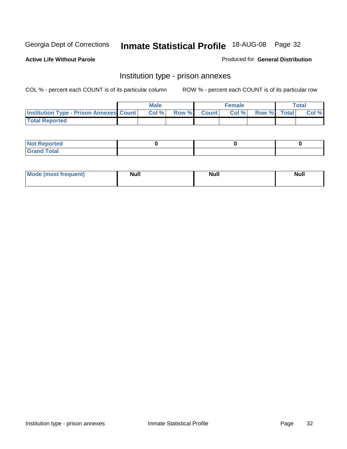**Active Life Without Parole** 

Produced for **General Distribution**

### Institution type - prison annexes

|                                                  | <b>Male</b> |             | <b>Female</b> |             | Total |
|--------------------------------------------------|-------------|-------------|---------------|-------------|-------|
| <b>Institution Type - Prison Annexes Count  </b> | Col %       | Row % Count | Col %         | Row % Total | Col % |
| <b>Total Reported</b>                            |             |             |               |             |       |

| <b>Not Reported</b>        |  |  |
|----------------------------|--|--|
| <b>Total</b><br>-<br>_____ |  |  |

| Mode (most frequent) | <b>Null</b> | <b>Null</b> | <b>Null</b> |
|----------------------|-------------|-------------|-------------|
|                      |             |             |             |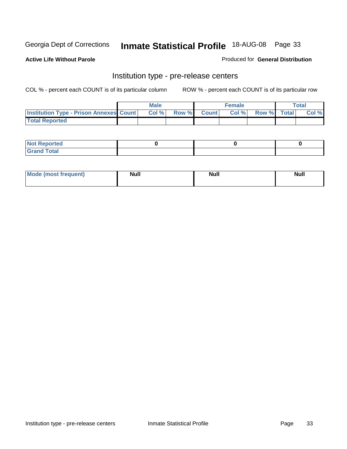**Active Life Without Parole** 

Produced for **General Distribution**

### Institution type - pre-release centers

|                                                | <b>Male</b> |             | <b>Female</b> |             | <b>Total</b> |
|------------------------------------------------|-------------|-------------|---------------|-------------|--------------|
| <b>Institution Type - Prison Annexes Count</b> | Col %       | Row % Count | Col%          | Row % Total | Col %        |
| <b>Total Reported</b>                          |             |             |               |             |              |

| <b>Not Reported</b>            |  |  |
|--------------------------------|--|--|
| <b>Total</b><br>Croi<br>$\sim$ |  |  |

| Mode (most frequent) | <b>Null</b> | <b>Null</b><br>_____ | <b>Null</b> |
|----------------------|-------------|----------------------|-------------|
|                      |             |                      |             |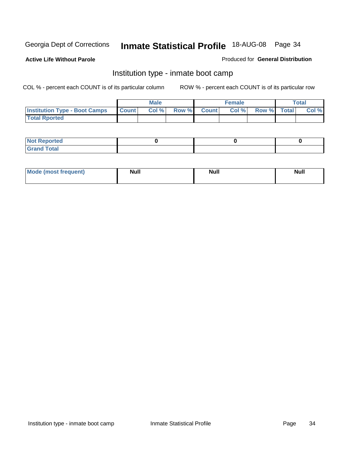**Active Life Without Parole** 

Produced for **General Distribution**

### Institution type - inmate boot camp

|                                      |              | Male  |             | <b>Female</b> |             | <b>Total</b> |
|--------------------------------------|--------------|-------|-------------|---------------|-------------|--------------|
| <b>Institution Type - Boot Camps</b> | <b>Count</b> | Col % | Row % Count | Col%          | Row % Total | Col %        |
| <b>Total Rported</b>                 |              |       |             |               |             |              |

| <b>Not Reported</b>  |  |  |
|----------------------|--|--|
| <b>Total</b><br>Croy |  |  |

| Mode (most frequent) | <b>Null</b> | <b>Null</b> | <b>Null</b> |
|----------------------|-------------|-------------|-------------|
|                      |             |             |             |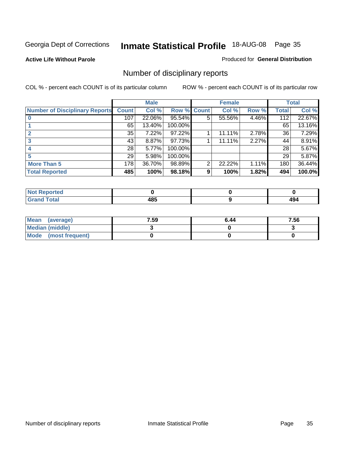#### **Active Life Without Parole**

#### Produced for **General Distribution**

### Number of disciplinary reports

|                                       |              | <b>Male</b> |             |   | <b>Female</b> |       |              | <b>Total</b> |
|---------------------------------------|--------------|-------------|-------------|---|---------------|-------|--------------|--------------|
| <b>Number of Disciplinary Reports</b> | <b>Count</b> | Col %       | Row % Count |   | Col %         | Row % | <b>Total</b> | Col %        |
|                                       | 107          | 22.06%      | 95.54%      | 5 | 55.56%        | 4.46% | 112          | 22.67%       |
|                                       | 65           | 13.40%      | 100.00%     |   |               |       | 65           | 13.16%       |
|                                       | 35           | 7.22%       | 97.22%      |   | 11.11%        | 2.78% | 36           | 7.29%        |
| 3                                     | 43           | $8.87\%$    | 97.73%      |   | 11.11%        | 2.27% | 44           | 8.91%        |
|                                       | 28           | 5.77%       | 100.00%     |   |               |       | 28           | 5.67%        |
| 5                                     | 29           | 5.98%       | 100.00%     |   |               |       | 29           | 5.87%        |
| <b>More Than 5</b>                    | 178          | 36.70%      | 98.89%      | 2 | 22.22%        | 1.11% | 180          | 36.44%       |
| <b>Total Reported</b>                 | 485          | 100%        | 98.18%      | 9 | 100%          | 1.82% | 494          | 100.0%       |

| .<br>N<br>тес. |                                        |     |
|----------------|----------------------------------------|-----|
| Г∩tal          | 10 E<br>4о.<br>$\cdot$ $\cdot$ $\cdot$ | 494 |

| Mean (average)       | 7.59 | 6.44 | 7.56 |
|----------------------|------|------|------|
| Median (middle)      |      |      |      |
| Mode (most frequent) |      |      |      |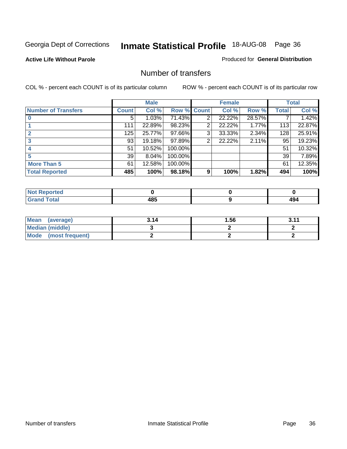#### **Active Life Without Parole**

#### Produced for **General Distribution**

### Number of transfers

|                            |              | <b>Male</b> |         |              | <b>Female</b> |        |              | <b>Total</b> |
|----------------------------|--------------|-------------|---------|--------------|---------------|--------|--------------|--------------|
| <b>Number of Transfers</b> | <b>Count</b> | Col %       | Row %   | <b>Count</b> | Col %         | Row %  | <b>Total</b> | Col %        |
|                            | 5.           | 1.03%       | 71.43%  | 2            | 22.22%        | 28.57% |              | 1.42%        |
|                            | 111          | 22.89%      | 98.23%  | 2            | 22.22%        | 1.77%  | 113          | 22.87%       |
|                            | 125          | 25.77%      | 97.66%  | 3            | 33.33%        | 2.34%  | 128          | 25.91%       |
|                            | 93           | 19.18%      | 97.89%  | 2            | 22.22%        | 2.11%  | 95           | 19.23%       |
|                            | 51           | 10.52%      | 100.00% |              |               |        | 51           | 10.32%       |
|                            | 39           | 8.04%       | 100.00% |              |               |        | 39           | 7.89%        |
| <b>More Than 5</b>         | 61           | 12.58%      | 100.00% |              |               |        | 61           | 12.35%       |
| <b>Total Reported</b>      | 485          | 100%        | 98.18%  | 9            | 100%          | 1.82%  | 494          | 100%         |

| .<br>w<br>veu. |           |                 |
|----------------|-----------|-----------------|
| $\sim$         | .<br>$ -$ | c<br>194<br>$-$ |

| Mean (average)       | 3.14 | l .56 | 3.11 |
|----------------------|------|-------|------|
| Median (middle)      |      |       |      |
| Mode (most frequent) |      |       |      |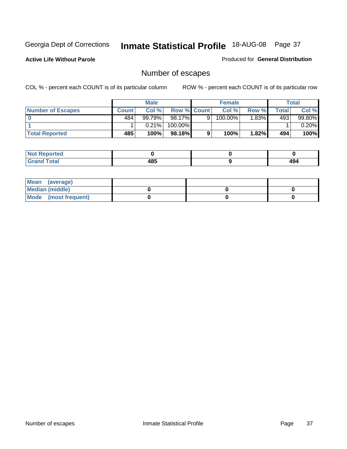**Active Life Without Parole** 

Produced for **General Distribution**

# Number of escapes

|                          |              | <b>Male</b> |                    |   | <b>Female</b> |          |       | <b>Total</b> |
|--------------------------|--------------|-------------|--------------------|---|---------------|----------|-------|--------------|
| <b>Number of Escapes</b> | <b>Count</b> | Col %       | <b>Row % Count</b> |   | Col %         | Row %    | Total | Col %        |
|                          | 484          | 99.79%      | 98.17%             | 9 | $100.00\%$    | $1.83\%$ | 493   | 99.80%       |
|                          |              | 0.21%       | 100.00%            |   |               |          |       | 0.20%        |
| <b>Total Reported</b>    | 485          | 100%        | 98.18%             | 9 | 100%          | 1.82%    | 494   | 100%         |

| rreo                            |                   |           |
|---------------------------------|-------------------|-----------|
| <b>otal</b><br>$\mathbf{v}$ and | AOC<br>-42<br>rv. | ໍ່<br>494 |

| Mean (average)       |  |  |
|----------------------|--|--|
| Median (middle)      |  |  |
| Mode (most frequent) |  |  |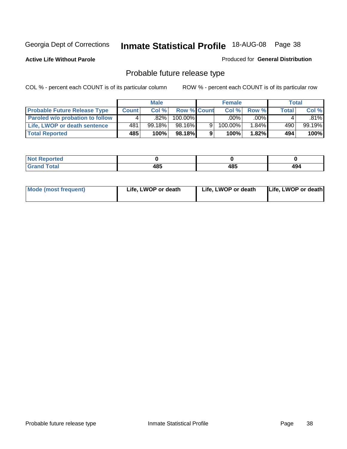**Active Life Without Parole** 

Produced for **General Distribution**

# Probable future release type

|                                        |              | <b>Male</b> |                    |   | <b>Female</b> |          |              | Total  |
|----------------------------------------|--------------|-------------|--------------------|---|---------------|----------|--------------|--------|
| <b>Probable Future Release Type</b>    | <b>Count</b> | Col%        | <b>Row % Count</b> |   | Col %         | Row %    | <b>Total</b> | Col %  |
| <b>Paroled w/o probation to follow</b> |              | .82%        | 100.00%            |   | .00%          | $.00\%$  |              | .81%l  |
| Life, LWOP or death sentence           | 481          | $99.18\%$   | 98.16%             | 9 | 100.00%       | $1.84\%$ | 490          | 99.19% |
| <b>Total Reported</b>                  | 485          | 100%        | 98.18%             | 9 | 100%          | 1.82%1   | 494          | 100%   |

| ted <sup>-</sup> |             |     |     |
|------------------|-------------|-----|-----|
| 'otal            | 10 E<br>4໐ະ | 485 | 494 |

| <b>Mode (most frequent)</b> | Life, LWOP or death | Life, LWOP or death | Life, LWOP or death |
|-----------------------------|---------------------|---------------------|---------------------|
|                             |                     |                     |                     |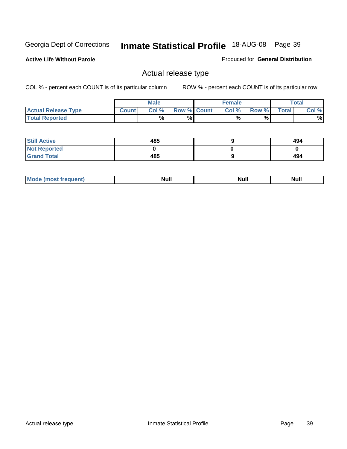**Active Life Without Parole** 

Produced for **General Distribution**

### Actual release type

|                            |              | <b>Male</b> |                    | <b>Female</b> |        |              | $\tau$ otal |
|----------------------------|--------------|-------------|--------------------|---------------|--------|--------------|-------------|
| <b>Actual Release Type</b> | <b>Count</b> | Col %1      | <b>Row % Count</b> | Col %1        | Row %I | <b>Total</b> | Col %       |
| <b>Total Reported</b>      |              | $\%$        | %                  | %             | %      |              | %           |

| <b>Still Active</b> | 485 | 494 |
|---------------------|-----|-----|
| <b>Not Reported</b> |     |     |
| <b>Grand Total</b>  | 485 | 494 |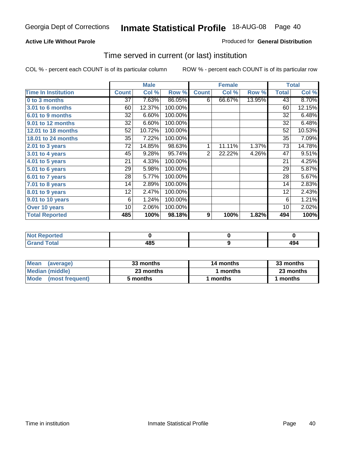#### **Active Life Without Parole**

#### Produced for **General Distribution**

### Time served in current (or last) institution

|                            |              | <b>Male</b> |         |                  | <b>Female</b> |        |              | <b>Total</b> |
|----------------------------|--------------|-------------|---------|------------------|---------------|--------|--------------|--------------|
| <b>Time In Institution</b> | <b>Count</b> | Col %       | Row %   | <b>Count</b>     | Col %         | Row %  | <b>Total</b> | Col %        |
| 0 to 3 months              | 37           | 7.63%       | 86.05%  | 6                | 66.67%        | 13.95% | 43           | 8.70%        |
| 3.01 to 6 months           | 60           | 12.37%      | 100.00% |                  |               |        | 60           | 12.15%       |
| 6.01 to 9 months           | 32           | 6.60%       | 100.00% |                  |               |        | 32           | 6.48%        |
| 9.01 to 12 months          | 32           | 6.60%       | 100.00% |                  |               |        | 32           | 6.48%        |
| 12.01 to 18 months         | 52           | 10.72%      | 100.00% |                  |               |        | 52           | 10.53%       |
| 18.01 to 24 months         | 35           | 7.22%       | 100.00% |                  |               |        | 35           | 7.09%        |
| $2.01$ to 3 years          | 72           | 14.85%      | 98.63%  | 1                | 11.11%        | 1.37%  | 73           | 14.78%       |
| $3.01$ to 4 years          | 45           | 9.28%       | 95.74%  | 2                | 22.22%        | 4.26%  | 47           | 9.51%        |
| 4.01 to 5 years            | 21           | 4.33%       | 100.00% |                  |               |        | 21           | 4.25%        |
| 5.01 to 6 years            | 29           | 5.98%       | 100.00% |                  |               |        | 29           | 5.87%        |
| 6.01 to 7 years            | 28           | 5.77%       | 100.00% |                  |               |        | 28           | 5.67%        |
| $7.01$ to 8 years          | 14           | 2.89%       | 100.00% |                  |               |        | 14           | 2.83%        |
| 8.01 to 9 years            | 12           | 2.47%       | 100.00% |                  |               |        | 12           | 2.43%        |
| 9.01 to 10 years           | 6            | 1.24%       | 100.00% |                  |               |        | 6            | 1.21%        |
| Over 10 years              | 10           | 2.06%       | 100.00% |                  |               |        | 10           | 2.02%        |
| <b>Total Reported</b>      | 485          | 100%        | 98.18%  | $\boldsymbol{9}$ | 100%          | 1.82%  | 494          | 100%         |

| <b>Reported</b><br><b>NOT</b> |             |      |
|-------------------------------|-------------|------|
| <b>Total</b>                  | 10 E<br>103 | - 77 |

| <b>Mean</b><br>(average) | 33 months | 14 months | 33 months |  |
|--------------------------|-----------|-----------|-----------|--|
| Median (middle)          | 23 months | months    | 23 months |  |
| Mode<br>(most frequent)  | 5 months  | ∣ months  | months    |  |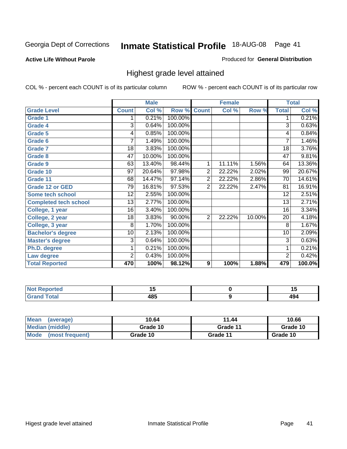**Active Life Without Parole** 

Produced for **General Distribution**

### Highest grade level attained

|                              |                 | <b>Male</b> |         |                | <b>Female</b> |        |                 | <b>Total</b> |
|------------------------------|-----------------|-------------|---------|----------------|---------------|--------|-----------------|--------------|
| <b>Grade Level</b>           | <b>Count</b>    | Col %       | Row %   | <b>Count</b>   | Col %         | Row %  | <b>Total</b>    | Col %        |
| <b>Grade 1</b>               | 1               | 0.21%       | 100.00% |                |               |        | 1               | 0.21%        |
| <b>Grade 4</b>               | 3               | 0.64%       | 100.00% |                |               |        | $\overline{3}$  | 0.63%        |
| <b>Grade 5</b>               | 4               | 0.85%       | 100.00% |                |               |        | 4               | 0.84%        |
| Grade 6                      | 7               | 1.49%       | 100.00% |                |               |        | $\overline{7}$  | 1.46%        |
| <b>Grade 7</b>               | 18              | 3.83%       | 100.00% |                |               |        | $\overline{18}$ | 3.76%        |
| <b>Grade 8</b>               | 47              | 10.00%      | 100.00% |                |               |        | 47              | 9.81%        |
| <b>Grade 9</b>               | 63              | 13.40%      | 98.44%  | 1              | 11.11%        | 1.56%  | 64              | 13.36%       |
| Grade 10                     | 97              | 20.64%      | 97.98%  | $\overline{2}$ | 22.22%        | 2.02%  | 99              | 20.67%       |
| Grade 11                     | 68              | 14.47%      | 97.14%  | $\overline{2}$ | 22.22%        | 2.86%  | 70              | 14.61%       |
| <b>Grade 12 or GED</b>       | 79              | 16.81%      | 97.53%  | $\overline{2}$ | 22.22%        | 2.47%  | 81              | 16.91%       |
| <b>Some tech school</b>      | $\overline{12}$ | 2.55%       | 100.00% |                |               |        | $\overline{12}$ | 2.51%        |
| <b>Completed tech school</b> | 13              | 2.77%       | 100.00% |                |               |        | 13              | 2.71%        |
| College, 1 year              | 16              | 3.40%       | 100.00% |                |               |        | 16              | 3.34%        |
| College, 2 year              | 18              | 3.83%       | 90.00%  | $\overline{2}$ | 22.22%        | 10.00% | 20              | 4.18%        |
| College, 3 year              | 8               | 1.70%       | 100.00% |                |               |        | 8               | 1.67%        |
| <b>Bachelor's degree</b>     | 10              | 2.13%       | 100.00% |                |               |        | 10              | 2.09%        |
| <b>Master's degree</b>       | 3               | 0.64%       | 100.00% |                |               |        | 3               | 0.63%        |
| Ph.D. degree                 | 1               | 0.21%       | 100.00% |                |               |        | 1               | 0.21%        |
| Law degree                   | $\overline{2}$  | 0.43%       | 100.00% |                |               |        | 2               | 0.42%        |
| <b>Total Reported</b>        | 470             | 100%        | 98.12%  | 9              | 100%          | 1.88%  | 479             | 100.0%       |

| n eo        | . .  | יי         |
|-------------|------|------------|
| $f = 4 - 7$ | 10 E | $\sqrt{2}$ |
| $\sim$      | 4ο.  | ᠇৺         |

| <b>Mean</b><br>(average)       | 10.64    | 11.44    | 10.66    |
|--------------------------------|----------|----------|----------|
| Median (middle)                | Grade 10 | Grade 11 | Grade 10 |
| <b>Mode</b><br>(most frequent) | Grade 10 | Grade 11 | Grade 10 |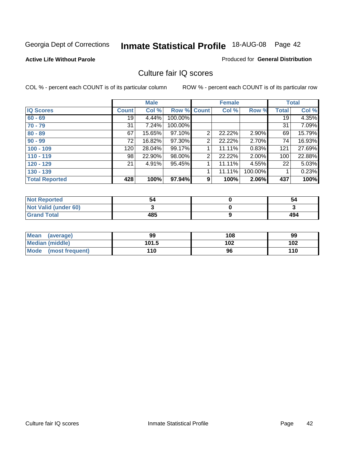#### **Active Life Without Parole**

#### Produced for **General Distribution**

### Culture fair IQ scores

|                       |              | <b>Male</b> |             |                | <b>Female</b> |          |              | <b>Total</b> |
|-----------------------|--------------|-------------|-------------|----------------|---------------|----------|--------------|--------------|
| <b>IQ Scores</b>      | <b>Count</b> | Col %       | Row % Count |                | Col %         | Row %    | <b>Total</b> | Col %        |
| $60 - 69$             | 19           | 4.44%       | 100.00%     |                |               |          | 19           | 4.35%        |
| $70 - 79$             | 31           | 7.24%       | 100.00%     |                |               |          | 31           | 7.09%        |
| $80 - 89$             | 67           | 15.65%      | 97.10%      | $\overline{2}$ | 22.22%        | $2.90\%$ | 69           | 15.79%       |
| $90 - 99$             | 72           | 16.82%      | 97.30%      | 2              | 22.22%        | 2.70%    | 74           | 16.93%       |
| $100 - 109$           | 120          | 28.04%      | 99.17%      |                | 11.11%        | 0.83%    | 121          | 27.69%       |
| $110 - 119$           | 98           | 22.90%      | 98.00%      | 2              | 22.22%        | 2.00%    | 100          | 22.88%       |
| $120 - 129$           | 21           | 4.91%       | 95.45%      | 1              | 11.11%        | 4.55%    | 22           | 5.03%        |
| $130 - 139$           |              |             |             |                | 11.11%        | 100.00%  |              | 0.23%        |
| <b>Total Reported</b> | 428          | 100%        | 97.94%      | 9              | 100%          | 2.06%    | 437          | 100%         |

| <b>Not Reported</b>  | 54  | 54  |
|----------------------|-----|-----|
| Not Valid (under 60) |     |     |
| <b>Grand Total</b>   | 485 | 494 |

| <b>Mean</b><br>(average) | 99    | 108 | 99  |
|--------------------------|-------|-----|-----|
| Median (middle)          | 101.5 | 102 | 102 |
| Mode (most frequent)     | 110   | 96  | 110 |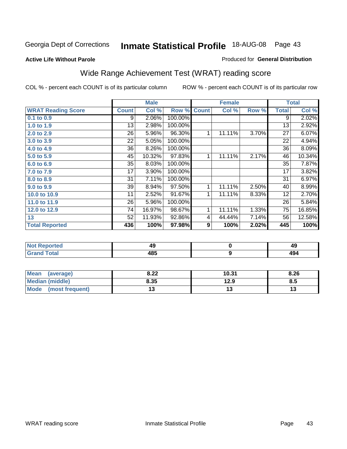#### **Active Life Without Parole**

#### Produced for **General Distribution**

# Wide Range Achievement Test (WRAT) reading score

|                           |              | <b>Male</b> |         |              | <b>Female</b> |       |              | <b>Total</b>             |
|---------------------------|--------------|-------------|---------|--------------|---------------|-------|--------------|--------------------------|
| <b>WRAT Reading Score</b> | <b>Count</b> | Col %       | Row %   | <b>Count</b> | Col %         | Row % | <b>Total</b> | Col %                    |
| $0.1$ to $0.9$            | 9            | 2.06%       | 100.00% |              |               |       | 9            | 2.02%                    |
| 1.0 to 1.9                | 13           | 2.98%       | 100.00% |              |               |       | 13           | 2.92%                    |
| 2.0 to 2.9                | 26           | 5.96%       | 96.30%  | 1            | 11.11%        | 3.70% | 27           | 6.07%                    |
| 3.0 to 3.9                | 22           | 5.05%       | 100.00% |              |               |       | 22           | 4.94%                    |
| 4.0 to 4.9                | 36           | 8.26%       | 100.00% |              |               |       | 36           | 8.09%                    |
| 5.0 to 5.9                | 45           | 10.32%      | 97.83%  | 1            | 11.11%        | 2.17% | 46           | 10.34%                   |
| 6.0 to 6.9                | 35           | 8.03%       | 100.00% |              |               |       | 35           | 7.87%                    |
| 7.0 to 7.9                | 17           | 3.90%       | 100.00% |              |               |       | 17           | 3.82%                    |
| 8.0 to 8.9                | 31           | 7.11%       | 100.00% |              |               |       | 31           | 6.97%                    |
| 9.0 to 9.9                | 39           | 8.94%       | 97.50%  | 1            | 11.11%        | 2.50% | 40           | 8.99%                    |
| 10.0 to 10.9              | 11           | 2.52%       | 91.67%  | 1            | 11.11%        | 8.33% | 12           | 2.70%                    |
| 11.0 to 11.9              | 26           | 5.96%       | 100.00% |              |               |       | 26           | 5.84%                    |
| 12.0 to 12.9              | 74           | 16.97%      | 98.67%  | 1            | 11.11%        | 1.33% | 75           | 16.85%                   |
| 13                        | 52           | 11.93%      | 92.86%  | 4            | 44.44%        | 7.14% | 56           | 12.58%                   |
| <b>Total Reported</b>     | 436          | 100%        | 97.98%  | 9            | 100%          | 2.02% | 445          | 100%                     |
|                           |              |             |         |              |               |       |              |                          |
| <b>START CONTRACTOR</b>   |              | $\sim$      |         |              | $\sim$        |       |              | $\overline{\phantom{a}}$ |

| tero i            | - 2  | . .<br>᠇┙ |
|-------------------|------|-----------|
| ≀∪tar<br>$\sim$ . | 10 E | ᠇৺        |

| <b>Mean</b><br>(average) | 8.22 | 10.31 | 8.26 |
|--------------------------|------|-------|------|
| Median (middle)          | 8.35 | 12.9  | ၓ.უ  |
| Mode<br>(most frequent)  | ∪י   | 'V    | טו   |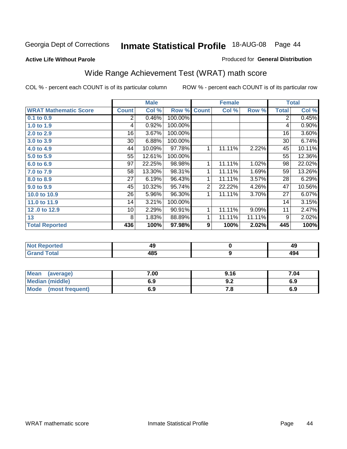**Active Life Without Parole** 

#### Produced for **General Distribution**

# Wide Range Achievement Test (WRAT) math score

|                              |                 | <b>Male</b> |         |                  | <b>Female</b> |        |              | <b>Total</b> |
|------------------------------|-----------------|-------------|---------|------------------|---------------|--------|--------------|--------------|
| <b>WRAT Mathematic Score</b> | <b>Count</b>    | Col %       | Row %   | <b>Count</b>     | Col %         | Row %  | <b>Total</b> | Col %        |
| 0.1 to 0.9                   | 2               | 0.46%       | 100.00% |                  |               |        | 2            | 0.45%        |
| 1.0 to 1.9                   | 4               | 0.92%       | 100.00% |                  |               |        | 4            | 0.90%        |
| 2.0 to 2.9                   | 16              | 3.67%       | 100.00% |                  |               |        | 16           | 3.60%        |
| 3.0 to 3.9                   | 30 <sup>°</sup> | 6.88%       | 100.00% |                  |               |        | 30           | 6.74%        |
| 4.0 to 4.9                   | 44              | 10.09%      | 97.78%  | 1                | 11.11%        | 2.22%  | 45           | 10.11%       |
| 5.0 to 5.9                   | 55              | 12.61%      | 100.00% |                  |               |        | 55           | 12.36%       |
| 6.0 to 6.9                   | 97              | 22.25%      | 98.98%  | 1                | 11.11%        | 1.02%  | 98           | 22.02%       |
| 7.0 to 7.9                   | 58              | 13.30%      | 98.31%  | 1                | 11.11%        | 1.69%  | 59           | 13.26%       |
| 8.0 to 8.9                   | 27              | 6.19%       | 96.43%  | 1                | 11.11%        | 3.57%  | 28           | 6.29%        |
| 9.0 to 9.9                   | 45              | 10.32%      | 95.74%  | $\overline{2}$   | 22.22%        | 4.26%  | 47           | 10.56%       |
| 10.0 to 10.9                 | 26              | 5.96%       | 96.30%  | 1                | 11.11%        | 3.70%  | 27           | 6.07%        |
| 11.0 to 11.9                 | 14              | 3.21%       | 100.00% |                  |               |        | 14           | 3.15%        |
| 12.0 to 12.9                 | 10              | 2.29%       | 90.91%  | 1                | 11.11%        | 9.09%  | 11           | 2.47%        |
| 13                           | 8               | 1.83%       | 88.89%  | 1                | 11.11%        | 11.11% | 9            | 2.02%        |
| <b>Total Reported</b>        | 436             | 100%        | 97.98%  | $\boldsymbol{9}$ | 100%          | 2.02%  | 445          | 100%         |

| <b>Not Reported</b> | 43  | 49         |
|---------------------|-----|------------|
| <b>Grand Total</b>  | 485 | A O<br>434 |

| Mean (average)       | 7.00 | 9.16 | 7.04 |
|----------------------|------|------|------|
| Median (middle)      | 6.9  | 9.Z  | 6.9  |
| Mode (most frequent) | 6.9  | 7.8  | 6.9  |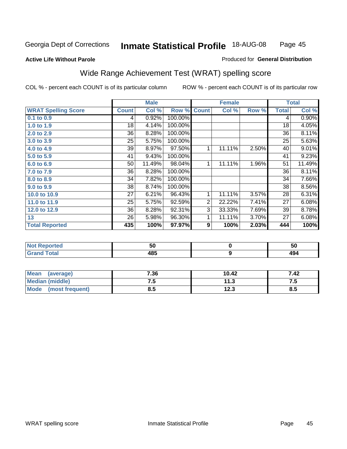Page 45

#### **Active Life Without Parole**

#### Produced for **General Distribution**

# Wide Range Achievement Test (WRAT) spelling score

|                            |              | <b>Male</b> |         |                | <b>Female</b> |       |              | <b>Total</b> |
|----------------------------|--------------|-------------|---------|----------------|---------------|-------|--------------|--------------|
| <b>WRAT Spelling Score</b> | <b>Count</b> | Col %       | Row %   | <b>Count</b>   | Col %         | Row % | <b>Total</b> | Col %        |
| 0.1 to 0.9                 | 4            | 0.92%       | 100.00% |                |               |       | 4            | 0.90%        |
| 1.0 to 1.9                 | 18           | 4.14%       | 100.00% |                |               |       | 18           | 4.05%        |
| 2.0 to 2.9                 | 36           | 8.28%       | 100.00% |                |               |       | 36           | 8.11%        |
| 3.0 to 3.9                 | 25           | 5.75%       | 100.00% |                |               |       | 25           | 5.63%        |
| 4.0 to 4.9                 | 39           | 8.97%       | 97.50%  | 1              | 11.11%        | 2.50% | 40           | 9.01%        |
| 5.0 to 5.9                 | 41           | 9.43%       | 100.00% |                |               |       | 41           | 9.23%        |
| 6.0 to 6.9                 | 50           | 11.49%      | 98.04%  | 1              | 11.11%        | 1.96% | 51           | 11.49%       |
| 7.0 to 7.9                 | 36           | 8.28%       | 100.00% |                |               |       | 36           | 8.11%        |
| 8.0 to 8.9                 | 34           | 7.82%       | 100.00% |                |               |       | 34           | 7.66%        |
| 9.0 to 9.9                 | 38           | 8.74%       | 100.00% |                |               |       | 38           | 8.56%        |
| 10.0 to 10.9               | 27           | 6.21%       | 96.43%  | 1              | 11.11%        | 3.57% | 28           | 6.31%        |
| 11.0 to 11.9               | 25           | 5.75%       | 92.59%  | $\overline{2}$ | 22.22%        | 7.41% | 27           | 6.08%        |
| 12.0 to 12.9               | 36           | 8.28%       | 92.31%  | 3              | 33.33%        | 7.69% | 39           | 8.78%        |
| 13                         | 26           | 5.98%       | 96.30%  | 1              | 11.11%        | 3.70% | 27           | 6.08%        |
| <b>Total Reported</b>      | 435          | 100%        | 97.97%  | 9              | 100%          | 2.03% | 444          | 100%         |
|                            |              |             |         |                |               |       |              |              |
| Not Reported               |              | 50          |         |                | n             |       |              | 50           |

| <b>Not Reported</b>          | 50  | E O<br>่วเ        |
|------------------------------|-----|-------------------|
| <b>Total</b><br><b>Grand</b> | 485 | $\sqrt{2}$<br>734 |
|                              |     |                   |

| Mean<br>(average)       | 7.36 | 10.42      | 7.42 |
|-------------------------|------|------------|------|
| Median (middle)         | ن. . | 11.3       | ن. د |
| Mode<br>(most frequent) | 8.5  | 1つつ<br>د.ء | 8.5  |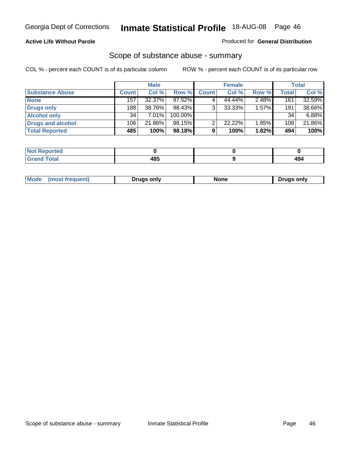#### **Active Life Without Parole**

#### Produced for **General Distribution**

### Scope of substance abuse - summary

|                        |              | <b>Male</b> |            |              | <b>Female</b> |       |              | <b>Total</b> |
|------------------------|--------------|-------------|------------|--------------|---------------|-------|--------------|--------------|
| <b>Substance Abuse</b> | <b>Count</b> | Col %       | Row %      | <b>Count</b> | Col %         | Row % | <b>Total</b> | Col %        |
| <b>None</b>            | 157          | 32.37%      | 97.52%     |              | 44.44%        | 2.48% | 161          | 32.59%       |
| Drugs only             | 188          | 38.76%      | 98.43%     |              | $33.33\%$     | 1.57% | 191          | 38.66%       |
| <b>Alcohol only</b>    | 34           | 7.01%       | $100.00\%$ |              |               |       | 34           | 6.88%        |
| Drugs and alcohol      | 106          | 21.86%      | $98.15\%$  |              | 22.22%        | 1.85% | 108          | 21.86%       |
| <b>Total Reported</b>  | 485          | 100%        | 98.18%     |              | 100%          | 1.82% | 494          | 100%         |

| <b>Not</b><br><b>Reported</b> |      |          |
|-------------------------------|------|----------|
| <b>Total</b><br>' Grano       | 10 E | "<br>13. |

|  | Mode<br>trequent.<br>most | Drugs only | …u∩n | ∍oniv<br>Druas |
|--|---------------------------|------------|------|----------------|
|--|---------------------------|------------|------|----------------|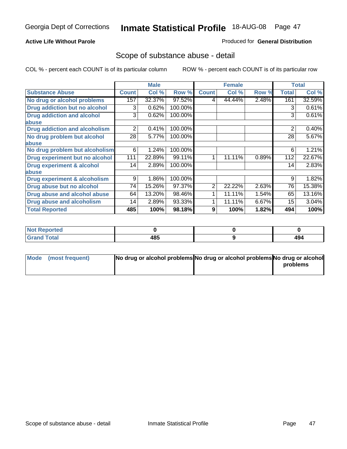#### **Active Life Without Parole**

#### Produced for **General Distribution**

### Scope of substance abuse - detail

|                                         |              | <b>Male</b> |         |                | <b>Female</b> |       |              | <b>Total</b> |
|-----------------------------------------|--------------|-------------|---------|----------------|---------------|-------|--------------|--------------|
| <b>Substance Abuse</b>                  | <b>Count</b> | Col %       | Row %   | <b>Count</b>   | Col %         | Row % | <b>Total</b> | Col %        |
| No drug or alcohol problems             | 157          | 32.37%      | 97.52%  | 4              | 44.44%        | 2.48% | 161          | 32.59%       |
| Drug addiction but no alcohol           | 3            | 0.62%       | 100.00% |                |               |       | 3            | 0.61%        |
| <b>Drug addiction and alcohol</b>       | 3            | 0.62%       | 100.00% |                |               |       | 3            | 0.61%        |
| abuse                                   |              |             |         |                |               |       |              |              |
| <b>Drug addiction and alcoholism</b>    | 2            | 0.41%       | 100.00% |                |               |       | 2            | 0.40%        |
| No drug problem but alcohol             | 28           | 5.77%       | 100.00% |                |               |       | 28           | 5.67%        |
| abuse                                   |              |             |         |                |               |       |              |              |
| No drug problem but alcoholism          | 6            | 1.24%       | 100.00% |                |               |       | 6            | 1.21%        |
| Drug experiment but no alcohol          | 111          | 22.89%      | 99.11%  | 1              | 11.11%        | 0.89% | 112          | 22.67%       |
| <b>Drug experiment &amp; alcohol</b>    | 14           | 2.89%       | 100.00% |                |               |       | 14           | 2.83%        |
| abuse                                   |              |             |         |                |               |       |              |              |
| <b>Drug experiment &amp; alcoholism</b> | 9            | 1.86%       | 100.00% |                |               |       | 9            | 1.82%        |
| Drug abuse but no alcohol               | 74           | 15.26%      | 97.37%  | $\overline{2}$ | 22.22%        | 2.63% | 76           | 15.38%       |
| Drug abuse and alcohol abuse            | 64           | 13.20%      | 98.46%  |                | 11.11%        | 1.54% | 65           | 13.16%       |
| Drug abuse and alcoholism               | 14           | 2.89%       | 93.33%  |                | 11.11%        | 6.67% | 15           | 3.04%        |
| <b>Total Reported</b>                   | 485          | 100%        | 98.18%  | 9              | 100%          | 1.82% | 494          | 100%         |

| ∣Not Reported            |     |             |
|--------------------------|-----|-------------|
| <b>Total</b><br>$\sim$ . | 485 | ، ∩،<br>+34 |

| Mode (most frequent) | No drug or alcohol problems No drug or alcohol problems No drug or alcohol |          |
|----------------------|----------------------------------------------------------------------------|----------|
|                      |                                                                            | problems |
|                      |                                                                            |          |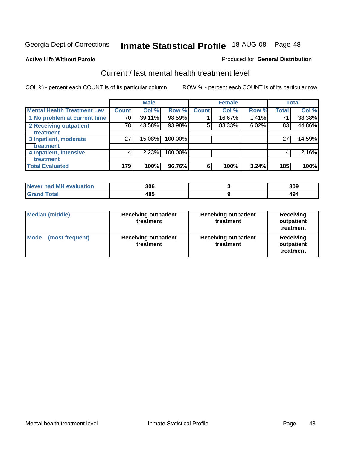#### **Active Life Without Parole**

#### Produced for **General Distribution**

### Current / last mental health treatment level

|                                    |              | <b>Male</b> |         |              | <b>Female</b> |       |              | <b>Total</b> |
|------------------------------------|--------------|-------------|---------|--------------|---------------|-------|--------------|--------------|
| <b>Mental Health Treatment Lev</b> | <b>Count</b> | Col %       | Row %   | <b>Count</b> | Col %         | Row % | <b>Total</b> | Col %        |
| 1 No problem at current time       | 70           | 39.11%      | 98.59%  |              | 16.67%        | 1.41% | 71           | 38.38%       |
| 2 Receiving outpatient             | 78           | 43.58%      | 93.98%  | 5            | 83.33%        | 6.02% | 83           | 44.86%       |
| treatment                          |              |             |         |              |               |       |              |              |
| 3 Inpatient, moderate              | 27           | 15.08%      | 100.00% |              |               |       | 27           | 14.59%       |
| treatment                          |              |             |         |              |               |       |              |              |
| 4 Inpatient, intensive             | 4            | 2.23%       | 100.00% |              |               |       | 4            | 2.16%        |
| treatment                          |              |             |         |              |               |       |              |              |
| <b>Total Evaluated</b>             | 179          | 100%        | 96.76%  | 6            | 100%          | 3.24% | 185          | 100%         |

| Never had MH evaluation | 306 | 309 |
|-------------------------|-----|-----|
| $T \wedge t \wedge$     | 485 | 43  |

| <b>Median (middle)</b>         | <b>Receiving outpatient</b><br>treatment | <b>Receiving outpatient</b><br>treatment | <b>Receiving</b><br>outpatient<br>treatment |
|--------------------------------|------------------------------------------|------------------------------------------|---------------------------------------------|
| <b>Mode</b><br>(most frequent) | <b>Receiving outpatient</b><br>treatment | <b>Receiving outpatient</b><br>treatment | Receiving<br>outpatient<br>treatment        |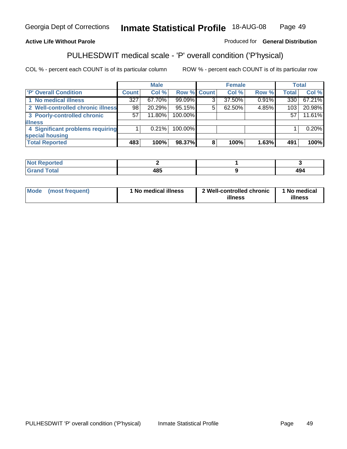#### **Active Life Without Parole**

#### Produced for **General Distribution**

### PULHESDWIT medical scale - 'P' overall condition ('P'hysical)

|                                   |              | <b>Male</b> |                    |   | <b>Female</b> |       |              | <b>Total</b> |
|-----------------------------------|--------------|-------------|--------------------|---|---------------|-------|--------------|--------------|
| 'P' Overall Condition             | <b>Count</b> | Col %       | <b>Row % Count</b> |   | Col %         | Row % | <b>Total</b> | Col %        |
| 1 No medical illness              | 327          | 67.70%      | 99.09%             | 3 | 37.50%        | 0.91% | 330          | 67.21%       |
| 2 Well-controlled chronic illness | 98           | 20.29%      | 95.15%             | 5 | 62.50%        | 4.85% | 103          | 20.98%       |
| 3 Poorly-controlled chronic       | 57           | 11.80%      | 100.00%            |   |               |       | 57           | 11.61%       |
| <b>illness</b>                    |              |             |                    |   |               |       |              |              |
| 4 Significant problems requiring  |              | $0.21\%$    | 100.00%            |   |               |       |              | 0.20%        |
| special housing                   |              |             |                    |   |               |       |              |              |
| <b>Total Reported</b>             | 483          | 100%        | 98.37%             |   | 100%          | 1.63% | 491          | 100%         |

| Not <b>F</b><br><b>Reported</b> |     |     |
|---------------------------------|-----|-----|
| <b>Grand Total</b>              | 485 | 494 |

| <b>Mode</b> | (most frequent) | <sup>1</sup> No medical illness | 2 Well-controlled chronic<br>illness | 1 No medical<br>illness |
|-------------|-----------------|---------------------------------|--------------------------------------|-------------------------|
|             |                 |                                 |                                      |                         |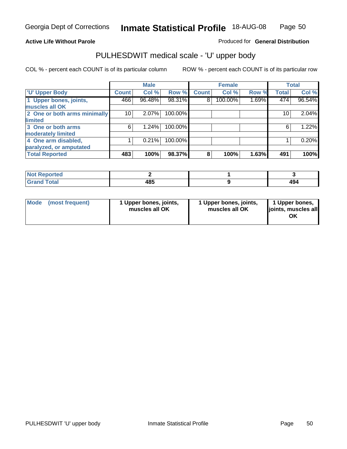#### **Active Life Without Parole**

Produced for **General Distribution**

# PULHESDWIT medical scale - 'U' upper body

|                              |              | <b>Male</b> |         |              | <b>Female</b> |       |              | <b>Total</b> |
|------------------------------|--------------|-------------|---------|--------------|---------------|-------|--------------|--------------|
| <b>U' Upper Body</b>         | <b>Count</b> | Col %       | Row %   | <b>Count</b> | Col %         | Row % | <b>Total</b> | Col %        |
| 1 Upper bones, joints,       | 466          | 96.48%      | 98.31%  | 8            | 100.00%       | 1.69% | 474          | 96.54%       |
| muscles all OK               |              |             |         |              |               |       |              |              |
| 2 One or both arms minimally | 10           | 2.07%       | 100.00% |              |               |       | 10           | 2.04%        |
| limited                      |              |             |         |              |               |       |              |              |
| 3 One or both arms           | 6            | 1.24%       | 100.00% |              |               |       | 6            | 1.22%        |
| moderately limited           |              |             |         |              |               |       |              |              |
| 4 One arm disabled,          |              | 0.21%       | 100.00% |              |               |       |              | 0.20%        |
| paralyzed, or amputated      |              |             |         |              |               |       |              |              |
| <b>Total Reported</b>        | 483          | 100%        | 98.37%  | 8            | 100%          | 1.63% | 491          | 100%         |

| <b>Not</b><br><b>Not Reported</b> |             |     |
|-----------------------------------|-------------|-----|
| <b>Total</b><br><b>C</b> ro       | 10 E<br>403 | 494 |

|  | Mode (most frequent) | 1 Upper bones, joints,<br>muscles all OK | 1 Upper bones, joints,<br>muscles all OK | 1 Upper bones,<br>joints, muscles all<br>ΟK |
|--|----------------------|------------------------------------------|------------------------------------------|---------------------------------------------|
|--|----------------------|------------------------------------------|------------------------------------------|---------------------------------------------|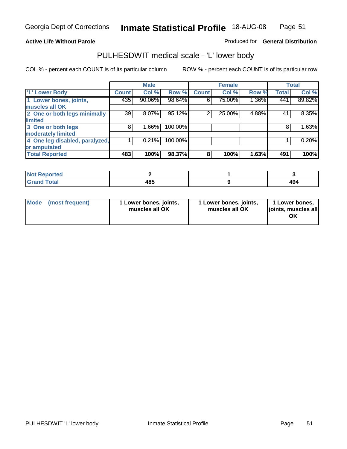#### **Active Life Without Parole**

#### Produced for **General Distribution**

### PULHESDWIT medical scale - 'L' lower body

|                                |              | <b>Male</b> |         |              | <b>Female</b> |       |              | <b>Total</b> |
|--------------------------------|--------------|-------------|---------|--------------|---------------|-------|--------------|--------------|
| 'L' Lower Body                 | <b>Count</b> | Col %       | Row %   | <b>Count</b> | Col %         | Row % | <b>Total</b> | Col %        |
| 1 Lower bones, joints,         | 435          | 90.06%      | 98.64%  | 6            | 75.00%        | 1.36% | 441          | 89.82%       |
| muscles all OK                 |              |             |         |              |               |       |              |              |
| 2 One or both legs minimally   | 39           | 8.07%       | 95.12%  | 2            | 25.00%        | 4.88% | 41           | 8.35%        |
| limited                        |              |             |         |              |               |       |              |              |
| 3 One or both legs             | 8            | 1.66%       | 100.00% |              |               |       | 8            | 1.63%        |
| moderately limited             |              |             |         |              |               |       |              |              |
| 4 One leg disabled, paralyzed, |              | 0.21%       | 100.00% |              |               |       |              | 0.20%        |
| or amputated                   |              |             |         |              |               |       |              |              |
| <b>Total Reported</b>          | 483          | 100%        | 98.37%  | 8            | 100%          | 1.63% | 491          | 100%         |

| <b>rted</b><br>N                    |             |  |
|-------------------------------------|-------------|--|
| $f \wedge f \wedge f$<br>TOldi<br>. | 10 E<br>483 |  |

|  | Mode (most frequent) | 1 Lower bones, joints,<br>muscles all OK | 1 Lower bones, joints,<br>muscles all OK | 1 Lower bones,<br>joints, muscles all<br>OK |
|--|----------------------|------------------------------------------|------------------------------------------|---------------------------------------------|
|--|----------------------|------------------------------------------|------------------------------------------|---------------------------------------------|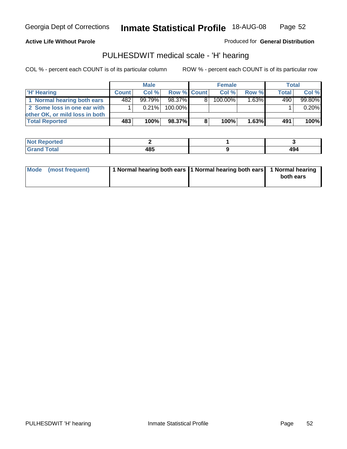#### **Active Life Without Parole**

Produced for **General Distribution**

### PULHESDWIT medical scale - 'H' hearing

|                                |              | <b>Male</b> |             |    | <b>Female</b> |                     | Total        |         |
|--------------------------------|--------------|-------------|-------------|----|---------------|---------------------|--------------|---------|
| 'H' Hearing                    | <b>Count</b> | Col%        | Row % Count |    | Col%          | Row %               | <b>Total</b> | Col %   |
| 1 Normal hearing both ears     | 482          | $99.79\%$   | 98.37%      | 81 | 100.00%       | $1.\overline{63\%}$ | 490          | 99.80%  |
| 2 Some loss in one ear with    |              | $0.21\%$    | 100.00%     |    |               |                     |              | 0.20%   |
| other OK, or mild loss in both |              |             |             |    |               |                     |              |         |
| <b>Total Reported</b>          | 483          | 100%        | 98.37%I     | 8  | 100%          | 1.63%               | 491          | $100\%$ |

| ported<br><b>NOT</b> |   |     |
|----------------------|---|-----|
| <b>c</b> otal        | . | 494 |

| Mode (most frequent) | 1 Normal hearing both ears 1 Normal hearing both ears 1 Normal hearing | both ears |
|----------------------|------------------------------------------------------------------------|-----------|
|                      |                                                                        |           |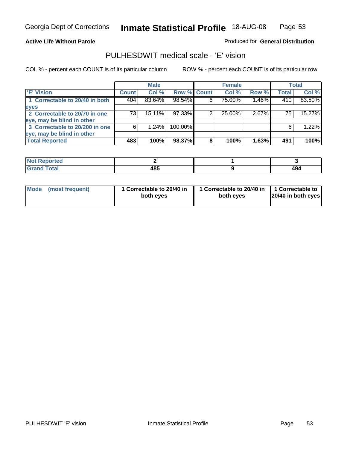#### **Active Life Without Parole**

#### Produced for **General Distribution**

### PULHESDWIT medical scale - 'E' vision

|                                |              | <b>Male</b> |             |   | <b>Female</b> |       |              | Total  |
|--------------------------------|--------------|-------------|-------------|---|---------------|-------|--------------|--------|
| <b>E' Vision</b>               | <b>Count</b> | Col %       | Row % Count |   | Col %         | Row % | <b>Total</b> | Col %  |
| 1 Correctable to 20/40 in both | 404          | 83.64%      | 98.54%      |   | 75.00%        | 1.46% | 410          | 83.50% |
| eyes                           |              |             |             |   |               |       |              |        |
| 2 Correctable to 20/70 in one  | 73           | $15.11\%$   | 97.33%      |   | 25.00%        | 2.67% | 75           | 15.27% |
| eye, may be blind in other     |              |             |             |   |               |       |              |        |
| 3 Correctable to 20/200 in one | 6            | $1.24\%$    | 100.00%     |   |               |       | 6            | 1.22%  |
| eye, may be blind in other     |              |             |             |   |               |       |              |        |
| <b>Total Reported</b>          | 483          | 100%        | 98.37%      | 8 | 100%          | 1.63% | 491          | 100%   |

| пето |             |      |
|------|-------------|------|
|      | 10 E<br>10J | –⊣ສ⊷ |

|  | Mode (most frequent) | 1 Correctable to 20/40 in<br>both eves | 1 Correctable to 20/40 in   1 Correctable to  <br>both eves | 20/40 in both eyes |
|--|----------------------|----------------------------------------|-------------------------------------------------------------|--------------------|
|--|----------------------|----------------------------------------|-------------------------------------------------------------|--------------------|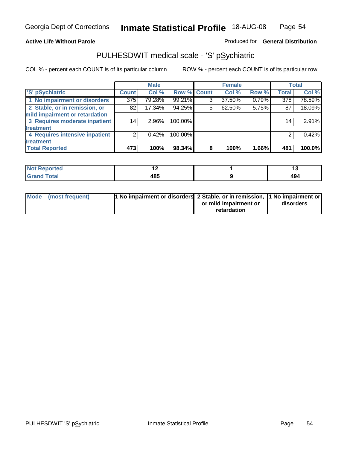#### **Active Life Without Parole**

### Produced for **General Distribution**

# PULHESDWIT medical scale - 'S' pSychiatric

|                                |              | <b>Male</b> |             |   | <b>Female</b> |       |              | <b>Total</b> |
|--------------------------------|--------------|-------------|-------------|---|---------------|-------|--------------|--------------|
| 'S' pSychiatric                | <b>Count</b> | Col %       | Row % Count |   | Col %         | Row % | <b>Total</b> | Col %        |
| 1 No impairment or disorders   | 375          | 79.28%      | 99.21%      | 3 | 37.50%        | 0.79% | 378          | 78.59%       |
| 2 Stable, or in remission, or  | 82           | 17.34%      | 94.25%      | 5 | 62.50%        | 5.75% | 87           | 18.09%       |
| mild impairment or retardation |              |             |             |   |               |       |              |              |
| 3 Requires moderate inpatient  | 14           | $2.96\%$    | 100.00%     |   |               |       | 14           | 2.91%        |
| treatment                      |              |             |             |   |               |       |              |              |
| 4 Requires intensive inpatient | ⌒            | 0.42%       | 100.00%     |   |               |       |              | 0.42%        |
| treatment                      |              |             |             |   |               |       |              |              |
| <b>Total Reported</b>          | 473          | 100%        | 98.34%      | 8 | 100%          | 1.66% | 481          | 100.0%       |

| <b>eported</b> | . .         | יי  |
|----------------|-------------|-----|
| <b>otal</b>    | 10 C<br>403 | 494 |

| Mode (most frequent) | 1 No impairment or disorders 2 Stable, or in remission, 11 No impairment or |                       |           |
|----------------------|-----------------------------------------------------------------------------|-----------------------|-----------|
|                      |                                                                             | or mild impairment or | disorders |
|                      |                                                                             | retardation           |           |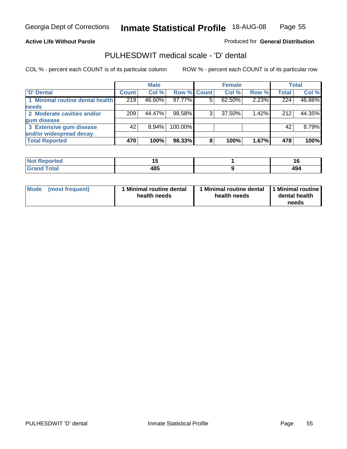#### **Active Life Without Parole**

Produced for **General Distribution**

### PULHESDWIT medical scale - 'D' dental

|                                 |              | <b>Male</b> |                    |   | <b>Female</b> |       |              | Total  |
|---------------------------------|--------------|-------------|--------------------|---|---------------|-------|--------------|--------|
| <b>D' Dental</b>                | <b>Count</b> | Col %       | <b>Row % Count</b> |   | Col %         | Row % | <b>Total</b> | Col %  |
| 1 Minimal routine dental health | 219          | 46.60%      | $97.77\%$          | 5 | 62.50%        | 2.23% | 224          | 46.86% |
| <b>needs</b>                    |              |             |                    |   |               |       |              |        |
| 2 Moderate cavities and/or      | 209          | 44.47%      | 98.58%             |   | 37.50%        | 1.42% | 212          | 44.35% |
| gum disease                     |              |             |                    |   |               |       |              |        |
| 3 Extensive gum disease         | 42           | $8.94\%$    | 100.00%            |   |               |       | 42           | 8.79%  |
| and/or widespread decay         |              |             |                    |   |               |       |              |        |
| <b>Total Reported</b>           | 470          | 100%        | 98.33%             | 8 | 100%          | 1.67% | 478          | 100%   |

| <b><i>Charles College College College College</i></b><br>тео<br>N | . .<br>$-$       | 16<br>$\sim$ |
|-------------------------------------------------------------------|------------------|--------------|
| $\sim$ $\sim$ $\sim$ $\sim$ $\sim$                                | 10 C<br>טד<br>__ | 40<br>474    |

| Mode (most frequent) | <b>Minimal routine dental</b><br>health needs | 1 Minimal routine dental<br>health needs | 1 Minimal routine<br>dental health<br>needs |
|----------------------|-----------------------------------------------|------------------------------------------|---------------------------------------------|
|----------------------|-----------------------------------------------|------------------------------------------|---------------------------------------------|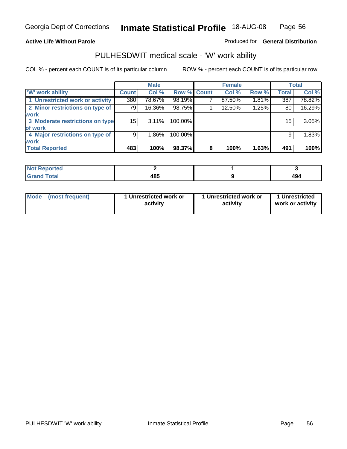#### **Active Life Without Parole**

### Produced for **General Distribution**

### PULHESDWIT medical scale - 'W' work ability

|                                 |              | <b>Male</b> |             |   | <b>Female</b> |       |              | <b>Total</b> |
|---------------------------------|--------------|-------------|-------------|---|---------------|-------|--------------|--------------|
| <b>W' work ability</b>          | <b>Count</b> | Col %       | Row % Count |   | Col %         | Row % | <b>Total</b> | Col %        |
| 1 Unrestricted work or activity | 380          | 78.67%      | 98.19%      |   | 87.50%        | 1.81% | 387          | 78.82%       |
| 2 Minor restrictions on type of | 79           | 16.36%      | 98.75%      |   | 12.50%        | 1.25% | 80           | 16.29%       |
| <b>work</b>                     |              |             |             |   |               |       |              |              |
| 3 Moderate restrictions on type | 15           | $3.11\%$    | 100.00%     |   |               |       | 15           | 3.05%        |
| of work                         |              |             |             |   |               |       |              |              |
| 4 Major restrictions on type of | 9            | $1.86\%$    | 100.00%     |   |               |       | 9            | 1.83%        |
| <b>work</b>                     |              |             |             |   |               |       |              |              |
| <b>Total Reported</b>           | 483          | 100%        | 98.37%      | 8 | 100%          | 1.63% | 491          | 100%         |

| <b>eported</b><br>NOT. |      |            |
|------------------------|------|------------|
| <b>Total</b>           | 10 E | <u>лл.</u> |
| C-rs                   | 403  | 434        |

| Mode | (most frequent) | 1 Unrestricted work or<br>activity | 1 Unrestricted work or<br>activity | 1 Unrestricted<br>work or activity |  |
|------|-----------------|------------------------------------|------------------------------------|------------------------------------|--|
|      |                 |                                    |                                    |                                    |  |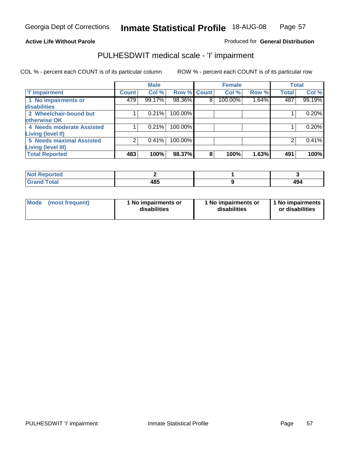#### **Active Life Without Parole**

#### Produced for **General Distribution**

### PULHESDWIT medical scale - 'I' impairment

|                                     |              | <b>Male</b> |                    |   | <b>Female</b> |       | <b>Total</b> |        |
|-------------------------------------|--------------|-------------|--------------------|---|---------------|-------|--------------|--------|
| <b>T' Impairment</b>                | <b>Count</b> | Col %       | <b>Row % Count</b> |   | Col %         | Row % | <b>Total</b> | Col %  |
| 1 No impairments or<br>disabilities | 479          | 99.17%      | 98.36%             | 8 | 100.00%       | 1.64% | 487          | 99.19% |
| 2 Wheelchair-bound but              |              | 0.21%       | 100.00%            |   |               |       |              | 0.20%  |
| otherwise OK                        |              |             |                    |   |               |       |              |        |
| 4 Needs moderate Assisted           |              | 0.21%       | 100.00%            |   |               |       |              | 0.20%  |
| <b>Living (level II)</b>            |              |             |                    |   |               |       |              |        |
| <b>5 Needs maximal Assisted</b>     |              | 0.41%       | 100.00%            |   |               |       |              | 0.41%  |
| <b>Living (level III)</b>           |              |             |                    |   |               |       |              |        |
| <b>Total Reported</b>               | 483          | 100%        | 98.37%             | 8 | 100%          | 1.63% | 491          | 100%   |

| Reported              |     |     |
|-----------------------|-----|-----|
| <b>Total</b><br>Grand | 485 | 494 |

| Mode | (most frequent) | 1 No impairments or<br>disabilities | 1 No impairments or<br>disabilities | 1 No impairments  <br>or disabilities |
|------|-----------------|-------------------------------------|-------------------------------------|---------------------------------------|
|------|-----------------|-------------------------------------|-------------------------------------|---------------------------------------|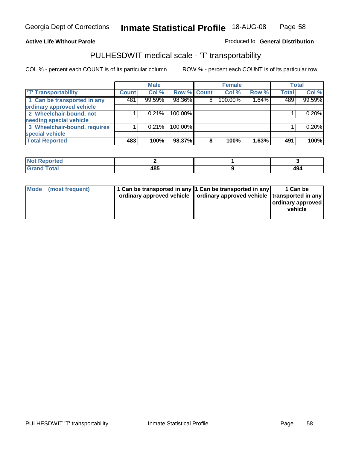#### **Inmate Statistical Profile** 18-AUG-08 Page Page 58

### **Active Life Without Parole Produced fo Seneral Distribution**

### PULHESDWIT medical scale - 'T' transportability

|                              |              | <b>Male</b> |             |   | <b>Female</b> |       |              | <b>Total</b> |
|------------------------------|--------------|-------------|-------------|---|---------------|-------|--------------|--------------|
| <b>T' Transportability</b>   | <b>Count</b> | Col %       | Row % Count |   | Col %         | Row % | <b>Total</b> | Col %        |
| 1 Can be transported in any  | 481          | 99.59%      | 98.36%      | 8 | 100.00%       | 1.64% | 489          | 99.59%       |
| ordinary approved vehicle    |              |             |             |   |               |       |              |              |
| 2 Wheelchair-bound, not      |              | 0.21%       | 100.00%     |   |               |       |              | 0.20%        |
| needing special vehicle      |              |             |             |   |               |       |              |              |
| 3 Wheelchair-bound, requires |              | 0.21%       | 100.00%     |   |               |       |              | 0.20%        |
| special vehicle              |              |             |             |   |               |       |              |              |
| <b>Total Reported</b>        | 483          | 100%        | 98.37%      | 8 | 100%          | 1.63% | 491          | 100%         |

| <b>Reported</b><br><b>NOT</b> |           |            |
|-------------------------------|-----------|------------|
| <b>Total</b>                  | 485<br>__ | 450<br>___ |

| Mode (most frequent) | 1 Can be transported in any 1 Can be transported in any | ordinary approved vehicle   ordinary approved vehicle   transported in any | 1 Can be<br>  ordinary approved  <br>vehicle |
|----------------------|---------------------------------------------------------|----------------------------------------------------------------------------|----------------------------------------------|
|----------------------|---------------------------------------------------------|----------------------------------------------------------------------------|----------------------------------------------|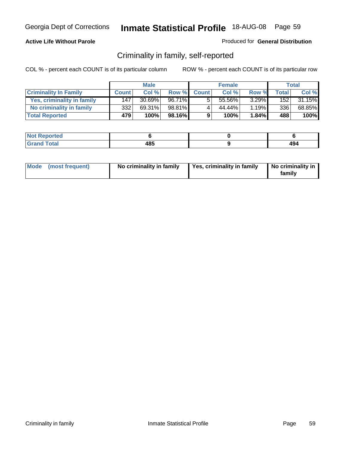#### **Active Life Without Parole**

#### Produced for **General Distribution**

### Criminality in family, self-reported

|                              |              | <b>Male</b> |        |              | <b>Female</b> |       |       | Total  |
|------------------------------|--------------|-------------|--------|--------------|---------------|-------|-------|--------|
| <b>Criminality In Family</b> | <b>Count</b> | Col %       | Row %  | <b>Count</b> | Col %         | Row % | Total | Col %  |
| Yes, criminality in family   | 147          | 30.69%      | 96.71% | 5            | 55.56%        | 3.29% | 152   | 31.15% |
| No criminality in family     | 332          | 69.31%      | 98.81% | 4            | 44.44%        | 1.19% | 336   | 68.85% |
| <b>Total Reported</b>        | 479          | 100%        | 98.16% | 9            | 100%          | 1.84% | 488   | 100%   |

| <b>Not Reported</b> |           |  |
|---------------------|-----------|--|
| Гоtal<br>'Grane     | 485<br>__ |  |

| Mode (most frequent) |  | No criminality in family | Yes, criminality in family | No criminality in<br>family |
|----------------------|--|--------------------------|----------------------------|-----------------------------|
|----------------------|--|--------------------------|----------------------------|-----------------------------|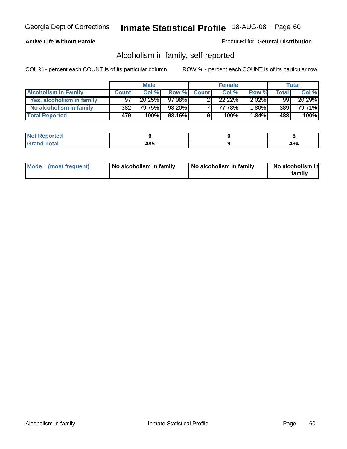#### **Active Life Without Parole**

#### Produced for **General Distribution**

### Alcoholism in family, self-reported

|                             |              | <b>Male</b> |         |              | <b>Female</b> |          |       | Total  |
|-----------------------------|--------------|-------------|---------|--------------|---------------|----------|-------|--------|
| <b>Alcoholism In Family</b> | <b>Count</b> | Col %       | Row %   | <b>Count</b> | Col %         | Row %    | Total | Col %  |
| Yes, alcoholism in family   | 97           | 20.25%      | 97.98%  |              | 22.22%        | $2.02\%$ | 99    | 20.29% |
| No alcoholism in family     | 382          | 79.75%      | 98.20%  |              | 77.78%        | $1.80\%$ | 389   | 79.71% |
| <b>Total Reported</b>       | 479          | 100%        | 98.16%I | 9            | 100%          | $1.84\%$ | 488   | 100%   |

| oorted<br><b>NOT</b><br><b>IJCI</b> |             |                       |
|-------------------------------------|-------------|-----------------------|
| Total<br>Gran<br>---                | 10 C<br>4໐ພ | $\overline{ }$<br>- 3 |

|  | Mode (most frequent) | No alcoholism in family | No alcoholism in family | No alcoholism in<br>family |
|--|----------------------|-------------------------|-------------------------|----------------------------|
|--|----------------------|-------------------------|-------------------------|----------------------------|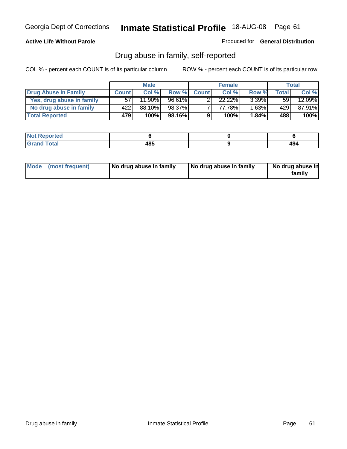#### **Active Life Without Parole**

Produced for **General Distribution**

### Drug abuse in family, self-reported

|                           |              | <b>Male</b> |           |              | <b>Female</b> |          |                 | Total     |
|---------------------------|--------------|-------------|-----------|--------------|---------------|----------|-----------------|-----------|
| Drug Abuse In Family      | <b>Count</b> | Col%        | Row %     | <b>Count</b> | Col %         | Row %    | <b>Total</b>    | Col %     |
| Yes, drug abuse in family | 57           | 11.90%      | $96.61\%$ |              | $22.22\%$     | $3.39\%$ | 59 <sub>1</sub> | $12.09\%$ |
| No drug abuse in family   | 422'         | 88.10%      | 98.37%    |              | 77.78%        | 1.63%    | 429             | 87.91%    |
| <b>Total Reported</b>     | 479          | 100%        | 98.16%    | 9            | 100%          | $1.84\%$ | 488             | 100%      |

| oorted<br><b>NOT</b><br><b>IJCI</b> |             |                       |
|-------------------------------------|-------------|-----------------------|
| Total<br>Gran<br>---                | 10 C<br>4໐ພ | $\overline{ }$<br>- 3 |

|  | Mode (most frequent) | No drug abuse in family | No drug abuse in family | No drug abuse in<br>family |
|--|----------------------|-------------------------|-------------------------|----------------------------|
|--|----------------------|-------------------------|-------------------------|----------------------------|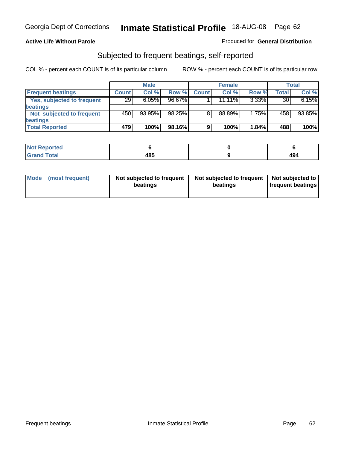#### **Active Life Without Parole**

#### Produced for **General Distribution**

### Subjected to frequent beatings, self-reported

|                            |              | <b>Male</b> |        |              | <b>Female</b> |          |       | <b>Total</b> |
|----------------------------|--------------|-------------|--------|--------------|---------------|----------|-------|--------------|
| <b>Frequent beatings</b>   | <b>Count</b> | Col%        | Row %  | <b>Count</b> | Col%          | Row %    | Total | Col %        |
| Yes, subjected to frequent | 29           | 6.05%       | 96.67% |              | $11.11\%$     | $3.33\%$ | 30    | 6.15%        |
| <b>beatings</b>            |              |             |        |              |               |          |       |              |
| Not subjected to frequent  | 450          | 93.95%      | 98.25% | 8            | 88.89%        | 1.75%    | 458   | 93.85%       |
| <b>beatings</b>            |              |             |        |              |               |          |       |              |
| <b>Total Reported</b>      | 479          | 100%        | 98.16% | 9            | 100%          | 1.84%    | 488   | 100%         |

| Not Reported |      |                         |
|--------------|------|-------------------------|
| <b>Total</b> | 10 E | $\mathbf{A} \mathbf{A}$ |
| Crope        | 40J  | 494                     |

| Mode<br>(most frequent) | beatings | Not subjected to frequent | Not subjected to frequent<br>beatings | Not subjected to<br><b>frequent beatings</b> |
|-------------------------|----------|---------------------------|---------------------------------------|----------------------------------------------|
|                         |          |                           |                                       |                                              |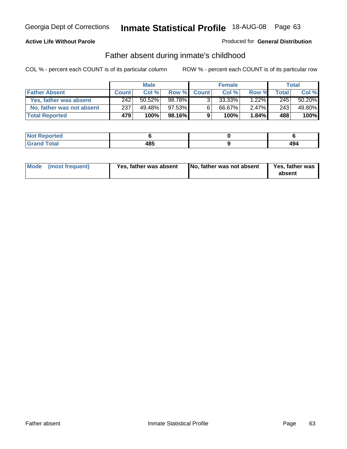#### **Active Life Without Parole**

#### Produced for **General Distribution**

### Father absent during inmate's childhood

|                           |              | <b>Male</b> |           |              | <b>Female</b> |          |       | Total  |
|---------------------------|--------------|-------------|-----------|--------------|---------------|----------|-------|--------|
| <b>Father Absent</b>      | <b>Count</b> | Col %       | Row %     | <b>Count</b> | Col %         | Row %    | Total | Col %  |
| Yes, father was absent    | 242          | $50.52\%$   | 98.78%    | 3.           | 33.33%        | $1.22\%$ | 245   | 50.20% |
| No, father was not absent | 237          | 49.48%      | $97.53\%$ | 6            | 66.67%        | $2.47\%$ | 243   | 49.80% |
| <b>Total Reported</b>     | 479          | 100%        | 98.16%    | 9            | 100%          | $1.84\%$ | 488   | 100%   |

| <b>Not Reported</b>   |     |            |
|-----------------------|-----|------------|
| <b>Total</b><br>Grano | 485 | 40.<br>494 |

|  | Mode (most frequent) | Yes, father was absent | No, father was not absent | Yes, father was<br>absent |
|--|----------------------|------------------------|---------------------------|---------------------------|
|--|----------------------|------------------------|---------------------------|---------------------------|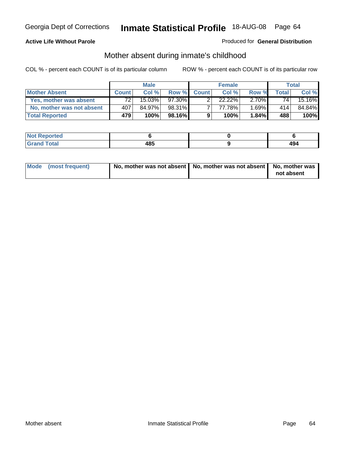#### **Active Life Without Parole**

#### Produced for **General Distribution**

# Mother absent during inmate's childhood

|                           |                  | <b>Male</b> |        |              | <b>Female</b> |          |       | Total  |
|---------------------------|------------------|-------------|--------|--------------|---------------|----------|-------|--------|
| <b>Mother Absent</b>      | <b>Count</b>     | Col %       | Row %  | <b>Count</b> | Col%          | Row %    | Total | Col %  |
| Yes, mother was absent    | 72               | 15.03%      | 97.30% |              | $22.22\%$     | $2.70\%$ | 741   | 15.16% |
| No, mother was not absent | 407              | 84.97%      | 98.31% |              | 77.78%        | $.69\%$  | 414   | 84.84% |
| <b>Total Reported</b>     | 479 <sup> </sup> | 100%        | 98.16% | 9            | 100%          | $1.84\%$ | 488   | 100%   |

| <b>Reported</b><br><b>NOT</b> |     |            |
|-------------------------------|-----|------------|
| <b>Total</b>                  | 485 | ، Δ<br>434 |

| Mode (most frequent) | No, mother was not absent $\vert$ No, mother was not absent $\vert$ No, mother was | not absent |
|----------------------|------------------------------------------------------------------------------------|------------|
|                      |                                                                                    |            |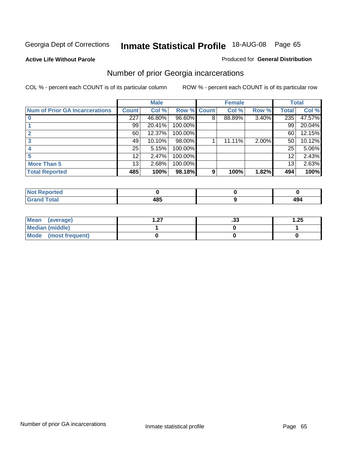**Active Life Without Parole** 

#### Produced for **General Distribution**

# Number of prior Georgia incarcerations

|                                       |              | <b>Male</b> |                    |   | <b>Female</b> |          |       | <b>Total</b> |
|---------------------------------------|--------------|-------------|--------------------|---|---------------|----------|-------|--------------|
| <b>Num of Prior GA Incarcerations</b> | <b>Count</b> | Col %       | <b>Row % Count</b> |   | Col %         | Row %    | Total | Col %        |
|                                       | 227          | 46.80%      | 96.60%             | 8 | 88.89%        | $3.40\%$ | 235   | 47.57%       |
|                                       | 99           | 20.41%      | 100.00%            |   |               |          | 99    | 20.04%       |
|                                       | 60           | 12.37%      | 100.00%            |   |               |          | 60    | 12.15%       |
| 3                                     | 49           | 10.10%      | 98.00%             |   | 11.11%        | $2.00\%$ | 50    | 10.12%       |
|                                       | 25           | 5.15%       | 100.00%            |   |               |          | 25    | 5.06%        |
|                                       | 12           | 2.47%       | 100.00%            |   |               |          | 12    | 2.43%        |
| <b>More Than 5</b>                    | 13           | 2.68%       | 100.00%            |   |               |          | 13    | 2.63%        |
| <b>Total Reported</b>                 | 485          | 100%        | 98.18%             | 9 | 100%          | 1.82%    | 494   | 100%         |

| .<br>тео<br>W. |             |                            |
|----------------|-------------|----------------------------|
|                | "^™<br>$ -$ | $^{\circ}$ $\Omega$<br>474 |

| Mean (average)       | - 27<br>. . <i>.</i> . | . JJ | 1.25 |
|----------------------|------------------------|------|------|
| Median (middle)      |                        |      |      |
| Mode (most frequent) |                        |      |      |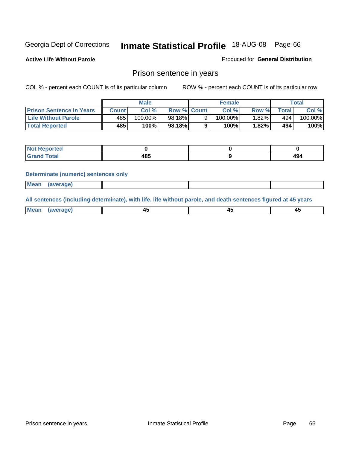**Active Life Without Parole** 

Produced for **General Distribution**

### Prison sentence in years

COL % - percent each COUNT is of its particular column ROW % - percent each COUNT is of its particular row

|                                 | Male   |            |                    | <b>Female</b> |         |       | Total       |         |
|---------------------------------|--------|------------|--------------------|---------------|---------|-------|-------------|---------|
| <b>Prison Sentence In Years</b> | Count⊺ | Col %      | <b>Row % Count</b> |               | Col %   | Row % | $\tau$ otal | Col %   |
| <b>Life Without Parole</b>      | 485    | $100.00\%$ | 98.18%             |               | 100.00% | ا%82. | 494         | 100.00% |
| <b>Total Reported</b>           | 485    | 100%       | 98.18%             |               | 100%    | 1.82% | 494         | 100%    |

| Reported                                |             |                             |
|-----------------------------------------|-------------|-----------------------------|
| <b>Total</b><br>Gra<br>$\mathbf{v}$ and | 10 E<br>403 | $\overline{A}$<br>--<br>Tv- |

#### **Determinate (numeric) sentences only**

| <b>Mean</b> | <i>(average)</i> |  |  |
|-------------|------------------|--|--|

**All sentences (including determinate), with life, life without parole, and death sentences figured at 45 years**

| Me:<br>апет<br>.<br>᠇<br>$\sim$ | -- | т.<br>$\sim$ |
|---------------------------------|----|--------------|
|---------------------------------|----|--------------|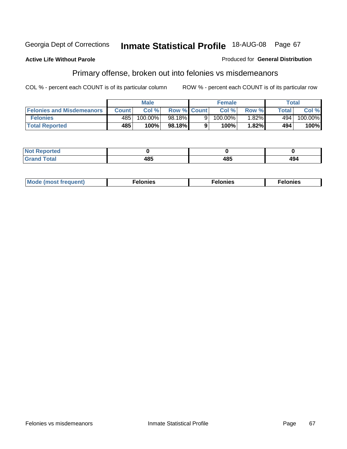#### **Active Life Without Parole**

#### Produced for **General Distribution**

# Primary offense, broken out into felonies vs misdemeanors

|                                  |              | <b>Male</b> |                    |   | <b>Female</b> |          |       | Total                 |
|----------------------------------|--------------|-------------|--------------------|---|---------------|----------|-------|-----------------------|
| <b>Felonies and Misdemeanors</b> | <b>Count</b> | Col%        | <b>Row % Count</b> |   | Col%          | Row %    | Total | Col %                 |
| <b>Felonies</b>                  | 485          | 100.00%     | 98.18%             | 9 | $100.00\%$    | $1.82\%$ | 494   | $100.\overline{00\%}$ |
| <b>Total Reported</b>            | 485          | 100%        | 98.18%I            |   | 100%          | .82%     | 494   | 100%                  |

| <b>Not</b><br>Reported<br>$\sim$ |     |      |     |
|----------------------------------|-----|------|-----|
| <b>otal</b>                      | ⊷   | 40 E | 494 |
| Grat                             | ruu | vov. |     |

| M <sub>0</sub><br>. | צאור<br>. | . |
|---------------------|-----------|---|
|---------------------|-----------|---|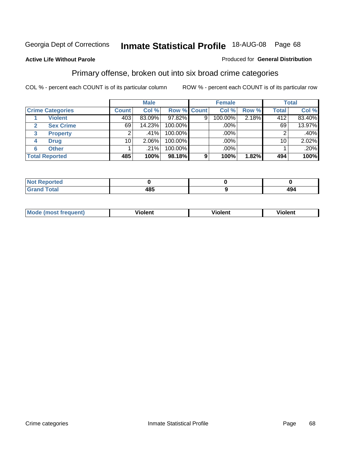#### **Active Life Without Parole**

#### Produced for **General Distribution**

### Primary offense, broken out into six broad crime categories

|                         |              | <b>Male</b> |             |   | <b>Female</b> |       |                  | <b>Total</b> |
|-------------------------|--------------|-------------|-------------|---|---------------|-------|------------------|--------------|
| <b>Crime Categories</b> | <b>Count</b> | Col %       | Row % Count |   | Col %         | Row % | <b>Total</b>     | Col %        |
| <b>Violent</b>          | 403          | 83.09%      | $97.82\%$   | 9 | 100.00%       | 2.18% | $\overline{412}$ | 83.40%       |
| <b>Sex Crime</b>        | 69           | 14.23%      | 100.00%     |   | .00%          |       | 69               | 13.97%       |
| <b>Property</b><br>3    |              | $.41\%$     | 100.00%     |   | .00%          |       |                  | $.40\%$      |
| <b>Drug</b><br>4        | 10           | 2.06%       | 100.00%     |   | .00%          |       | 10               | 2.02%        |
| <b>Other</b><br>6       |              | .21%        | 100.00%     |   | .00%          |       |                  | .20%         |
| <b>Total Reported</b>   | 485          | 100%        | 98.18%      | 9 | 100%          | 1.82% | 494              | 100%         |

| <b>Reported</b><br><b>NOT</b><br>. |     |     |
|------------------------------------|-----|-----|
| <b>Total</b><br><b>C</b> Ho H      | 485 | 494 |

| Mo | n n | winlor" | ılen' |
|----|-----|---------|-------|
|    |     |         |       |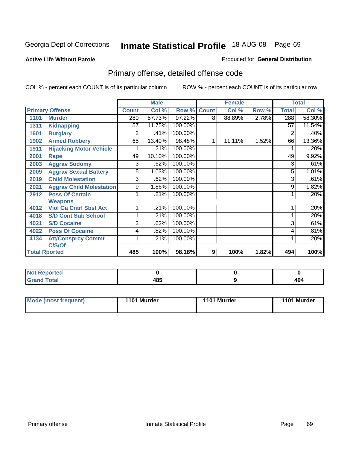#### **Active Life Without Parole**

#### Produced for **General Distribution**

# Primary offense, detailed offense code

|      |                                 |              | <b>Male</b> |         |              | <b>Female</b> |       |              | <b>Total</b> |
|------|---------------------------------|--------------|-------------|---------|--------------|---------------|-------|--------------|--------------|
|      | <b>Primary Offense</b>          | <b>Count</b> | Col %       | Row %   | <b>Count</b> | Col %         | Row % | <b>Total</b> | Col %        |
| 1101 | <b>Murder</b>                   | 280          | 57.73%      | 97.22%  | 8            | 88.89%        | 2.78% | 288          | 58.30%       |
| 1311 | <b>Kidnapping</b>               | 57           | 11.75%      | 100.00% |              |               |       | 57           | 11.54%       |
| 1601 | <b>Burglary</b>                 | 2            | .41%        | 100.00% |              |               |       | 2            | .40%         |
| 1902 | <b>Armed Robbery</b>            | 65           | 13.40%      | 98.48%  | 1            | 11.11%        | 1.52% | 66           | 13.36%       |
| 1911 | <b>Hijacking Motor Vehicle</b>  |              | .21%        | 100.00% |              |               |       |              | .20%         |
| 2001 | Rape                            | 49           | 10.10%      | 100.00% |              |               |       | 49           | 9.92%        |
| 2003 | <b>Aggrav Sodomy</b>            | 3            | .62%        | 100.00% |              |               |       | 3            | .61%         |
| 2009 | <b>Aggrav Sexual Battery</b>    | 5            | 1.03%       | 100.00% |              |               |       | 5            | 1.01%        |
| 2019 | <b>Child Molestation</b>        | 3            | .62%        | 100.00% |              |               |       | 3            | .61%         |
| 2021 | <b>Aggrav Child Molestation</b> | 9            | 1.86%       | 100.00% |              |               |       | 9            | 1.82%        |
| 2912 | <b>Poss Of Certain</b>          |              | .21%        | 100.00% |              |               |       |              | .20%         |
|      | <b>Weapons</b>                  |              |             |         |              |               |       |              |              |
| 4012 | <b>Viol Ga Cntrl Sbst Act</b>   |              | .21%        | 100.00% |              |               |       |              | .20%         |
| 4018 | <b>S/D Cont Sub School</b>      |              | .21%        | 100.00% |              |               |       |              | .20%         |
| 4021 | <b>S/D Cocaine</b>              | 3            | .62%        | 100.00% |              |               |       | 3            | .61%         |
| 4022 | <b>Poss Of Cocaine</b>          | 4            | .82%        | 100.00% |              |               |       | 4            | .81%         |
| 4134 | <b>Att/Consprcy Commt</b>       | 1            | .21%        | 100.00% |              |               |       | 1            | .20%         |
|      | C/S/Of                          |              |             |         |              |               |       |              |              |
|      | <b>Total Rported</b>            | 485          | 100%        | 98.18%  | 9            | 100%          | 1.82% | 494          | 100%         |

| <b>Not Reported</b> |              |               |
|---------------------|--------------|---------------|
| <b>Total</b>        | 1 O E<br>403 | 494<br>$\sim$ |

| Mode (most frequent) | 1101 Murder | 1101 Murder | 1101 Murder |
|----------------------|-------------|-------------|-------------|
|----------------------|-------------|-------------|-------------|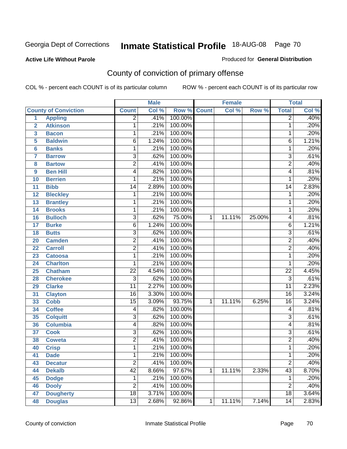**Active Life Without Parole** 

Produced for **General Distribution**

# County of conviction of primary offense

|                  |                             |                 | <b>Male</b> |             |              | <b>Female</b> |        |                 | <b>Total</b> |
|------------------|-----------------------------|-----------------|-------------|-------------|--------------|---------------|--------|-----------------|--------------|
|                  | <b>County of Conviction</b> | <b>Count</b>    | Col %       | Row % Count |              | Col %         | Row %  | <b>Total</b>    | Col %        |
| $\overline{1}$   | <b>Appling</b>              | $\overline{2}$  | .41%        | 100.00%     |              |               |        | $\overline{2}$  | .40%         |
| $\overline{2}$   | <b>Atkinson</b>             | 1               | .21%        | 100.00%     |              |               |        | 1               | .20%         |
| 3                | <b>Bacon</b>                | 1               | .21%        | 100.00%     |              |               |        | 1               | .20%         |
| 5                | <b>Baldwin</b>              | $\overline{6}$  | 1.24%       | 100.00%     |              |               |        | 6               | 1.21%        |
| 6                | <b>Banks</b>                | 1               | .21%        | 100.00%     |              |               |        | $\mathbf{1}$    | .20%         |
| 7                | <b>Barrow</b>               | $\overline{3}$  | .62%        | 100.00%     |              |               |        | $\overline{3}$  | .61%         |
| 8                | <b>Bartow</b>               | $\overline{2}$  | .41%        | 100.00%     |              |               |        | $\overline{2}$  | .40%         |
| $\boldsymbol{9}$ | <b>Ben Hill</b>             | 4               | .82%        | 100.00%     |              |               |        | 4               | .81%         |
| 10               | <b>Berrien</b>              | 1               | .21%        | 100.00%     |              |               |        | 1               | .20%         |
| 11               | <b>Bibb</b>                 | $\overline{14}$ | 2.89%       | 100.00%     |              |               |        | $\overline{14}$ | 2.83%        |
| 12               | <b>Bleckley</b>             | 1               | .21%        | 100.00%     |              |               |        | $\mathbf 1$     | .20%         |
| 13               | <b>Brantley</b>             | 1               | .21%        | 100.00%     |              |               |        | 1               | .20%         |
| $\overline{14}$  | <b>Brooks</b>               | $\mathbf{1}$    | .21%        | 100.00%     |              |               |        | $\mathbf 1$     | .20%         |
| 16               | <b>Bulloch</b>              | $\overline{3}$  | .62%        | 75.00%      | $\mathbf{1}$ | 11.11%        | 25.00% | 4               | .81%         |
| 17               | <b>Burke</b>                | $\overline{6}$  | 1.24%       | 100.00%     |              |               |        | 6               | 1.21%        |
| 18               | <b>Butts</b>                | 3               | .62%        | 100.00%     |              |               |        | $\overline{3}$  | .61%         |
| 20               | <b>Camden</b>               | $\overline{2}$  | .41%        | 100.00%     |              |               |        | $\overline{2}$  | .40%         |
| 22               | <b>Carroll</b>              | $\overline{2}$  | .41%        | 100.00%     |              |               |        | $\overline{2}$  | .40%         |
| 23               | <b>Catoosa</b>              | 1               | .21%        | 100.00%     |              |               |        | $\mathbf 1$     | .20%         |
| 24               | <b>Charlton</b>             | 1               | .21%        | 100.00%     |              |               |        | 1               | .20%         |
| 25               | <b>Chatham</b>              | $\overline{22}$ | 4.54%       | 100.00%     |              |               |        | $\overline{22}$ | 4.45%        |
| 28               | <b>Cherokee</b>             | $\overline{3}$  | .62%        | 100.00%     |              |               |        | $\overline{3}$  | .61%         |
| 29               | <b>Clarke</b>               | $\overline{11}$ | 2.27%       | 100.00%     |              |               |        | $\overline{11}$ | 2.23%        |
| 31               | <b>Clayton</b>              | $\overline{16}$ | 3.30%       | 100.00%     |              |               |        | 16              | 3.24%        |
| 33               | <b>Cobb</b>                 | $\overline{15}$ | 3.09%       | 93.75%      | 1            | 11.11%        | 6.25%  | $\overline{16}$ | 3.24%        |
| 34               | <b>Coffee</b>               | 4               | .82%        | 100.00%     |              |               |        | 4               | .81%         |
| 35               | <b>Colquitt</b>             | $\overline{3}$  | .62%        | 100.00%     |              |               |        | $\overline{3}$  | .61%         |
| 36               | <b>Columbia</b>             | 4               | .82%        | 100.00%     |              |               |        | 4               | .81%         |
| 37               | <b>Cook</b>                 | $\overline{3}$  | .62%        | 100.00%     |              |               |        | $\overline{3}$  | .61%         |
| 38               | <b>Coweta</b>               | $\overline{2}$  | .41%        | 100.00%     |              |               |        | $\overline{2}$  | .40%         |
| 40               | <b>Crisp</b>                | 1               | .21%        | 100.00%     |              |               |        | 1               | .20%         |
| 41               | <b>Dade</b>                 | 1               | .21%        | 100.00%     |              |               |        | 1               | .20%         |
| 43               | <b>Decatur</b>              | $\overline{2}$  | .41%        | 100.00%     |              |               |        | $\overline{2}$  | .40%         |
| 44               | <b>Dekalb</b>               | 42              | 8.66%       | 97.67%      | $\mathbf{1}$ | 11.11%        | 2.33%  | 43              | 8.70%        |
| 45               | <b>Dodge</b>                | 1               | .21%        | 100.00%     |              |               |        | 1               | .20%         |
| 46               | <b>Dooly</b>                | $\overline{2}$  | .41%        | 100.00%     |              |               |        | $\overline{2}$  | .40%         |
| 47               | <b>Dougherty</b>            | $\overline{18}$ | 3.71%       | 100.00%     |              |               |        | 18              | 3.64%        |
| 48               | <b>Douglas</b>              | $\overline{13}$ | 2.68%       | 92.86%      | $\mathbf{1}$ | 11.11%        | 7.14%  | 14              | 2.83%        |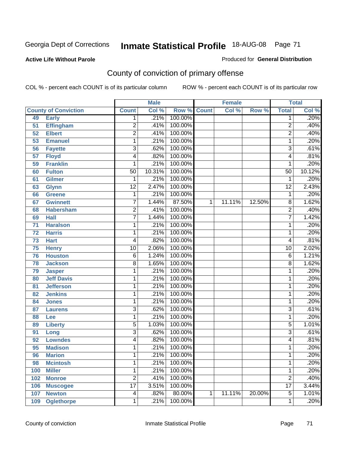#### **Active Life Without Parole**

#### Produced for **General Distribution**

# County of conviction of primary offense

|     |                             |                 | <b>Male</b> |              |              | <b>Female</b> |        |                 | <b>Total</b> |
|-----|-----------------------------|-----------------|-------------|--------------|--------------|---------------|--------|-----------------|--------------|
|     | <b>County of Conviction</b> | <b>Count</b>    | Col %       | Row %        | <b>Count</b> | Col %         | Row %  | <b>Total</b>    | Col %        |
| 49  | <b>Early</b>                | 1               | .21%        | 100.00%      |              |               |        | 1               | .20%         |
| 51  | <b>Effingham</b>            | $\overline{2}$  | .41%        | 100.00%      |              |               |        | $\overline{2}$  | .40%         |
| 52  | <b>Elbert</b>               | $\overline{2}$  | .41%        | 100.00%      |              |               |        | $\overline{2}$  | .40%         |
| 53  | <b>Emanuel</b>              | 1               | .21%        | 100.00%      |              |               |        | $\mathbf{1}$    | .20%         |
| 56  | <b>Fayette</b>              | $\overline{3}$  | .62%        | 100.00%      |              |               |        | $\overline{3}$  | .61%         |
| 57  | <b>Floyd</b>                | 4               | .82%        | 100.00%      |              |               |        | 4               | .81%         |
| 59  | <b>Franklin</b>             | 1               | .21%        | 100.00%      |              |               |        | 1               | .20%         |
| 60  | <b>Fulton</b>               | $\overline{50}$ | 10.31%      | 100.00%      |              |               |        | $\overline{50}$ | 10.12%       |
| 61  | <b>Gilmer</b>               | 1               | .21%        | 100.00%      |              |               |        | 1               | .20%         |
| 63  | <b>Glynn</b>                | $\overline{12}$ | 2.47%       | 100.00%      |              |               |        | $\overline{12}$ | 2.43%        |
| 66  | <b>Greene</b>               | 1               | .21%        | 100.00%      |              |               |        | 1               | .20%         |
| 67  | <b>Gwinnett</b>             | $\overline{7}$  | 1.44%       | 87.50%       | 1            | 11.11%        | 12.50% | 8               | 1.62%        |
| 68  | <b>Habersham</b>            | $\overline{2}$  | .41%        | 100.00%      |              |               |        | $\overline{2}$  | .40%         |
| 69  | <b>Hall</b>                 | $\overline{7}$  | 1.44%       | 100.00%      |              |               |        | $\overline{7}$  | 1.42%        |
| 71  | <b>Haralson</b>             | 1               | .21%        | 100.00%      |              |               |        | 1               | .20%         |
| 72  | <b>Harris</b>               | 1               | .21%        | 100.00%      |              |               |        | 1               | .20%         |
| 73  | <b>Hart</b>                 | 4               | .82%        | 100.00%      |              |               |        | 4               | .81%         |
| 75  | <b>Henry</b>                | $\overline{10}$ | 2.06%       | 100.00%      |              |               |        | 10              | 2.02%        |
| 76  | <b>Houston</b>              | $\overline{6}$  | 1.24%       | 100.00%      |              |               |        | 6               | 1.21%        |
| 78  | <b>Jackson</b>              | 8               | 1.65%       | 100.00%      |              |               |        | 8               | 1.62%        |
| 79  | <b>Jasper</b>               | 1               | .21%        | 100.00%      |              |               |        | 1               | .20%         |
| 80  | <b>Jeff Davis</b>           | 1               | .21%        | 100.00%      |              |               |        | 1               | .20%         |
| 81  | <b>Jefferson</b>            | 1               | .21%        | 100.00%      |              |               |        | 1               | .20%         |
| 82  | <b>Jenkins</b>              | 1               | .21%        | 100.00%      |              |               |        | 1               | .20%         |
| 84  | <b>Jones</b>                | 1               | .21%        | 100.00%      |              |               |        | 1               | .20%         |
| 87  | <b>Laurens</b>              | $\overline{3}$  | .62%        | 100.00%      |              |               |        | $\overline{3}$  | .61%         |
| 88  | Lee                         | 1               | .21%        | 100.00%      |              |               |        | 1               | .20%         |
| 89  | <b>Liberty</b>              | $\overline{5}$  | 1.03%       | 100.00%      |              |               |        | 5               | 1.01%        |
| 91  | Long                        | $\overline{3}$  | .62%        | 100.00%      |              |               |        | $\overline{3}$  | .61%         |
| 92  | <b>Lowndes</b>              | 4               | .82%        | 100.00%      |              |               |        | 4               | .81%         |
| 95  | <b>Madison</b>              | 1               | .21%        | 100.00%      |              |               |        | 1               | .20%         |
| 96  | <b>Marion</b>               | 1               |             | .21% 100.00% |              |               |        | 1               | .20%         |
| 98  | <b>Mcintosh</b>             | 1               | .21%        | 100.00%      |              |               |        | 1               | .20%         |
| 100 | <b>Miller</b>               | 1               | .21%        | 100.00%      |              |               |        | 1               | .20%         |
| 102 | <b>Monroe</b>               | $\overline{2}$  | .41%        | 100.00%      |              |               |        | $\overline{2}$  | .40%         |
| 106 | <b>Muscogee</b>             | $\overline{17}$ | 3.51%       | 100.00%      |              |               |        | $\overline{17}$ | 3.44%        |
| 107 | <b>Newton</b>               | 4               | .82%        | 80.00%       | 1            | 11.11%        | 20.00% | $\overline{5}$  | 1.01%        |
| 109 | <b>Oglethorpe</b>           | $\mathbf{1}$    | .21%        | 100.00%      |              |               |        | 1               | .20%         |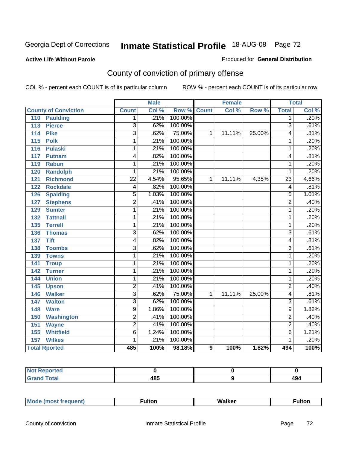#### **Active Life Without Parole**

#### Produced for **General Distribution**

# County of conviction of primary offense

|                                     |                 | <b>Male</b> |                    |   | <b>Female</b> |        |                 | <b>Total</b>       |
|-------------------------------------|-----------------|-------------|--------------------|---|---------------|--------|-----------------|--------------------|
| <b>County of Conviction</b>         | <b>Count</b>    | Col %       | <b>Row % Count</b> |   | Col %         | Row %  | <b>Total</b>    | Col %              |
| 110<br><b>Paulding</b>              | 1               | .21%        | 100.00%            |   |               |        | $\overline{1}$  | .20%               |
| $\overline{113}$<br><b>Pierce</b>   | $\overline{3}$  | .62%        | 100.00%            |   |               |        | $\overline{3}$  | .61%               |
| <b>Pike</b><br>114                  | $\overline{3}$  | .62%        | 75.00%             | 1 | 11.11%        | 25.00% | 4               | .81%               |
| 115<br><b>Polk</b>                  | 1               | .21%        | 100.00%            |   |               |        | 1               | .20%               |
| <b>Pulaski</b><br>116               | 1               | .21%        | 100.00%            |   |               |        | $\mathbf{1}$    | .20%               |
| 117<br><b>Putnam</b>                | 4               | .82%        | 100.00%            |   |               |        | 4               | .81%               |
| 119<br><b>Rabun</b>                 | 1               | .21%        | 100.00%            |   |               |        | $\mathbf{1}$    | .20%               |
| <b>Randolph</b><br>120              | 1               | .21%        | 100.00%            |   |               |        | 1               | .20%               |
| $\overline{121}$<br><b>Richmond</b> | $\overline{22}$ | 4.54%       | 95.65%             | 1 | 11.11%        | 4.35%  | $\overline{23}$ | 4.66%              |
| <b>Rockdale</b><br>122              | 4               | .82%        | 100.00%            |   |               |        | 4               | .81%               |
| <b>Spalding</b><br>126              | $\overline{5}$  | 1.03%       | 100.00%            |   |               |        | $\overline{5}$  | 1.01%              |
| <b>Stephens</b><br>127              | $\overline{2}$  | .41%        | 100.00%            |   |               |        | $\overline{2}$  | .40%               |
| 129<br><b>Sumter</b>                | 1               | .21%        | 100.00%            |   |               |        | 1               | .20%               |
| 132<br><b>Tattnall</b>              | 1               | .21%        | 100.00%            |   |               |        | 1               | .20%               |
| <b>Terrell</b><br>135               | 1               | .21%        | 100.00%            |   |               |        | 1               | .20%               |
| 136<br><b>Thomas</b>                | $\overline{3}$  | .62%        | 100.00%            |   |               |        | $\overline{3}$  | .61%               |
| 137<br><b>Tift</b>                  | 4               | .82%        | 100.00%            |   |               |        | 4               | .81%               |
| <b>Toombs</b><br>138                | $\overline{3}$  | .62%        | 100.00%            |   |               |        | $\overline{3}$  | .61%               |
| 139<br><b>Towns</b>                 | 1               | .21%        | 100.00%            |   |               |        | $\mathbf{1}$    | .20%               |
| 141<br><b>Troup</b>                 | 1               | .21%        | 100.00%            |   |               |        | $\mathbf{1}$    | .20%               |
| 142<br><b>Turner</b>                | $\overline{1}$  | .21%        | 100.00%            |   |               |        | $\overline{1}$  | .20%               |
| <b>Union</b><br>144                 | 1               | .21%        | 100.00%            |   |               |        | $\mathbf{1}$    | .20%               |
| 145<br><b>Upson</b>                 | $\overline{2}$  | .41%        | 100.00%            |   |               |        | $\overline{2}$  | .40%               |
| 146<br><b>Walker</b>                | $\overline{3}$  | .62%        | 75.00%             | 1 | 11.11%        | 25.00% | 4               | .81%               |
| 147<br><b>Walton</b>                | $\overline{3}$  | .62%        | 100.00%            |   |               |        | 3               | .61%               |
| <b>Ware</b><br>148                  | 9               | 1.86%       | 100.00%            |   |               |        | 9               | 1.82%              |
| <b>Washington</b><br>150            | $\overline{2}$  | .41%        | 100.00%            |   |               |        | $\overline{2}$  | .40%               |
| 151<br><b>Wayne</b>                 | $\overline{2}$  | .41%        | 100.00%            |   |               |        | $\overline{2}$  | .40%               |
| <b>Whitfield</b><br>155             | 6               | 1.24%       | 100.00%            |   |               |        | 6               | 1.21%              |
| <b>Wilkes</b><br>157                | 1               | .21%        | 100.00%            |   |               |        | 1               | .20%               |
| <b>Total Rported</b>                | 485             | 100%        | 98.18%             | 9 | 100%          | 1.82%  | 494             | $\overline{100\%}$ |

| Reported<br>NOT F<br>. |     |            |
|------------------------|-----|------------|
| <b>Total</b>           | 485 | ،۵۸<br>474 |

| _____ |  | Мe | τοη<br>ur. | <b>Walker</b> | ultor |
|-------|--|----|------------|---------------|-------|
|-------|--|----|------------|---------------|-------|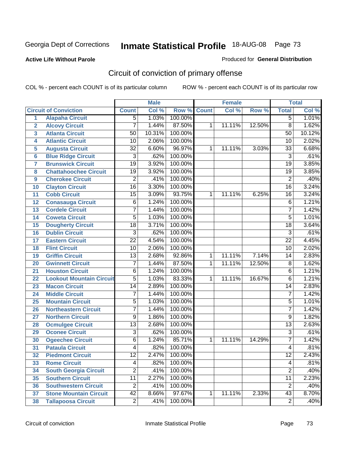#### **Active Life Without Parole**

#### Produced for **General Distribution**

# Circuit of conviction of primary offense

|                         |                                 |                 | <b>Male</b> |         |              | <b>Female</b> |        |                 | <b>Total</b> |
|-------------------------|---------------------------------|-----------------|-------------|---------|--------------|---------------|--------|-----------------|--------------|
|                         | <b>Circuit of Conviction</b>    | <b>Count</b>    | Col %       | Row %   | <b>Count</b> | Col %         | Row %  | <b>Total</b>    | Col %        |
| 1                       | <b>Alapaha Circuit</b>          | $\overline{5}$  | 1.03%       | 100.00% |              |               |        | 5               | 1.01%        |
| $\overline{2}$          | <b>Alcovy Circuit</b>           | 7               | 1.44%       | 87.50%  | 1            | 11.11%        | 12.50% | $\overline{8}$  | 1.62%        |
| $\overline{3}$          | <b>Atlanta Circuit</b>          | 50              | 10.31%      | 100.00% |              |               |        | 50              | 10.12%       |
| 4                       | <b>Atlantic Circuit</b>         | 10              | 2.06%       | 100.00% |              |               |        | 10              | 2.02%        |
| 5                       | <b>Augusta Circuit</b>          | $\overline{32}$ | 6.60%       | 96.97%  | 1            | 11.11%        | 3.03%  | $\overline{33}$ | 6.68%        |
| $6\phantom{a}$          | <b>Blue Ridge Circuit</b>       | $\overline{3}$  | .62%        | 100.00% |              |               |        | $\overline{3}$  | .61%         |
| $\overline{\mathbf{7}}$ | <b>Brunswick Circuit</b>        | $\overline{19}$ | 3.92%       | 100.00% |              |               |        | $\overline{19}$ | 3.85%        |
| 8                       | <b>Chattahoochee Circuit</b>    | $\overline{19}$ | 3.92%       | 100.00% |              |               |        | $\overline{19}$ | 3.85%        |
| 9                       | <b>Cherokee Circuit</b>         | $\overline{2}$  | .41%        | 100.00% |              |               |        | $\overline{2}$  | .40%         |
| 10                      | <b>Clayton Circuit</b>          | $\overline{16}$ | 3.30%       | 100.00% |              |               |        | $\overline{16}$ | 3.24%        |
| 11                      | <b>Cobb Circuit</b>             | $\overline{15}$ | 3.09%       | 93.75%  | 1            | 11.11%        | 6.25%  | 16              | 3.24%        |
| 12                      | <b>Conasauga Circuit</b>        | 6               | 1.24%       | 100.00% |              |               |        | $\overline{6}$  | 1.21%        |
| 13                      | <b>Cordele Circuit</b>          | 7               | 1.44%       | 100.00% |              |               |        | $\overline{7}$  | 1.42%        |
| 14                      | <b>Coweta Circuit</b>           | $\overline{5}$  | 1.03%       | 100.00% |              |               |        | $\overline{5}$  | 1.01%        |
| 15                      | <b>Dougherty Circuit</b>        | $\overline{18}$ | 3.71%       | 100.00% |              |               |        | $\overline{18}$ | 3.64%        |
| 16                      | <b>Dublin Circuit</b>           | $\overline{3}$  | .62%        | 100.00% |              |               |        | $\overline{3}$  | .61%         |
| 17                      | <b>Eastern Circuit</b>          | $\overline{22}$ | 4.54%       | 100.00% |              |               |        | $\overline{22}$ | 4.45%        |
| 18                      | <b>Flint Circuit</b>            | $\overline{10}$ | 2.06%       | 100.00% |              |               |        | 10              | 2.02%        |
| 19                      | <b>Griffin Circuit</b>          | $\overline{13}$ | 2.68%       | 92.86%  | $\mathbf{1}$ | 11.11%        | 7.14%  | 14              | 2.83%        |
| 20                      | <b>Gwinnett Circuit</b>         | $\overline{7}$  | 1.44%       | 87.50%  | 1            | 11.11%        | 12.50% | 8               | 1.62%        |
| 21                      | <b>Houston Circuit</b>          | 6               | 1.24%       | 100.00% |              |               |        | $\overline{6}$  | 1.21%        |
| 22                      | <b>Lookout Mountain Circuit</b> | $\overline{5}$  | 1.03%       | 83.33%  | 1            | 11.11%        | 16.67% | 6               | 1.21%        |
| 23                      | <b>Macon Circuit</b>            | 14              | 2.89%       | 100.00% |              |               |        | 14              | 2.83%        |
| 24                      | <b>Middle Circuit</b>           | 7               | 1.44%       | 100.00% |              |               |        | $\overline{7}$  | 1.42%        |
| 25                      | <b>Mountain Circuit</b>         | 5               | 1.03%       | 100.00% |              |               |        | 5               | 1.01%        |
| 26                      | <b>Northeastern Circuit</b>     | $\overline{7}$  | 1.44%       | 100.00% |              |               |        | $\overline{7}$  | 1.42%        |
| 27                      | <b>Northern Circuit</b>         | 9               | 1.86%       | 100.00% |              |               |        | 9               | 1.82%        |
| 28                      | <b>Ocmulgee Circuit</b>         | $\overline{13}$ | 2.68%       | 100.00% |              |               |        | $\overline{13}$ | 2.63%        |
| 29                      | <b>Oconee Circuit</b>           | $\overline{3}$  | .62%        | 100.00% |              |               |        | $\overline{3}$  | .61%         |
| 30                      | <b>Ogeechee Circuit</b>         | $\overline{6}$  | 1.24%       | 85.71%  | 1            | 11.11%        | 14.29% | $\overline{7}$  | 1.42%        |
| $\overline{31}$         | <b>Pataula Circuit</b>          | 4               | .82%        | 100.00% |              |               |        | 4               | .81%         |
| 32                      | <b>Piedmont Circuit</b>         | 12              | 2.47%       | 100.00% |              |               |        | 12              | 2.43%        |
| 33                      | <b>Rome Circuit</b>             | 4               | .82%        | 100.00% |              |               |        | 4               | .81%         |
| 34                      | <b>South Georgia Circuit</b>    | $\overline{2}$  | .41%        | 100.00% |              |               |        | $\overline{2}$  | .40%         |
| 35                      | <b>Southern Circuit</b>         | $\overline{11}$ | 2.27%       | 100.00% |              |               |        | $\overline{11}$ | 2.23%        |
| 36                      | <b>Southwestern Circuit</b>     | $\overline{2}$  | .41%        | 100.00% |              |               |        | $\overline{2}$  | .40%         |
| 37                      | <b>Stone Mountain Circuit</b>   | $\overline{42}$ | 8.66%       | 97.67%  | 1            | 11.11%        | 2.33%  | $\overline{43}$ | 8.70%        |
| 38                      | <b>Tallapoosa Circuit</b>       | $\overline{2}$  | .41%        | 100.00% |              |               |        | $\overline{2}$  | .40%         |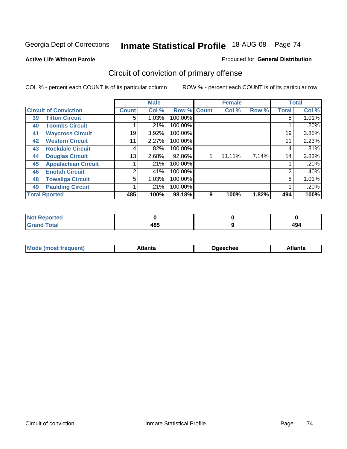**Active Life Without Parole** 

#### Produced for **General Distribution**

# Circuit of conviction of primary offense

|    |                              |              | <b>Male</b> |         |              | <b>Female</b> |       |              | <b>Total</b> |
|----|------------------------------|--------------|-------------|---------|--------------|---------------|-------|--------------|--------------|
|    | <b>Circuit of Conviction</b> | <b>Count</b> | Col %       | Row %   | <b>Count</b> | Col %         | Row % | <b>Total</b> | Col %        |
| 39 | <b>Tifton Circuit</b>        | 5            | 1.03%       | 100.00% |              |               |       | 5            | $1.01\%$     |
| 40 | <b>Toombs Circuit</b>        |              | .21%        | 100.00% |              |               |       |              | .20%         |
| 41 | <b>Waycross Circuit</b>      | 19           | 3.92%       | 100.00% |              |               |       | 19           | 3.85%        |
| 42 | <b>Western Circuit</b>       | 11           | 2.27%       | 100.00% |              |               |       | 11           | 2.23%        |
| 43 | <b>Rockdale Circuit</b>      | 4            | .82%        | 100.00% |              |               |       | 4            | .81%         |
| 44 | <b>Douglas Circuit</b>       | 13           | 2.68%       | 92.86%  |              | 11.11%        | 7.14% | 14           | 2.83%        |
| 45 | <b>Appalachian Circuit</b>   |              | .21%        | 100.00% |              |               |       |              | .20%         |
| 46 | <b>Enotah Circuit</b>        | 2            | .41%        | 100.00% |              |               |       | 2            | .40%         |
| 48 | <b>Towaliga Circuit</b>      | 5            | 1.03%       | 100.00% |              |               |       | 5            | 1.01%        |
| 49 | <b>Paulding Circuit</b>      |              | .21%        | 100.00% |              |               |       |              | .20%         |
|    | <b>Total Rported</b>         | 485          | 100%        | 98.18%  | 9            | 100%          | 1.82% | 494          | 100%         |

| المتحافظ<br>тео |               |             |
|-----------------|---------------|-------------|
| otal            | <br>40.<br>__ | - 77<br>___ |

| <b>Mode</b> | лы | Jaeechee | <b>Atlant</b> a |
|-------------|----|----------|-----------------|
| nost tren   |    |          |                 |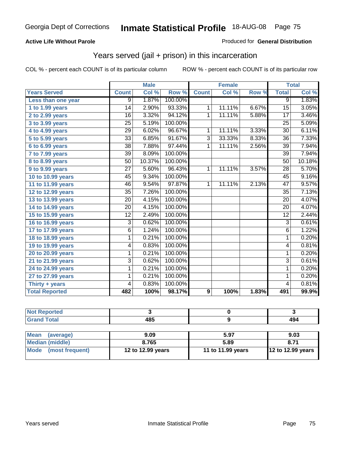### **Active Life Without Parole**

#### Produced for **General Distribution**

## Years served (jail + prison) in this incarceration

|                       |                 | <b>Male</b> |         |                | <b>Female</b> |       | <b>Total</b>    |        |
|-----------------------|-----------------|-------------|---------|----------------|---------------|-------|-----------------|--------|
| <b>Years Served</b>   | <b>Count</b>    | Col %       | Row %   | <b>Count</b>   | Col %         | Row % | <b>Total</b>    | Col %  |
| Less than one year    | $\overline{9}$  | 1.87%       | 100.00% |                |               |       | $\overline{9}$  | 1.83%  |
| 1 to 1.99 years       | 14              | 2.90%       | 93.33%  | 1              | 11.11%        | 6.67% | $\overline{15}$ | 3.05%  |
| 2 to 2.99 years       | $\overline{16}$ | 3.32%       | 94.12%  | $\mathbf{1}$   | 11.11%        | 5.88% | $\overline{17}$ | 3.46%  |
| 3 to 3.99 years       | $\overline{25}$ | 5.19%       | 100.00% |                |               |       | $\overline{25}$ | 5.09%  |
| 4 to 4.99 years       | $\overline{29}$ | 6.02%       | 96.67%  | 1              | 11.11%        | 3.33% | $\overline{30}$ | 6.11%  |
| 5 to 5.99 years       | 33              | 6.85%       | 91.67%  | 3              | 33.33%        | 8.33% | 36              | 7.33%  |
| 6 to 6.99 years       | $\overline{38}$ | 7.88%       | 97.44%  | $\overline{1}$ | 11.11%        | 2.56% | $\overline{39}$ | 7.94%  |
| 7 to 7.99 years       | $\overline{39}$ | 8.09%       | 100.00% |                |               |       | $\overline{39}$ | 7.94%  |
| 8 to 8.99 years       | 50              | 10.37%      | 100.00% |                |               |       | 50              | 10.18% |
| 9 to 9.99 years       | $\overline{27}$ | 5.60%       | 96.43%  | $\overline{1}$ | 11.11%        | 3.57% | $\overline{28}$ | 5.70%  |
| 10 to 10.99 years     | 45              | 9.34%       | 100.00% |                |               |       | 45              | 9.16%  |
| 11 to 11.99 years     | 46              | 9.54%       | 97.87%  | 1              | 11.11%        | 2.13% | 47              | 9.57%  |
| 12 to 12.99 years     | $\overline{35}$ | 7.26%       | 100.00% |                |               |       | $\overline{35}$ | 7.13%  |
| 13 to 13.99 years     | 20              | 4.15%       | 100.00% |                |               |       | 20              | 4.07%  |
| 14 to 14.99 years     | 20              | 4.15%       | 100.00% |                |               |       | 20              | 4.07%  |
| 15 to 15.99 years     | $\overline{12}$ | 2.49%       | 100.00% |                |               |       | $\overline{12}$ | 2.44%  |
| 16 to 16.99 years     | 3               | 0.62%       | 100.00% |                |               |       | $\overline{3}$  | 0.61%  |
| 17 to 17.99 years     | $\overline{6}$  | 1.24%       | 100.00% |                |               |       | $\overline{6}$  | 1.22%  |
| 18 to 18.99 years     | 1               | 0.21%       | 100.00% |                |               |       | $\mathbf 1$     | 0.20%  |
| 19 to 19.99 years     | 4               | 0.83%       | 100.00% |                |               |       | 4               | 0.81%  |
| 20 to 20.99 years     | 1               | 0.21%       | 100.00% |                |               |       | $\mathbf{1}$    | 0.20%  |
| 21 to 21.99 years     | 3               | 0.62%       | 100.00% |                |               |       | $\overline{3}$  | 0.61%  |
| 24 to 24.99 years     | 1               | 0.21%       | 100.00% |                |               |       | 1               | 0.20%  |
| 27 to 27.99 years     | 1               | 0.21%       | 100.00% |                |               |       | 1               | 0.20%  |
| Thirty + years        | 4               | 0.83%       | 100.00% |                |               |       | $\overline{4}$  | 0.81%  |
| <b>Total Reported</b> | 482             | 100%        | 98.17%  | 9              | 100%          | 1.83% | 491             | 99.9%  |

| <b>Reported</b><br>Not |     |     |
|------------------------|-----|-----|
| <b>Total</b><br>C-rs   | 485 | 494 |

| <b>Mean</b><br>(average) | 9.09              | 5.97              | 9.03                |  |  |
|--------------------------|-------------------|-------------------|---------------------|--|--|
| Median (middle)          | 8.765             | 5.89              | 8.71                |  |  |
| Mode (most frequent)     | 12 to 12.99 years | 11 to 11.99 years | $12$ to 12.99 years |  |  |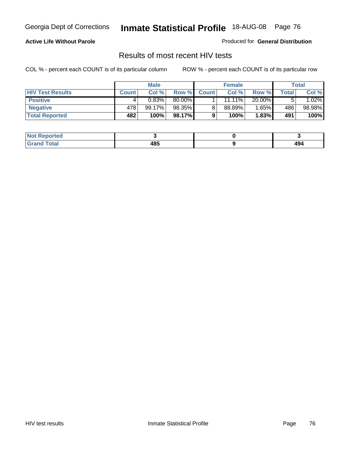#### **Active Life Without Parole**

Produced for **General Distribution**

## Results of most recent HIV tests

|                         | <b>Male</b>  |        | <b>Female</b> |              |           | Total    |       |          |
|-------------------------|--------------|--------|---------------|--------------|-----------|----------|-------|----------|
| <b>HIV Test Results</b> | <b>Count</b> | Col %  | Row %         | <b>Count</b> | Col %     | Row %    | Total | Col %    |
| <b>Positive</b>         | 4            | 0.83%  | 80.00%        |              | $11.11\%$ | 20.00%   | 5     | $1.02\%$ |
| <b>Negative</b>         | 478          | 99.17% | 98.35%        |              | 88.89%    | $1.65\%$ | 486   | 98.98%   |
| <b>Total Reported</b>   | 482          | 100%   | 98.17%        |              | 100%      | 1.83%    | 491   | 100%     |

| <b>Not Reported</b> |     |                       |
|---------------------|-----|-----------------------|
| <b>Grand Total</b>  | 485 | $\overline{ }$<br>494 |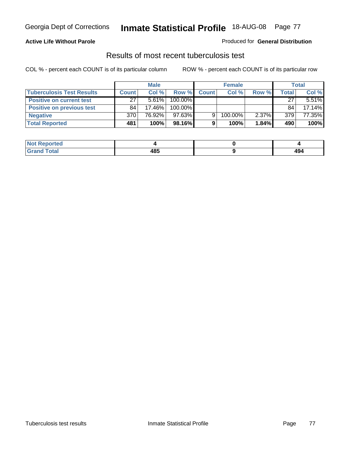#### **Active Life Without Parole**

#### Produced for **General Distribution**

## Results of most recent tuberculosis test

|                                  | <b>Male</b>  |        | <b>Female</b> |              |         | Total    |       |          |
|----------------------------------|--------------|--------|---------------|--------------|---------|----------|-------|----------|
| <b>Tuberculosis Test Results</b> | <b>Count</b> | Col%   | Row %         | <b>Count</b> | Col%    | Row %    | Total | Col %    |
| <b>Positive on current test</b>  | 27           | 5.61%  | 100.00%       |              |         |          | 27    | $5.51\%$ |
| <b>Positive on previous test</b> | 84           | 17.46% | 100.00%       |              |         |          | 84    | 17.14%   |
| <b>Negative</b>                  | 370          | 76.92% | 97.63%        | 9            | 100.00% | $2.37\%$ | 379   | 77.35%   |
| <b>Total Reported</b>            | 481          | 100%   | $98.16\%$     |              | 100%    | 1.84%    | 490   | 100%     |

| <b>Not</b><br><b>Reported</b> |     |     |
|-------------------------------|-----|-----|
| <b>Total</b>                  | 485 | 494 |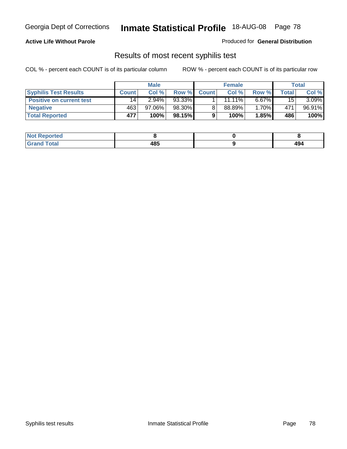### **Active Life Without Parole**

Produced for **General Distribution**

## Results of most recent syphilis test

|                                 | <b>Male</b>  |           | <b>Female</b> |              |           | Total    |        |          |
|---------------------------------|--------------|-----------|---------------|--------------|-----------|----------|--------|----------|
| <b>Syphilis Test Results</b>    | <b>Count</b> | Col %     | Row %         | <b>Count</b> | Col %     | Row %    | Total. | Col %    |
| <b>Positive on current test</b> | 14           | $2.94\%$  | 93.33%        |              | $11.11\%$ | $6.67\%$ | 15     | $3.09\%$ |
| <b>Negative</b>                 | 463          | $97.06\%$ | 98.30%        |              | 88.89%    | 1.70%    | 471    | 96.91%   |
| <b>Total Reported</b>           | 477          | 100%      | 98.15%        |              | 100%      | 1.85%    | 486    | 100%     |

| <b>Not Reported</b> |     |            |
|---------------------|-----|------------|
| <b>Grand Total</b>  | 485 | 10.<br>474 |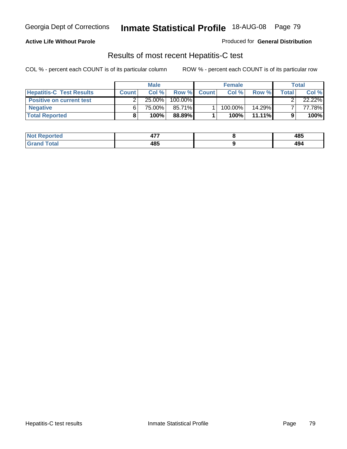### **Active Life Without Parole**

Produced for **General Distribution**

## Results of most recent Hepatitis-C test

|                                 |              | <b>Male</b> |         |              | <b>Female</b> |           |       | Total  |
|---------------------------------|--------------|-------------|---------|--------------|---------------|-----------|-------|--------|
| <b>Hepatitis-C Test Results</b> | <b>Count</b> | Col %       | Row %   | <b>Count</b> | Col %         | Row %     | Total | Col %  |
| <b>Positive on current test</b> |              | 25.00%      | 100.00% |              |               |           |       | 22.22% |
| <b>Negative</b>                 |              | 75.00%      | 85.71%  |              | 100.00%       | 14.29%    |       | 77.78% |
| <b>Total Reported</b>           |              | 100%        | 88.89%  |              | 100%          | $11.11\%$ |       | 100%   |

| <b>Not Reported</b> | $\overline{a}$<br><u>тı</u> | 485       |
|---------------------|-----------------------------|-----------|
| <b>Total</b>        | 485                         | 40<br>494 |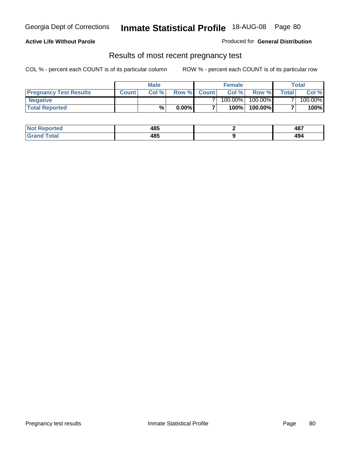#### **Active Life Without Parole**

Produced for **General Distribution**

### Results of most recent pregnancy test

|                               |              | <b>Male</b> |          |                | <b>Female</b> |         |                | <b>Total</b> |
|-------------------------------|--------------|-------------|----------|----------------|---------------|---------|----------------|--------------|
| <b>Pregnancy Test Results</b> | <b>Count</b> | Col%        | Row %    | <b>Count</b> Ⅰ | Col %         | Row %   | <b>Total</b> I | Col %        |
| <b>Negative</b>               |              |             |          |                | $100.00\%$    | 100.00% |                | 100.00%      |
| <b>Total Reported</b>         |              | %           | $0.00\%$ |                | 100%          | 100.00% |                | 100%         |

| Not F<br>Reported       | 485 | 487                 |
|-------------------------|-----|---------------------|
| <b>Total</b><br>l Grand | 485 | $\mathbf{A}$<br>494 |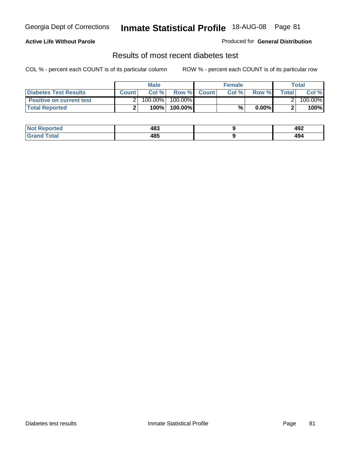### **Active Life Without Parole**

#### Produced for **General Distribution**

## Results of most recent diabetes test

|                                 |              | Male    |            |              | <b>Female</b> |          |              | Total   |
|---------------------------------|--------------|---------|------------|--------------|---------------|----------|--------------|---------|
| Diabetes Test Results           | <b>Count</b> | Col %   | Row %      | <b>Count</b> | Col %         | Row %I   | <b>Total</b> | Col %   |
| <b>Positive on current test</b> |              | 100.00% | $100.00\%$ |              |               |          |              | 100.00% |
| <b>Total Reported</b>           |              | 100%    | 100.00%    |              | %             | $0.00\%$ |              | 100%    |

| .≺eported<br>NOT | 483 | 492       |
|------------------|-----|-----------|
| <b>otal</b><br>. | 485 | 10<br>434 |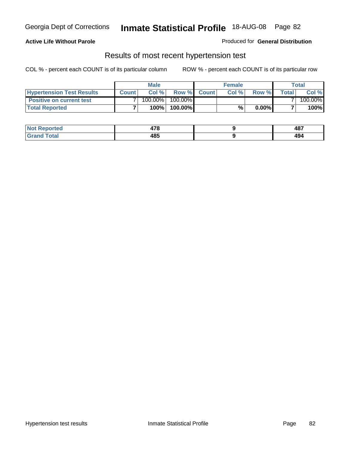### **Active Life Without Parole**

#### Produced for **General Distribution**

### Results of most recent hypertension test

|                                  |              | <b>Male</b> |            |             | <b>Female</b> |          |        | <b>Total</b> |
|----------------------------------|--------------|-------------|------------|-------------|---------------|----------|--------|--------------|
| <b>Hypertension Test Results</b> | <b>Count</b> | Col %       |            | Row % Count | Col%          | Row %    | Totall | Col %        |
| <b>Positive on current test</b>  |              | 100.00%     | $100.00\%$ |             |               |          |        | 100.00%      |
| <b>Total Reported</b>            |              | 100%        | 100.00%    |             | %             | $0.00\%$ |        | 100%         |

| orted        | 470<br>47 C | 487        |
|--------------|-------------|------------|
| <b>Total</b> | 485         | "^'<br>474 |